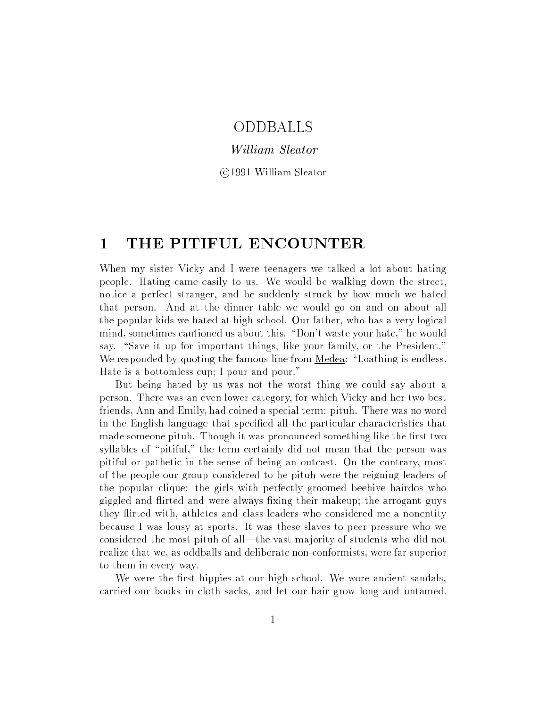#### ODDBALLS

#### William Sleator

<sup>c</sup> 1991 William Sleator

### 1 THE PITIFUL ENCOUNTER

When my sister Vicky and I were teenagers we talked a lot about hating people. Hating came easily to us. We would be walking down the street, notice a perfect stranger, and be suddenly struck by how much we hated that person. And at the dinner table we would go on and on about all the popular kids we hated at high school. Our father, who has a very logical mind, sometimes cautioned us about this. "Don't waste your hate," he would say. "Save it up for important things, like your family, or the President." We responded by quoting the famous line from  $Medea: "Loathing is endless.$ </u> Hate is a bottomless cup; I pour and pour."

But being hated by us was not the worst thing we could say about a person. There was an even lower category, for which Vicky and her two best friends, Ann and Emily, had coined a special term: pituh. There was no word in the English language that specied all the particular characteristics that made someone pituh. Though it was pronounced something like the first two syllables of "pitiful," the term certainly did not mean that the person was pitiful or pathetic in the sense of being an outcast. On the contrary, most of the people our group considered to be pituh were the reigning leaders of the popular clique: the girls with perfectly groomed beehive hairdos who giggled and flirted and were always fixing their makeup; the arrogant guys they irted with, athletes and class leaders who considered me a nonentity because I was lousy at sports. It was these slaves to peer pressure who we considered the most pituh of all—the vast majority of students who did not realize that we, as oddballs and deliberate non-conformists, were far superior to them in every way.

We were the first hippies at our high school. We wore ancient sandals, carried our books in cloth sacks, and let our hair grow long and untamed.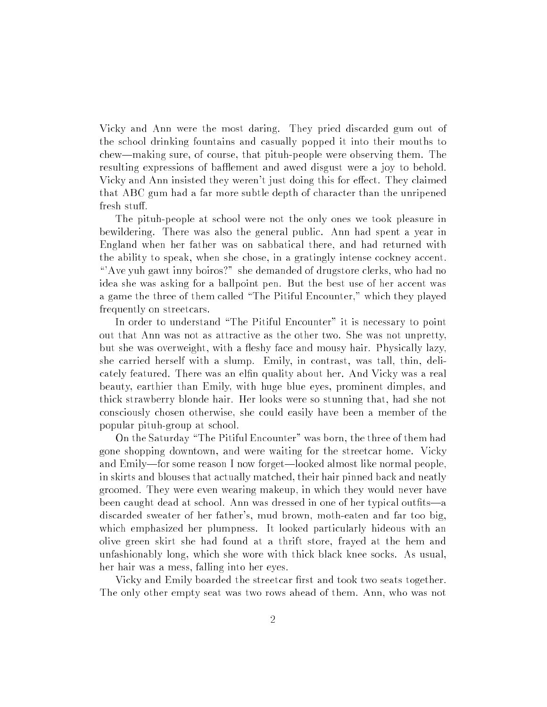Vicky and Ann were the most daring. They pried discarded gum out of the school drinking fountains and casually popped it into their mouths to chew—making sure, of course, that pituh-people were observing them. The resulting expressions of bafflement and awed disgust were a joy to behold. Vicky and Ann insisted they weren't just doing this for effect. They claimed that ABC gum had a far more subtle depth of character than the unripened fresh stuff.

The pituh-people at school were not the only ones we took pleasure in bewildering. There was also the general public. Ann had spent a year in England when her father was on sabbatical there, and had returned with the ability to speak, when she chose, in a gratingly intense cockney accent. \'Ave yuh gawt inny boiros?" she demanded of drugstore clerks, who had no idea she was asking for a ballpoint pen. But the best use of her accent was a game the three of them called \The Pitiful Encounter," which they played frequently on streetcars.

In order to understand "The Pitiful Encounter" it is necessary to point out that Ann was not as attractive as the other two. She was not unpretty, but she was overweight, with a fleshy face and mousy hair. Physically lazy, she carried herself with a slump. Emily, in contrast, was tall, thin, delicately featured. There was an eln quality about her. And Vicky was a real beauty, earthier than Emily, with huge blue eyes, prominent dimples, and thick strawberry blonde hair. Her looks were so stunning that, had she not consciously chosen otherwise, she could easily have been a member of the popular pituh-group at school.

On the Saturday "The Pitiful Encounter" was born, the three of them had gone shopping downtown, and were waiting for the streetcar home. Vicky and Emily—for some reason I now forget—looked almost like normal people. in skirts and blouses that actually matched, their hair pinned back and neatly groomed. They were even wearing makeup, in which they would never have been caught dead at school. Ann was dressed in one of her typical outfits—a discarded sweater of her father's, mud brown, moth-eaten and far too big, which emphasized her plumpness. It looked particularly hideous with an olive green skirt she had found at a thrift store, frayed at the hem and unfashionably long, which she wore with thick black knee socks. As usual, her hair was a mess, falling into her eyes.

Vicky and Emily boarded the streetcar first and took two seats together. The only other empty seat was two rows ahead of them. Ann, who was not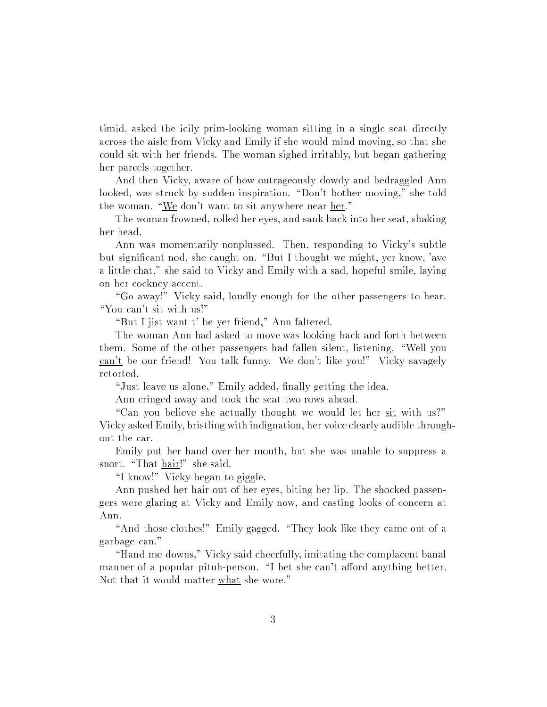timid, asked the icily prim-looking woman sitting in a single seat directly across the aisle from Vicky and Emily if she would mind moving, so that she could sit with her friends. The woman sighed irritably, but began gathering her parcels together.

And then Vicky, aware of how outrageously dowdy and bedraggled Ann looked, was struck by sudden inspiration. "Don't bother moving," she told the woman. "We don't want to sit anywhere near her."

The woman frowned, rolled her eyes, and sank back into her seat, shaking her head.

Ann was momentarily nonplussed. Then, responding to Vicky's subtle but significant nod, she caught on. "But I thought we might, yer know, 'ave a little chat," she said to Vicky and Emily with a sad, hopeful smile, laying on her cockney accent.

"Go away!" Vicky said, loudly enough for the other passengers to hear. "You can't sit with us!"

"But I jist want t' be yer friend," Ann faltered.

The woman Ann had asked to move was looking back and forth between them. Some of the other passengers had fallen silent, listening. \Well you can't be our friend! You talk funny. We don't like you!" Vicky savagely retorted.

"Just leave us alone," Emily added, finally getting the idea.

Ann cringed away and took the seat two rows ahead.

"Can you believe she actually thought we would let her sit with us?" Vicky asked Emily, bristling with indignation, her voice clearly audible throughout the car.

Emily put her hand over her mouth, but she was unable to suppress a snort. "That hair!" she said.

"I know!" Vicky began to giggle.

Ann pushed her hair out of her eyes, biting her lip. The shocked passengers were glaring at Vicky and Emily now, and casting looks of concern at Ann.

"And those clothes!" Emily gagged. "They look like they came out of a garbage can."

"Hand-me-downs," Vicky said cheerfully, imitating the complacent banal manner of a popular pituh-person. "I bet she can't afford anything better. Not that it would matter what she wore."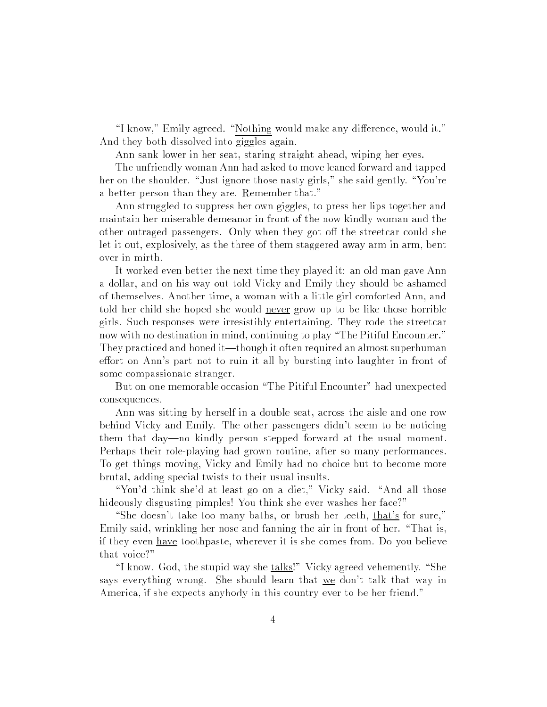"I know," Emily agreed. "Nothing would make any difference, would it." And they both dissolved into giggles again.

Ann sank lower in her seat, staring straight ahead, wiping her eyes.

The unfriendly woman Ann had asked to move leaned forward and tapped her on the shoulder. "Just ignore those nasty girls," she said gently. "You're a better person than they are. Remember that."

Ann struggled to suppress her own giggles, to press her lips together and maintain her miserable demeanor in front of the now kindly woman and the other outraged passengers. Only when they got off the streetcar could she let it out, explosively, as the three of them staggered away arm in arm, bent over in mirth.

It worked even better the next time they played it: an old man gave Ann a dollar, and on his way out told Vicky and Emily they should be ashamed of themselves. Another time, a woman with a little girl comforted Ann, and told her child she hoped she would never grow up to be like those horrible girls. Such responses were irresistibly entertaining. They rode the streetcar now with no destination in mind, continuing to play "The Pitiful Encounter." They practiced and honed it—though it often required an almost superhuman effort on Ann's part not to ruin it all by bursting into laughter in front of some compassionate stranger.

But on one memorable occasion \The Pitiful Encounter" had unexpected consequences.

Ann was sitting by herself in a double seat, across the aisle and one row behind Vicky and Emily. The other passengers didn't seem to be noticing them that day—no kindly person stepped forward at the usual moment. Perhaps their role-playing had grown routine, after so many performances. To get things moving, Vicky and Emily had no choice but to become more brutal, adding special twists to their usual insults.

"You'd think she'd at least go on a diet," Vicky said. "And all those hideously disgusting pimples! You think she ever washes her face?"

"She doesn't take too many baths, or brush her teeth, that's for sure," Emily said, wrinkling her nose and fanning the air in front of her. \That is, if they even have toothpaste, wherever it is she comes from. Do you believe that voice?"

"I know. God, the stupid way she talks!" Vicky agreed vehemently. "She says everything wrong. She should learn that we don't talk that way in America, if she expects anybody in this country ever to be her friend."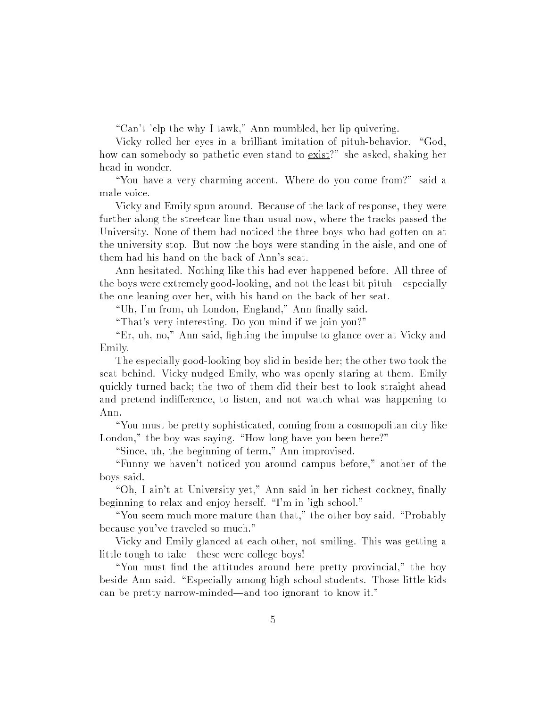"Can't 'elp the why I tawk," Ann mumbled, her lip quivering.

Vicky rolled her eyes in a brilliant imitation of pituh-behavior. "God, how can somebody so pathetic even stand to exist?" she asked, shaking her head in wonder.

"You have a very charming accent. Where do you come from?" said a male voice.

Vicky and Emily spun around. Because of the lack of response, they were further along the streetcar line than usual now, where the tracks passed the University. None of them had noticed the three boys who had gotten on at the university stop. But now the boys were standing in the aisle, and one of them had his hand on the back of Ann's seat.

Ann hesitated. Nothing like this had ever happened before. All three of the boys were extremely good-looking, and not the least bit pituh—especially the one leaning over her, with his hand on the back of her seat.

"Uh, I'm from, uh London, England," Ann finally said.

"That's very interesting. Do you mind if we join you?"

 $E$ r, uh, no," Ann said, fighting the impulse to glance over at Vicky and Emily.

The especially good-looking boy slid in beside her; the other two took the seat behind. Vicky nudged Emily, who was openly staring at them. Emily quickly turned back; the two of them did their best to look straight ahead and pretend indifference, to listen, and not watch what was happening to Ann.

\You must be pretty sophisticated, coming from a cosmopolitan city like London," the boy was saying. "How long have you been here?"

"Since, uh, the beginning of term," Ann improvised.

\Funny we haven't noticed you around campus before," another of the boys said.

"Oh, I ain't at University yet," Ann said in her richest cockney, finally beginning to relax and enjoy herself. "I'm in 'igh school."

"You seem much more mature than that," the other boy said. "Probably because you've traveled so much."

Vicky and Emily glanced at each other, not smiling. This was getting a little tough to take—these were college boys!

"You must find the attitudes around here pretty provincial," the boy beside Ann said. "Especially among high school students. Those little kids can be pretty narrow-minded—and too ignorant to know it."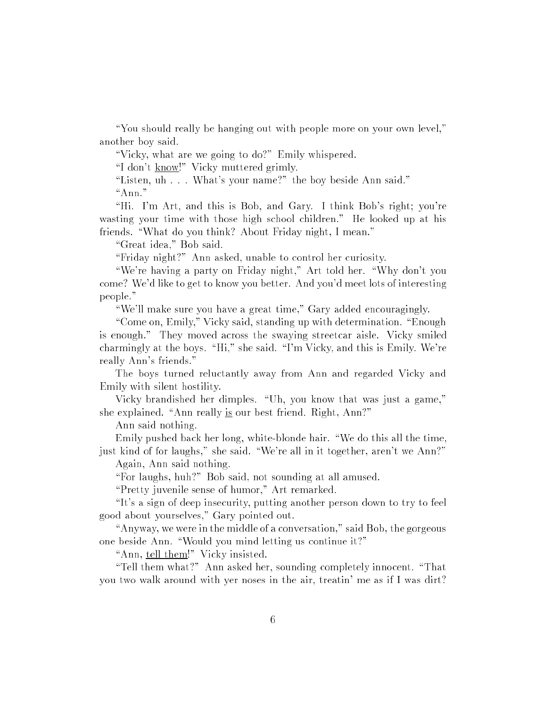"You should really be hanging out with people more on your own level," another boy said.

"Vicky, what are we going to do?" Emily whispered.

"I don't know!" Vicky muttered grimly.

"Listen, uh . . . What's your name?" the boy beside Ann said." " $Ann."$ 

"Hi. I'm Art, and this is Bob, and Gary. I think Bob's right; you're wasting your time with those high school children." He looked up at his friends. \What do you think? About Friday night, I mean."

"Great idea," Bob said.

\Friday night?" Ann asked, unable to control her curiosity.

"We're having a party on Friday night," Art told her. "Why don't you come? We'd like to get to know you better. And you'd meet lots of interesting people."

\We'll make sure you have a great time," Gary added encouragingly.

"Come on, Emily," Vicky said, standing up with determination. "Enough" is enough." They moved across the swaying streetcar aisle. Vicky smiled charmingly at the boys. "Hi," she said. "I'm Vicky, and this is Emily. We're really Ann's friends."

The boys turned reluctantly away from Ann and regarded Vicky and Emily with silent hostility.

Vicky brandished her dimples. "Uh, you know that was just a game," she explained. "Ann really is our best friend. Right, Ann?"

Ann said nothing.

Emily pushed back her long, white-blonde hair. \We do this all the time, just kind of for laughs," she said. "We're all in it together, aren't we Ann?"

Again, Ann said nothing.

"For laughs, huh?" Bob said, not sounding at all amused.

\Pretty juvenile sense of humor," Art remarked.

"It's a sign of deep insecurity, putting another person down to try to feel good about yourselves," Gary pointed out.

"Anyway, we were in the middle of a conversation," said Bob, the gorgeous one beside Ann. "Would you mind letting us continue it?"

"Ann, tell them!" Vicky insisted.

"Tell them what?" Ann asked her, sounding completely innocent. "That you two walk around with yer noses in the air, treatin' me as if I was dirt?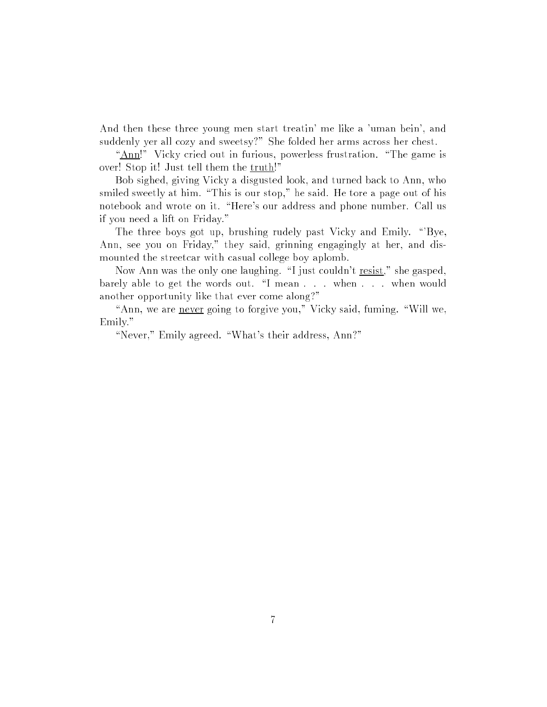And then these three young men start treatin' me like a 'uman bein', and suddenly yer all cozy and sweetsy?" She folded her arms across her chest.

"Ann!" Vicky cried out in furious, powerless frustration. "The game is over! Stop it! Just tell them the truth!"

Bob sighed, giving Vicky a disgusted look, and turned back to Ann, who smiled sweetly at him. "This is our stop," he said. He tore a page out of his notebook and wrote on it. "Here's our address and phone number. Call us if you need a lift on Friday."

The three boys got up, brushing rudely past Vicky and Emily. "Bye, Ann, see you on Friday," they said, grinning engagingly at her, and dismounted the streetcar with casual college boy aplomb.

Now Ann was the only one laughing. "I just couldn't resist," she gasped, barely able to get the words out. "I mean . . . when . . . when would another opportunity like that ever come along?"

"Ann, we are never going to forgive you," Vicky said, fuming. "Will we, Emily."

"Never," Emily agreed. "What's their address, Ann?"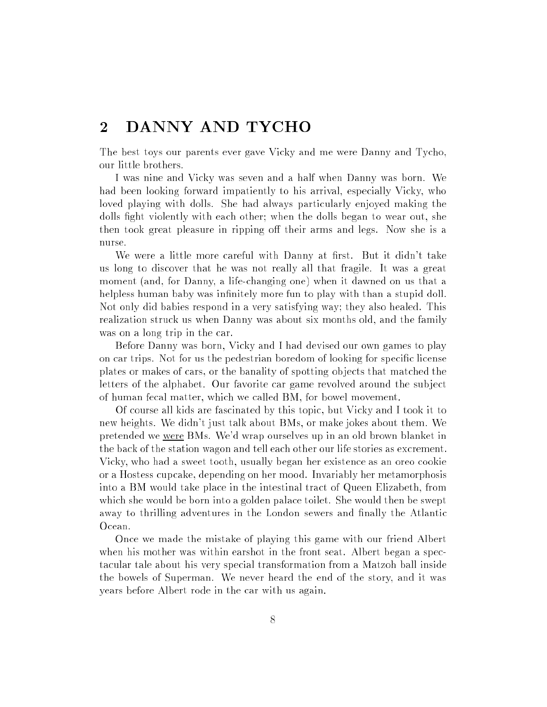### 2 DANNY AND TYCHO

The best toys our parents ever gave Vicky and me were Danny and Tycho, our little brothers.

I was nine and Vicky was seven and a half when Danny was born. We had been looking forward impatiently to his arrival, especially Vicky, who loved playing with dolls. She had always particularly enjoyed making the dolls fight violently with each other; when the dolls began to wear out, she then took great pleasure in ripping off their arms and legs. Now she is a nurse.

We were a little more careful with Danny at first. But it didn't take us long to discover that he was not really all that fragile. It was a great moment (and, for Danny, a life-changing one) when it dawned on us that a helpless human baby was infinitely more fun to play with than a stupid doll. Not only did babies respond in a very satisfying way; they also healed. This realization struck us when Danny was about six months old, and the family was on a long trip in the car.

Before Danny was born, Vicky and I had devised our own games to play on car trips. Not for us the pedestrian boredom of looking for specic license plates or makes of cars, or the banality of spotting ob jects that matched the letters of the alphabet. Our favorite car game revolved around the subject of human fecal matter, which we called BM, for bowel movement.

Of course all kids are fascinated by this topic, but Vicky and I took it to new heights. We didn't just talk about BMs, or make jokes about them. We pretended we were BMs. We'd wrap ourselves up in an old brown blanket in the back of the station wagon and tell each other our life stories as excrement. Vicky, who had a sweet tooth, usually began her existence as an oreo cookie or a Hostess cupcake, depending on her mood. Invariably her metamorphosis into a BM would take place in the intestinal tract of Queen Elizabeth, from which she would be born into a golden palace toilet. She would then be swept away to thrilling adventures in the London sewers and finally the Atlantic Ocean.

Once we made the mistake of playing this game with our friend Albert when his mother was within earshot in the front seat. Albert began a spectacular tale about his very special transformation from a Matzoh ball inside the bowels of Superman. We never heard the end of the story, and it was years before Albert rode in the car with us again.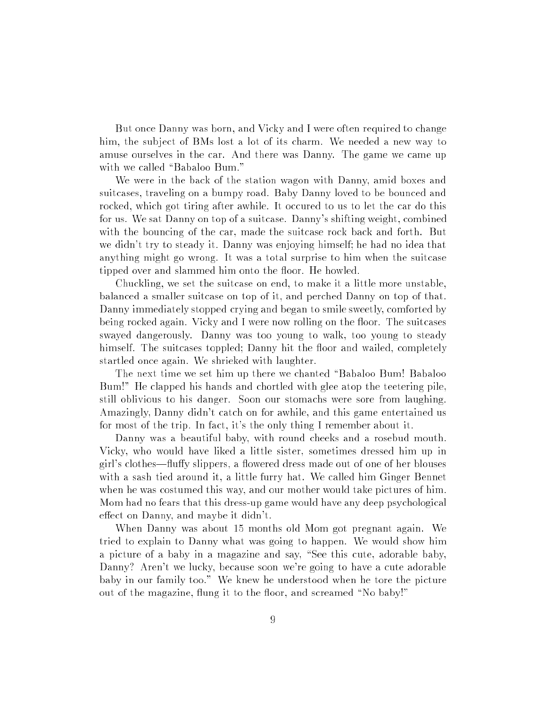But once Danny was born, and Vicky and I were often required to change him, the subject of BMs lost a lot of its charm. We needed a new way to amuse ourselves in the car. And there was Danny. The game we came up with we called "Babaloo Bum."

We were in the back of the station wagon with Danny, amid boxes and suitcases, traveling on a bumpy road. Baby Danny loved to be bounced and rocked, which got tiring after awhile. It occured to us to let the car do this for us. We sat Danny on top of a suitcase. Danny's shifting weight, combined with the bouncing of the car, made the suitcase rock back and forth. But we didn't try to steady it. Danny was enjoying himself; he had no idea that anything might go wrong. It was a total surprise to him when the suitcase tipped over and slammed him onto the floor. He howled.

Chuckling, we set the suitcase on end, to make it a little more unstable, balanced a smaller suitcase on top of it, and perched Danny on top of that. Danny immediately stopped crying and began to smile sweetly, comforted by being rocked again. Vicky and I were now rolling on the floor. The suitcases swayed dangerously. Danny was too young to walk, too young to steady himself. The suitcases toppled; Danny hit the floor and wailed, completely startled once again. We shrieked with laughter.

The next time we set him up there we chanted "Babaloo Bum! Babaloo" Bum!" He clapped his hands and chortled with glee atop the teetering pile, still oblivious to his danger. Soon our stomachs were sore from laughing. Amazingly, Danny didn't catch on for awhile, and this game entertained us for most of the trip. In fact, it's the only thing I remember about it.

Danny was a beautiful baby, with round cheeks and a rosebud mouth. Vicky, who would have liked a little sister, sometimes dressed him up in girl's clothes—fluffy slippers, a flowered dress made out of one of her blouses with a sash tied around it, a little furry hat. We called him Ginger Bennet when he was costumed this way, and our mother would take pictures of him. Mom had no fears that this dress-up game would have any deep psychological effect on Danny, and maybe it didn't.

When Danny was about 15 months old Mom got pregnant again. We tried to explain to Danny what was going to happen. We would show him a picture of a baby in a magazine and say, "See this cute, adorable baby, Danny? Aren't we lucky, because soon we're going to have a cute adorable baby in our family too." We knew he understood when he tore the picture out of the magazine, flung it to the floor, and screamed "No baby!"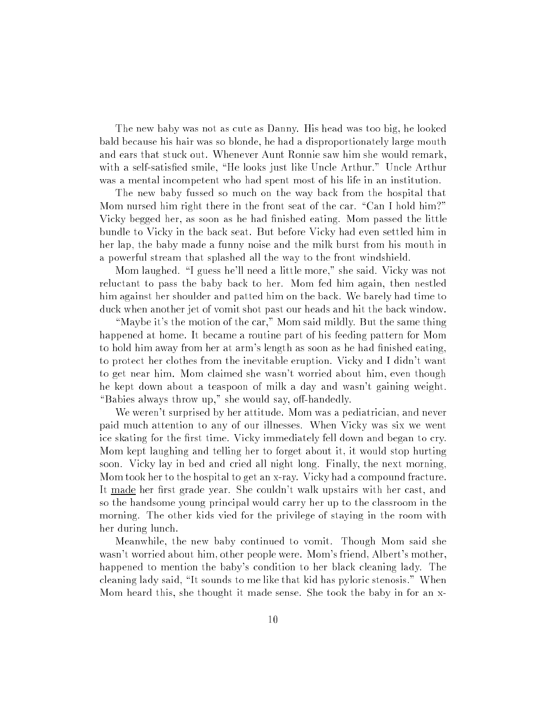The new baby was not as cute as Danny. His head was too big, he looked bald because his hair was so blonde, he had a disproportionately large mouth and ears that stuck out. Whenever Aunt Ronnie saw him she would remark, with a self-satisfied smile, "He looks just like Uncle Arthur." Uncle Arthur was a mental incompetent who had spent most of his life in an institution.

The new baby fussed so much on the way back from the hospital that Mom nursed him right there in the front seat of the car. "Can I hold him?" Vicky begged her, as soon as he had finished eating. Mom passed the little bundle to Vicky in the back seat. But before Vicky had even settled him in her lap, the baby made a funny noise and the milk burst from his mouth in a powerful stream that splashed all the way to the front windshield.

Mom laughed. "I guess he'll need a little more," she said. Vicky was not reluctant to pass the baby back to her. Mom fed him again, then nestled him against her shoulder and patted him on the back. We barely had time to duck when another jet of vomit shot past our heads and hit the back window.

"Maybe it's the motion of the car," Mom said mildly. But the same thing happened at home. It became a routine part of his feeding pattern for Mom to hold him away from her at arm's length as soon as he had finished eating. to protect her clothes from the inevitable eruption. Vicky and I didn't want to get near him. Mom claimed she wasn't worried about him, even though he kept down about a teaspoon of milk a day and wasn't gaining weight. "Babies always throw up," she would say, off-handedly.

We weren't surprised by her attitude. Mom was a pediatrician, and never paid much attention to any of our illnesses. When Vicky was six we went ice skating for the first time. Vicky immediately fell down and began to cry. Mom kept laughing and telling her to forget about it, it would stop hurting soon. Vicky lay in bed and cried all night long. Finally, the next morning, Mom took her to the hospital to get an x-ray. Vicky had a compound fracture. It made her first grade year. She couldn't walk upstairs with her cast, and so the handsome young principal would carry her up to the classroom in the morning. The other kids vied for the privilege of staying in the room with her during lunch.

Meanwhile, the new baby continued to vomit. Though Mom said she wasn't worried about him, other people were. Mom's friend, Albert's mother, happened to mention the baby's condition to her black cleaning lady. The cleaning lady said, \It sounds to me like that kid has pyloric stenosis." When Mom heard this, she thought it made sense. She took the baby in for an x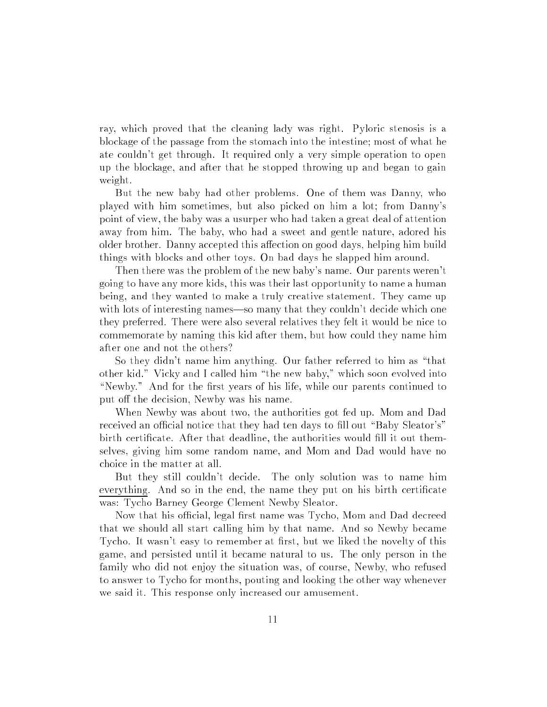ray, which proved that the cleaning lady was right. Pyloric stenosis is a blockage of the passage from the stomach into the intestine; most of what he ate couldn't get through. It required only a very simple operation to open up the blockage, and after that he stopped throwing up and began to gain weight.

But the new baby had other problems. One of them was Danny, who played with him sometimes, but also picked on him a lot; from Danny's point of view, the baby was a usurper who had taken a great deal of attention away from him. The baby, who had a sweet and gentle nature, adored his older brother. Danny accepted this affection on good days, helping him build things with blocks and other toys. On bad days he slapped him around.

Then there was the problem of the new baby's name. Our parents weren't going to have any more kids, this was their last opportunity to name a human being, and they wanted to make a truly creative statement. They came up with lots of interesting names—so many that they couldn't decide which one they preferred. There were also several relatives they felt it would be nice to commemorate by naming this kid after them, but how could they name him after one and not the others?

So they didn't name him anything. Our father referred to him as "that other kid." Vicky and I called him \the new baby," which soon evolved into "Newby." And for the first years of his life, while our parents continued to put off the decision, Newby was his name.

When Newby was about two, the authorities got fed up. Mom and Dad received an official notice that they had ten days to fill out "Baby Sleator's" birth certificate. After that deadline, the authorities would fill it out themselves, giving him some random name, and Mom and Dad would have no choice in the matter at all.

But they still couldn't decide. The only solution was to name him everything. And so in the end, the name they put on his birth certificate was: Tycho Barney George Clement Newby Sleator.

Now that his official, legal first name was Tycho, Mom and Dad decreed that we should all start calling him by that name. And so Newby became Tycho. It wasn't easy to remember at first, but we liked the novelty of this game, and persisted until it became natural to us. The only person in the family who did not enjoy the situation was, of course, Newby, who refused to answer to Tycho for months, pouting and looking the other way whenever we said it. This response only increased our amusement.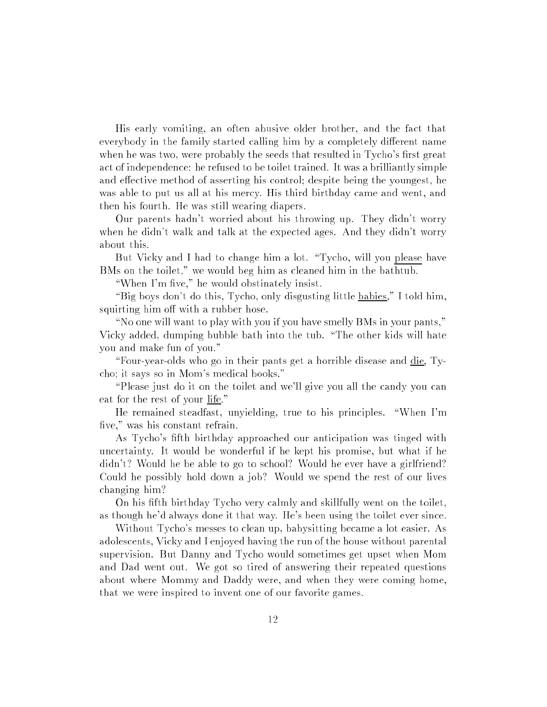His early vomiting, an often abusive older brother, and the fact that everybody in the family started calling him by a completely different name when he was two, were probably the seeds that resulted in Tycho's first great act of independence: he refused to be toilet trained. It was a brilliantly simple and effective method of asserting his control; despite being the youngest, he was able to put us all at his mercy. His third birthday came and went, and then his fourth. He was still wearing diapers.

Our parents hadn't worried about his throwing up. They didn't worry when he didn't walk and talk at the expected ages. And they didn't worry about this.

But Vicky and <sup>I</sup> had to change him a lot. \Tycho, will you please have BMs on the toilet," we would beg him as cleaned him in the bathtub.

"When I'm five," he would obstinately insist.

"Big boys don't do this, Tycho, only disgusting little  $\underline{bables}$ ," I told him, squirting him off with a rubber hose.

\No one will want to play with you if you have smelly BMs in your pants," Vicky added, dumping bubble bath into the tub. "The other kids will hate you and make fun of you."

"Four-year-olds who go in their pants get a horrible disease and <u>die</u>, Tycho; it says so in Mom's medical books."

\Please just do it on the toilet and we'll give you all the candy you can eat for the rest of your life."

He remained steadfast, unyielding, true to his principles. \When I'm five," was his constant refrain.

As Tycho's fth birthday approached our anticipation was tinged with uncertainty. It would be wonderful if he kept his promise, but what if he didn't? Would he be able to go to school? Would he ever have a girlfriend? Could he possibly hold down a job? Would we spend the rest of our lives changing him?

On his fth birthday Tycho very calmly and skillfully went on the toilet, as though he'd always done it that way. He's been using the toilet ever since.

Without Tycho's messes to clean up, babysitting became a lot easier. As adolescents, Vicky and I enjoyed having the run of the house without parental supervision. But Danny and Tycho would sometimes get upset when Mom and Dad went out. We got so tired of answering their repeated questions about where Mommy and Daddy were, and when they were coming home, that we were inspired to invent one of our favorite games.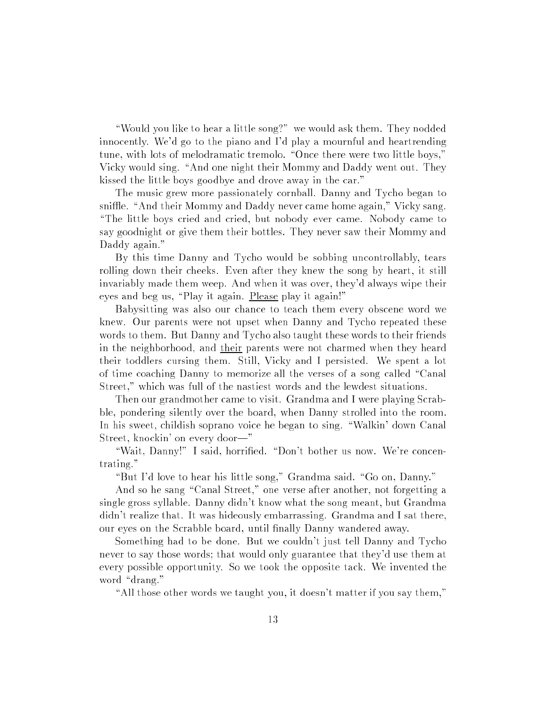"Would you like to hear a little song?" we would ask them. They nodded innocently. We'd go to the piano and I'd play a mournful and heartrending tune, with lots of melodramatic tremolo. "Once there were two little boys," Vicky would sing. "And one night their Mommy and Daddy went out. They kissed the little boys goodbye and drove away in the car."

The music grew more passionately cornball. Danny and Tycho began to sniffle. "And their Mommy and Daddy never came home again," Vicky sang. \The little boys cried and cried, but nobody ever came. Nobody came to say goodnight or give them their bottles. They never saw their Mommy and Daddy again."

By this time Danny and Tycho would be sobbing uncontrollably, tears rolling down their cheeks. Even after they knew the song by heart, it still invariably made them weep. And when it was over, they'd always wipe their eyes and beg us, "Play it again. Please play it again!"

Babysitting was also our chance to teach them every obscene word we knew. Our parents were not upset when Danny and Tycho repeated these words to them. But Danny and Tycho also taught these words to their friends in the neighborhood, and their parents were not charmed when they heard their toddlers cursing them. Still, Vicky and I persisted. We spent a lot of time coaching Danny to memorize all the verses of a song called \Canal Street," which was full of the nastiest words and the lewdest situations.

Then our grandmother came to visit. Grandma and I were playing Scrabble, pondering silently over the board, when Danny strolled into the room. In his sweet, childish soprano voice he began to sing. \Walkin' down Canal Street, knockin' on every door—"

"Wait, Danny!" I said, horrified. "Don't bother us now. We're concentrating."

"But I'd love to hear his little song," Grandma said. "Go on, Danny."

And so he sang "Canal Street," one verse after another, not forgetting a single gross syllable. Danny didn't know what the song meant, but Grandma didn't realize that. It was hideously embarrassing. Grandma and I sat there, our eyes on the Scrabble board, until finally Danny wandered away.

Something had to be done. But we couldn't just tell Danny and Tycho never to say those words; that would only guarantee that they'd use them at every possible opportunity. So we took the opposite tack. We invented the word "drang."

"All those other words we taught you, it doesn't matter if you say them,"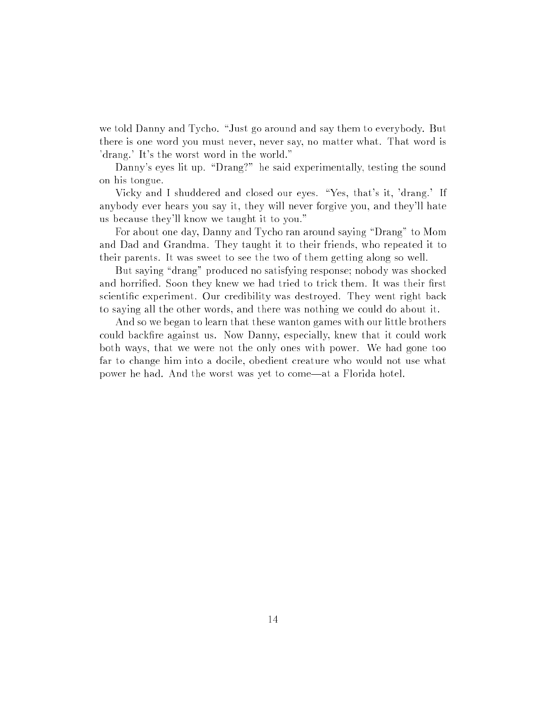we told Danny and Tycho. "Just go around and say them to everybody. But there is one word you must never, never say, no matter what. That word is 'drang.' It's the worst word in the world."

Danny's eyes lit up. "Drang?" he said experimentally, testing the sound on his tongue.

Vicky and I shuddered and closed our eyes. "Yes, that's it, 'drang.' If anybody ever hears you say it, they will never forgive you, and they'll hate us because they'll know we taught it to you."

For about one day, Danny and Tycho ran around saying \Drang" to Mom and Dad and Grandma. They taught it to their friends, who repeated it to their parents. It was sweet to see the two of them getting along so well.

But saying "drang" produced no satisfying response; nobody was shocked and horrified. Soon they knew we had tried to trick them. It was their first scientic experiment. Our credibility was destroyed. They went right back to saying all the other words, and there was nothing we could do about it.

And so we began to learn that these wanton games with our little brothers could backfire against us. Now Danny, especially, knew that it could work both ways, that we were not the only ones with power. We had gone too far to change him into a docile, obedient creature who would not use what power he had. And the worst was yet to come—at a Florida hotel.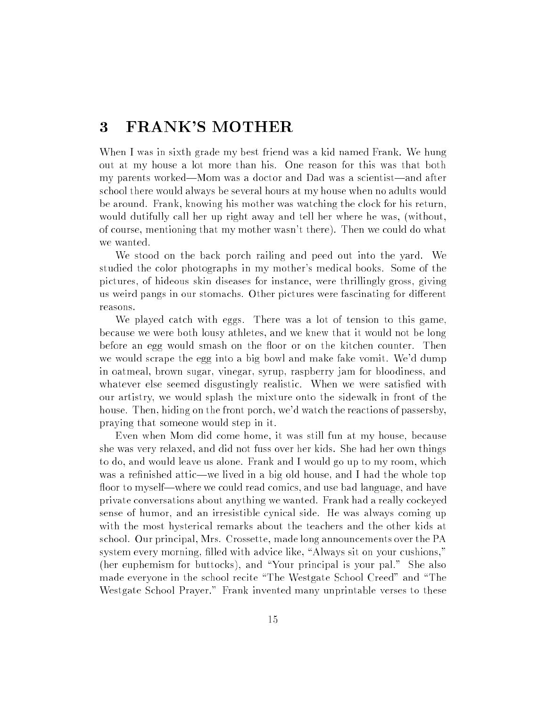#### 3 FRANK'S MOTHER

When I was in sixth grade my best friend was a kid named Frank. We hung out at my house a lot more than his. One reason for this was that both my parents worked—Mom was a doctor and Dad was a scientist—and after school there would always be several hours at my house when no adults would be around. Frank, knowing his mother was watching the clock for his return, would dutifully call her up right away and tell her where he was, (without, of course, mentioning that my mother wasn't there). Then we could do what we wanted.

We stood on the back porch railing and peed out into the yard. We studied the color photographs in my mother's medical books. Some of the pictures, of hideous skin diseases for instance, were thrillingly gross, giving us weird pangs in our stomachs. Other pictures were fascinating for different reasons.

We played catch with eggs. There was a lot of tension to this game. because we were both lousy athletes, and we knew that it would not be long before an egg would smash on the floor or on the kitchen counter. Then we would scrape the egg into a big bowl and make fake vomit. We'd dump in oatmeal, brown sugar, vinegar, syrup, raspberry jam for bloodiness, and whatever else seemed disgustingly realistic. When we were satisfied with our artistry, we would splash the mixture onto the sidewalk in front of the house. Then, hiding on the front porch, we'd watch the reactions of passersby, praying that someone would step in it.

Even when Mom did come home, it was still fun at my house, because she was very relaxed, and did not fuss over her kids. She had her own things to do, and would leave us alone. Frank and I would go up to my room, which was a refinished attic—we lived in a big old house, and I had the whole top floor to myself—where we could read comics, and use bad language, and have private conversations about anything we wanted. Frank had a really cockeyed sense of humor, and an irresistible cynical side. He was always coming up with the most hysterical remarks about the teachers and the other kids at school. Our principal, Mrs. Crossette, made long announcements over the PA system every morning, filled with advice like, "Always sit on your cushions," (her euphemism for buttocks), and "Your principal is your pal." She also made everyone in the school recite "The Westgate School Creed" and "The Westgate School Prayer." Frank invented many unprintable verses to these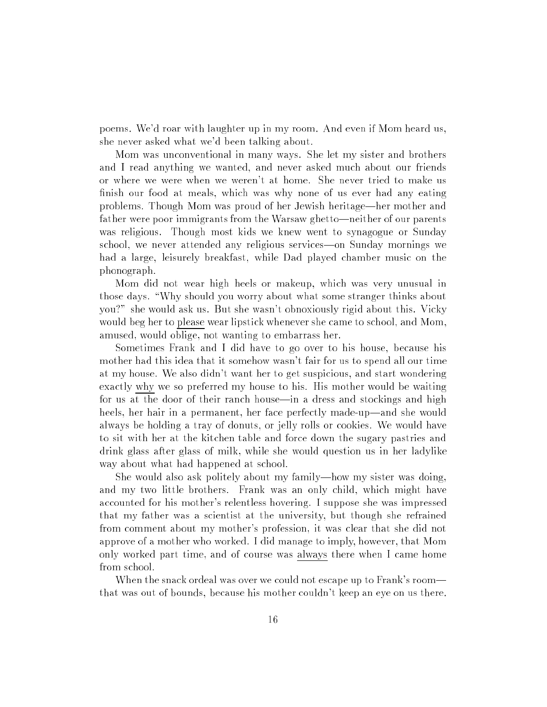poems. We'd roar with laughter up in my room. And even if Mom heard us, she never asked what we'd been talking about.

Mom was unconventional in many ways. She let my sister and brothers and I read anything we wanted, and never asked much about our friends or where we were when we weren't at home. She never tried to make us finish our food at meals, which was why none of us ever had any eating problems. Though Mom was proud of her Jewish heritage—her mother and father were poor immigrants from the Warsaw ghetto—neither of our parents was religious. Though most kids we knew went to synagogue or Sunday school, we never attended any religious services—on Sunday mornings we had a large, leisurely breakfast, while Dad played chamber music on the phonograph.

Mom did not wear high heels or makeup, which was very unusual in those days. \Why should you worry about what some stranger thinks about you?" she would ask us. But she wasn't obnoxiously rigid about this. Vicky would beg her to please wear lipstick whenever she came to school, and Mom, amused, would oblige, not wanting to embarrass her.

Sometimes Frank and I did have to go over to his house, because his mother had this idea that it somehow wasn't fair for us to spend all our time at my house. We also didn't want her to get suspicious, and start wondering exactly why we so preferred my house to his. His mother would be waiting for us at the door of their ranch house—in a dress and stockings and high heels, her hair in a permanent, her face perfectly made-up—and she would always be holding a tray of donuts, or jelly rolls or cookies. We would have to sit with her at the kitchen table and force down the sugary pastries and drink glass after glass of milk, while she would question us in her ladylike way about what had happened at school.

She would also ask politely about my family—how my sister was doing, and my two little brothers. Frank was an only child, which might have accounted for his mother's relentless hovering. I suppose she was impressed that my father was a scientist at the university, but though she refrained from comment about my mother's profession, it was clear that she did not approve of a mother who worked. I did manage to imply, however, that Mom only worked part time, and of course was always there when I came home from school.

When the snack ordeal was over we could not escape up to Frank's room that was out of bounds, because his mother couldn't keep an eye on us there.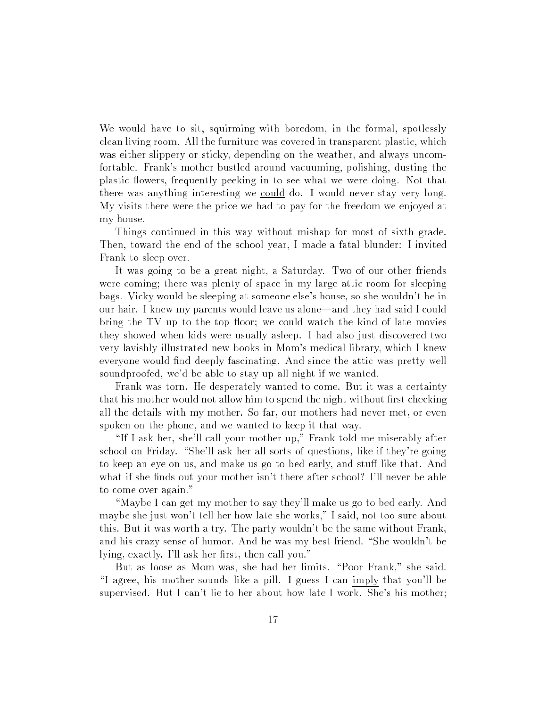We would have to sit, squirming with boredom, in the formal, spotlessly clean living room. All the furniture was covered in transparent plastic, which was either slippery or sticky, depending on the weather, and always uncomfortable. Frank's mother bustled around vacuuming, polishing, dusting the plastic flowers, frequently peeking in to see what we were doing. Not that there was anything interesting we could do. <sup>I</sup> would never stay very long. My visits there were the price we had to pay for the freedom we enjoyed at my house.

Things continued in this way without mishap for most of sixth grade. Then, toward the end of the school year, I made a fatal blunder: I invited Frank to sleep over.

It was going to be a great night, a Saturday. Two of our other friends were coming; there was plenty of space in my large attic room for sleeping bags. Vicky would be sleeping at someone else's house, so she wouldn't be in our hair. I knew my parents would leave us alone—and they had said I could bring the TV up to the top floor; we could watch the kind of late movies they showed when kids were usually asleep. I had also just discovered two very lavishly illustrated new books in Mom's medical library, which I knew everyone would find deeply fascinating. And since the attic was pretty well soundproofed, we'd be able to stay up all night if we wanted.

Frank was torn. He desperately wanted to come. But it was a certainty that his mother would not allow him to spend the night without first checking all the details with my mother. So far, our mothers had never met, or even spoken on the phone, and we wanted to keep it that way.

"If I ask her, she'll call your mother up," Frank told me miserably after school on Friday. "She'll ask her all sorts of questions, like if they're going to keep an eye on us, and make us go to bed early, and stuff like that. And what if she finds out your mother isn't there after school? I'll never be able to come over again."

\Maybe I can get my mother to say they'll make us go to bed early. And maybe she just won't tell her how late she works," I said, not too sure about this. But it was worth a try. The party wouldn't be the same without Frank, and his crazy sense of humor. And he was my best friend. "She wouldn't be lying, exactly. I'll ask her first, then call you."

But as loose as Mom was, she had her limits. \Poor Frank," she said. "I agree, his mother sounds like a pill. I guess I can imply that you'll be supervised. But I can't lie to her about how late I work. She's his mother;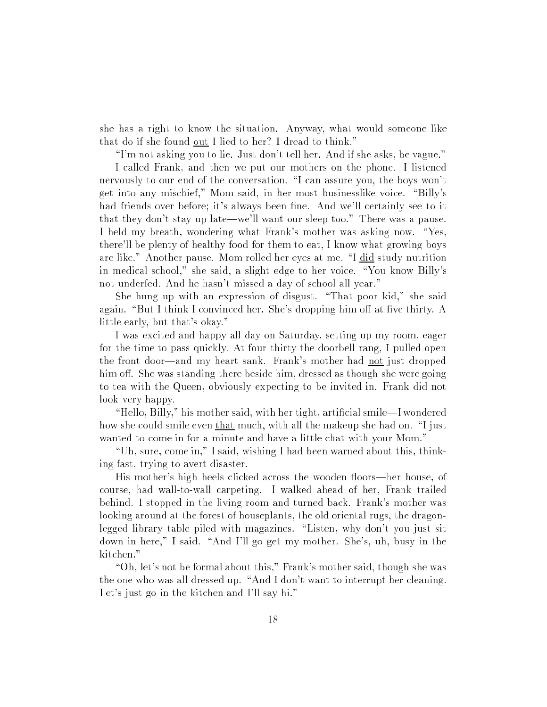she has a right to know the situation. Anyway, what would someone like that do if she found out I lied to her? I dread to think."

"I'm not asking you to lie. Just don't tell her. And if she asks, be vague."

I called Frank, and then we put our mothers on the phone. I listened nervously to our end of the conversation. \I can assure you, the boys won't get into any mischief," Mom said, in her most businesslike voice. "Billy's had friends over before; it's always been fine. And we'll certainly see to it that they don't stay up late—we'll want our sleep too." There was a pause. I held my breath, wondering what Frank's mother was asking now. "Yes, there'll be plenty of healthy food for them to eat, I know what growing boys are like." Another pause. Mom rolled her eyes at me. \I did study nutrition in medical school," she said, a slight edge to her voice. \You know Billy's not underfed. And he hasn't missed a day of school all year."

She hung up with an expression of disgust. "That poor kid," she said again. "But I think I convinced her. She's dropping him off at five thirty. A little early, but that's okay."

I was excited and happy all day on Saturday, setting up my room, eager for the time to pass quickly. At four thirty the doorbell rang, I pulled open the front door—and my heart sank. Frank's mother had not just dropped him off. She was standing there beside him, dressed as though she were going to tea with the Queen, obviously expecting to be invited in. Frank did not look very happy.

"Hello, Billy," his mother said, with her tight, artificial smile—I wondered how she could smile even that much, with all the makeup she had on. "I just wanted to come in for a minute and have a little chat with your Mom."

"Uh, sure, come in," I said, wishing I had been warned about this, thinking fast, trying to avert disaster.

His mother's high heels clicked across the wooden floors—her house, of course, had wall-to-wall carpeting. I walked ahead of her, Frank trailed behind. I stopped in the living room and turned back. Frank's mother was looking around at the forest of houseplants, the old oriental rugs, the dragonlegged library table piled with magazines. "Listen, why don't you just sit down in here," I said. "And I'll go get my mother. She's, uh, busy in the kitchen."

"Oh, let's not be formal about this," Frank's mother said, though she was the one who was all dressed up. "And I don't want to interrupt her cleaning. Let's just go in the kitchen and I'll say hi."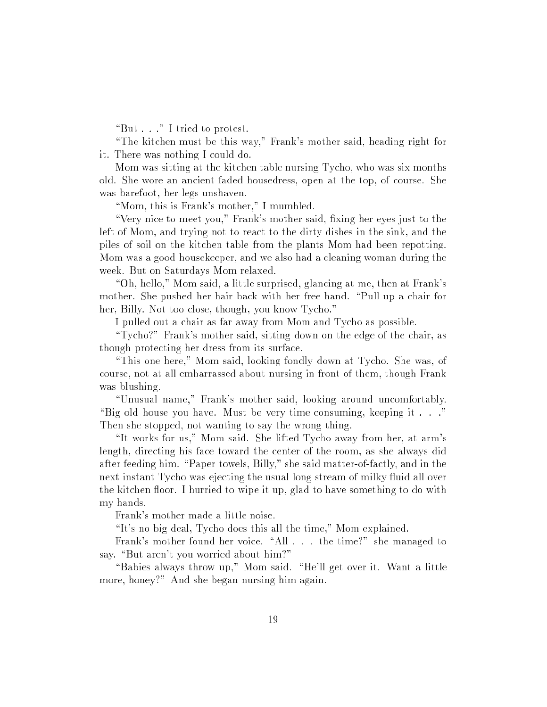"But  $\ldots$  " I tried to protest.

"The kitchen must be this way," Frank's mother said, heading right for it. There was nothing I could do.

Mom was sitting at the kitchen table nursing Tycho, who was six months old. She wore an ancient faded housedress, open at the top, of course. She was barefoot, her legs unshaven.

"Mom, this is Frank's mother," I mumbled.

"Very nice to meet you," Frank's mother said, fixing her eyes just to the left of Mom, and trying not to react to the dirty dishes in the sink, and the piles of soil on the kitchen table from the plants Mom had been repotting. Mom was a good housekeeper, and we also had a cleaning woman during the week. But on Saturdays Mom relaxed.

\Oh, hello," Mom said, a little surprised, glancing at me, then at Frank's mother. She pushed her hair back with her free hand. \Pull up a chair for her, Billy. Not too close, though, you know Tycho."

I pulled out a chair as far away from Mom and Tycho as possible.

"Tycho?" Frank's mother said, sitting down on the edge of the chair, as though protecting her dress from its surface.

"This one here," Mom said, looking fondly down at Tycho. She was, of course, not at all embarrassed about nursing in front of them, though Frank was blushing.

\Unusual name," Frank's mother said, looking around uncomfortably. "Big old house you have. Must be very time consuming, keeping it  $\ldots$ ." Then she stopped, not wanting to say the wrong thing.

"It works for us," Mom said. She lifted Tycho away from her, at arm's length, directing his face toward the center of the room, as she always did after feeding him. \Paper towels, Billy," she said matter-of-factly, and in the next instant Tycho was ejecting the usual long stream of milky fluid all over the kitchen floor. I hurried to wipe it up, glad to have something to do with my hands.

Frank's mother made a little noise.

"It's no big deal, Tycho does this all the time," Mom explained.

Frank's mother found her voice. "All . . . the time?" she managed to say. "But aren't you worried about him?"

"Babies always throw up," Mom said. "He'll get over it. Want a little more, honey?" And she began nursing him again.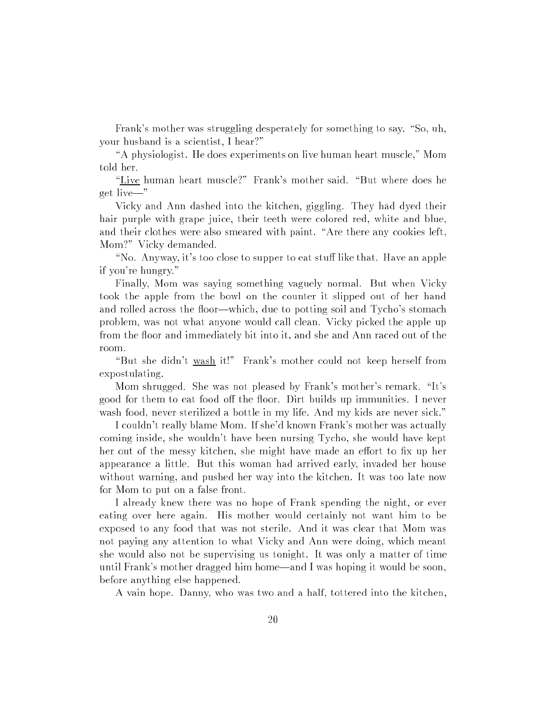Frank's mother was struggling desperately for something to say. "So, uh, your husband is a scientist, I hear?"

\A physiologist. He does experiments on live human heart muscle," Mom told her.

"<u>Live</u> human heart muscle?" Frank's mother said. "But where does he get live-"

Vicky and Ann dashed into the kitchen, giggling. They had dyed their hair purple with grape juice, their teeth were colored red, white and blue, and their clothes were also smeared with paint. "Are there any cookies left, Mom?" Vicky demanded.

"No. Anyway, it's too close to supper to eat stuff like that. Have an apple if you're hungry."

Finally, Mom was saying something vaguely normal. But when Vicky took the apple from the bowl on the counter it slipped out of her hand and rolled across the floor—which, due to potting soil and Tycho's stomach problem, was not what anyone would call clean. Vicky picked the apple up from the floor and immediately bit into it, and she and Ann raced out of the room.

"But she didn't <u>wash</u> it!" Frank's mother could not keep herself from expostulating.

Mom shrugged. She was not pleased by Frank's mother's remark. \It's good for them to eat food off the floor. Dirt builds up immunities. I never wash food, never sterilized a bottle in my life. And my kids are never sick."

I couldn't really blame Mom. If she'd known Frank's mother was actually coming inside, she wouldn't have been nursing Tycho, she would have kept her out of the messy kitchen, she might have made an effort to fix up her appearance a little. But this woman had arrived early, invaded her house without warning, and pushed her way into the kitchen. It was too late now for Mom to put on a false front.

I already knew there was no hope of Frank spending the night, or ever eating over here again. His mother would certainly not want him to be exposed to any food that was not sterile. And it was clear that Mom was not paying any attention to what Vicky and Ann were doing, which meant she would also not be supervising us tonight. It was only a matter of time until Frank's mother dragged him home—and I was hoping it would be soon, before anything else happened.

A vain hope. Danny, who was two and a half, tottered into the kitchen,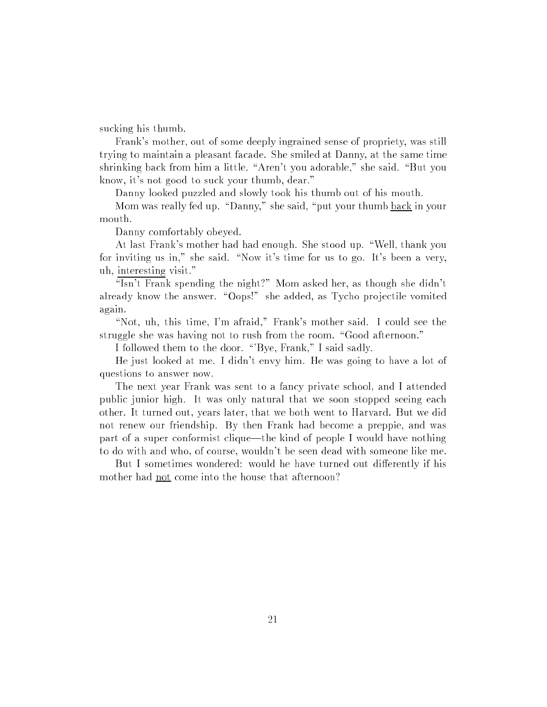sucking his thumb.

Frank's mother, out of some deeply ingrained sense of propriety, was still trying to maintain a pleasant facade. She smiled at Danny, at the same time shrinking back from him a little. "Aren't you adorable," she said. "But you know, it's not good to suck your thumb, dear."

Danny looked puzzled and slowly took his thumb out of his mouth.

Mom was really fed up. "Danny," she said, "put your thumb back in your mouth.

Danny comfortably obeyed.

At last Frank's mother had had enough. She stood up. \Well, thank you for inviting us in," she said. "Now it's time for us to go. It's been a very, uh, interesting visit."

"Isn't Frank spending the night?" Mom asked her, as though she didn't already know the answer. "Oops!" she added, as Tycho projectile vomited again.

"Not, uh, this time, I'm afraid," Frank's mother said. I could see the struggle she was having not to rush from the room. "Good afternoon."

I followed them to the door. \'Bye, Frank," I said sadly.

He just looked at me. I didn't envy him. He was going to have a lot of questions to answer now.

The next year Frank was sent to a fancy private school, and I attended public junior high. It was only natural that we soon stopped seeing each other. It turned out, years later, that we both went to Harvard. But we did not renew our friendship. By then Frank had become a preppie, and was part of a super conformist clique—the kind of people I would have nothing to do with and who, of course, wouldn't be seen dead with someone like me.

But I sometimes wondered: would he have turned out differently if his mother had not come into the house that afternoon?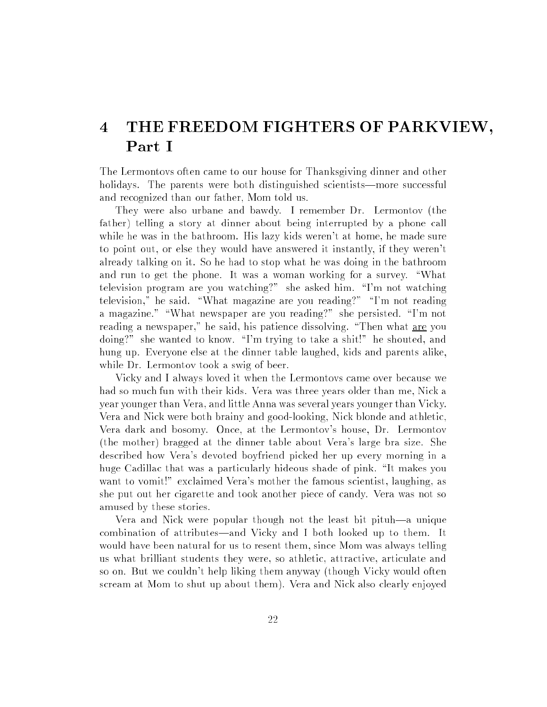## 4 THE FREEDOM FIGHTERS OF PARKVIEW, Part I

The Lermontovs often came to our house for Thanksgiving dinner and other holidays. The parents were both distinguished scientists—more successful and recognized than our father, Mom told us.

They were also urbane and bawdy. I remember Dr. Lermontov (the father) telling a story at dinner about being interrupted by a phone call while he was in the bathroom. His lazy kids weren't at home, he made sure to point out, or else they would have answered it instantly, if they weren't already talking on it. So he had to stop what he was doing in the bathroom and run to get the phone. It was a woman working for a survey. "What television program are you watching?" she asked him. \I'm not watching television," he said. \What magazine are you reading?" \I'm not reading a magazine." "What newspaper are you reading?" she persisted. "I'm not reading a newspaper," he said, his patience dissolving. "Then what are you doing?" she wanted to know. "I'm trying to take a shit!" he shouted, and hung up. Everyone else at the dinner table laughed, kids and parents alike, while Dr. Lermontov took a swig of beer.

Vicky and I always loved it when the Lermontovs came over because we had so much fun with their kids. Vera was three years older than me, Nick a year younger than Vera, and little Anna was several years younger than Vicky. Vera and Nick were both brainy and good-looking, Nick blonde and athletic, Vera dark and bosomy. Once, at the Lermontov's house, Dr. Lermontov (the mother) bragged at the dinner table about Vera's large bra size. She described how Vera's devoted boyfriend picked her up every morning in a huge Cadillac that was a particularly hideous shade of pink. \It makes you want to vomit!" exclaimed Vera's mother the famous scientist, laughing, as she put out her cigarette and took another piece of candy. Vera was not so amused by these stories.

Vera and Nick were popular though not the least bit pituh—a unique combination of attributes—and Vicky and I both looked up to them. It would have been natural for us to resent them, since Mom was always telling us what brilliant students they were, so athletic, attractive, articulate and so on. But we couldn't help liking them anyway (though Vicky would often scream at Mom to shut up about them). Vera and Nick also clearly enjoyed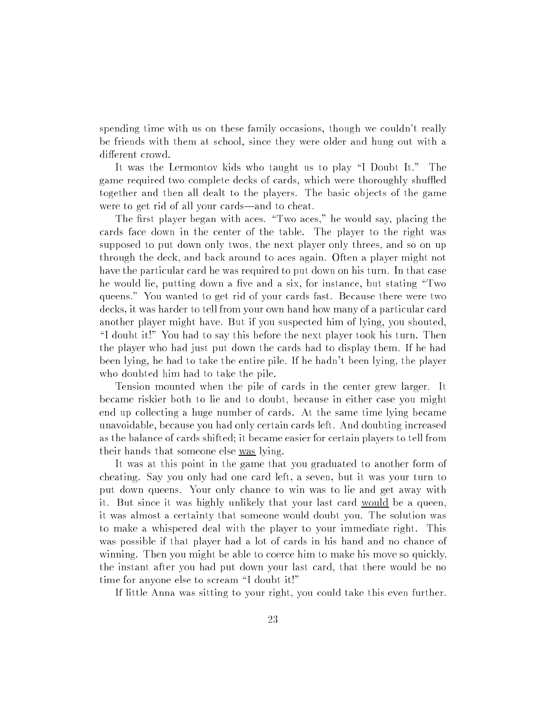spending time with us on these family occasions, though we couldn't really be friends with them at school, since they were older and hung out with a different crowd.

It was the Lermontov kids who taught us to play \I Doubt It." The game required two complete decks of cards, which were thoroughly shuffled together and then all dealt to the players. The basic objects of the game were to get rid of all your cards—and to cheat.

The first player began with aces. "Two aces," he would say, placing the cards face down in the center of the table. The player to the right was supposed to put down only twos, the next player only threes, and so on up through the deck, and back around to aces again. Often a player might not have the particular card he was required to put down on his turn. In that case he would lie, putting down a five and a six, for instance, but stating "Two queens." You wanted to get rid of your cards fast. Because there were two decks, it was harder to tell from your own hand how many of a particular card another player might have. But if you suspected him of lying, you shouted, "I doubt it!" You had to say this before the next player took his turn. Then the player who had just put down the cards had to display them. If he had been lying, he had to take the entire pile. If he hadn't been lying, the player who doubted him had to take the pile.

Tension mounted when the pile of cards in the center grew larger. It became riskier both to lie and to doubt, because in either case you might end up collecting a huge number of cards. At the same time lying became unavoidable, because you had only certain cards left. And doubting increased as the balance of cards shifted; it became easier for certain players to tell from their hands that someone else was lying.

It was at this point in the game that you graduated to another form of cheating. Say you only had one card left, a seven, but it was your turn to put down queens. Your only chance to win was to lie and get away with it. But since it was highly unlikely that your last card would be <sup>a</sup> queen, it was almost a certainty that someone would doubt you. The solution was to make a whispered deal with the player to your immediate right. This was possible if that player had a lot of cards in his hand and no chance of winning. Then you might be able to coerce him to make his move so quickly, the instant after you had put down your last card, that there would be no time for anyone else to scream "I doubt it!"

If little Anna was sitting to your right, you could take this even further.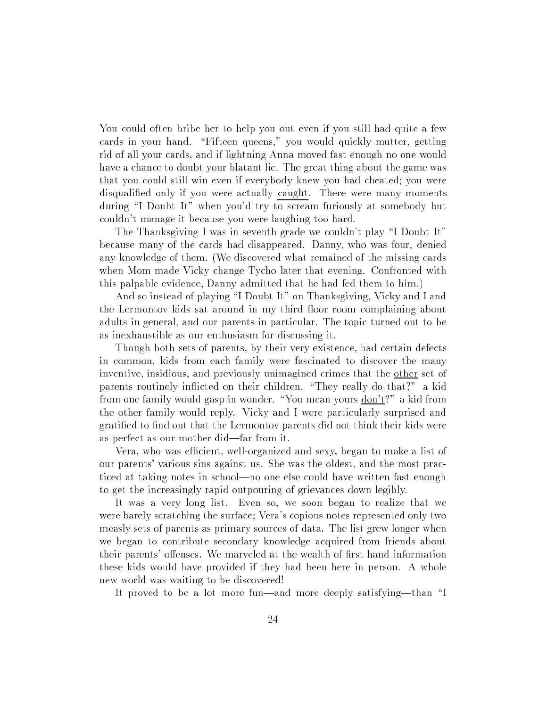You could often bribe her to help you out even if you still had quite a few cards in your hand. "Fifteen queens," you would quickly mutter, getting rid of all your cards, and if lightning Anna moved fast enough no one would have a chance to doubt your blatant lie. The great thing about the game was that you could still win even if everybody knew you had cheated; you were disqualied only if you were actually caught. There were many moments during "I Doubt It" when you'd try to scream furiously at somebody but couldn't manage it because you were laughing too hard.

The Thanksgiving I was in seventh grade we couldn't play "I Doubt It" because many of the cards had disappeared. Danny, who was four, denied any knowledge of them. (We discovered what remained of the missing cards when Mom made Vicky change Tycho later that evening. Confronted with this palpable evidence, Danny admitted that he had fed them to him.)

And so instead of playing "I Doubt It" on Thanksgiving, Vicky and I and the Lermontov kids sat around in my third floor room complaining about adults in general, and our parents in particular. The topic turned out to be as inexhaustible as our enthusiasm for discussing it.

Though both sets of parents, by their very existence, had certain defects in common, kids from each family were fascinated to discover the many inventive, insidious, and previously unimagined crimes that the other set of parents routinely inflicted on their children. "They really do that?" a kid from one family would gasp in wonder. "You mean yours don't?" a kid from the other family would reply. Vicky and I were particularly surprised and gratified to find out that the Lermontov parents did not think their kids were as perfect as our mother did—far from it.

Vera, who was efficient, well-organized and sexy, began to make a list of our parents' various sins against us. She was the oldest, and the most practiced at taking notes in school—no one else could have written fast enough to get the increasingly rapid outpouring of grievances down legibly.

It was a very long list. Even so, we soon began to realize that we were barely scratching the surface; Vera's copious notes represented only two measly sets of parents as primary sources of data. The list grew longer when we began to contribute secondary knowledge acquired from friends about their parents' offenses. We marveled at the wealth of first-hand information these kids would have provided if they had been here in person. A whole new world was waiting to be discovered!

It proved to be a lot more fun—and more deeply satisfying—than "I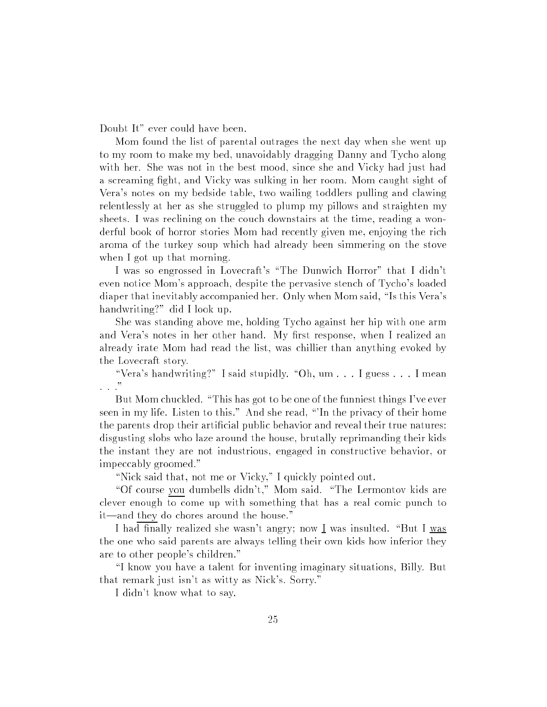Doubt It" ever could have been.

Mom found the list of parental outrages the next day when she went up to my room to make my bed, unavoidably dragging Danny and Tycho along with her. She was not in the best mood, since she and Vicky had just had a screaming fight, and Vicky was sulking in her room. Mom caught sight of Vera's notes on my bedside table, two wailing toddlers pulling and clawing relentlessly at her as she struggled to plump my pillows and straighten my sheets. I was reclining on the couch downstairs at the time, reading a wonderful book of horror stories Mom had recently given me, enjoying the rich aroma of the turkey soup which had already been simmering on the stove when I got up that morning.

I was so engrossed in Lovecraft's \The Dunwich Horror" that I didn't even notice Mom's approach, despite the pervasive stench of Tycho's loaded diaper that inevitably accompanied her. Only when Mom said, "Is this Vera's handwriting?" did I look up.

She was standing above me, holding Tycho against her hip with one arm and Vera's notes in her other hand. My first response, when I realized an already irate Mom had read the list, was chillier than anything evoked by the Lovecraft story.

"Vera's handwriting?" I said stupidly. "Oh, um . . . I guess . . . I mean  $\cdot$  .  $\cdot$  "

But Mom chuckled. "This has got to be one of the funniest things I've ever seen in my life. Listen to this." And she read, "In the privacy of their home the parents drop their articial public behavior and reveal their true natures: disgusting slobs who laze around the house, brutally reprimanding their kids the instant they are not industrious, engaged in constructive behavior, or impeccably groomed."

"Nick said that, not me or Vicky," I quickly pointed out.

"Of course you dumbells didn't," Mom said. "The Lermontov kids are clever enough to come up with something that has a real comic punch to it—and they do chores around the house."

I had finally realized she wasn't angry; now  $I$  was insulted. "But I was the one who said parents are always telling their own kids how inferior they are to other people's children."

"I know you have a talent for inventing imaginary situations, Billy. But that remark just isn't as witty as Nick's. Sorry."

I didn't know what to say.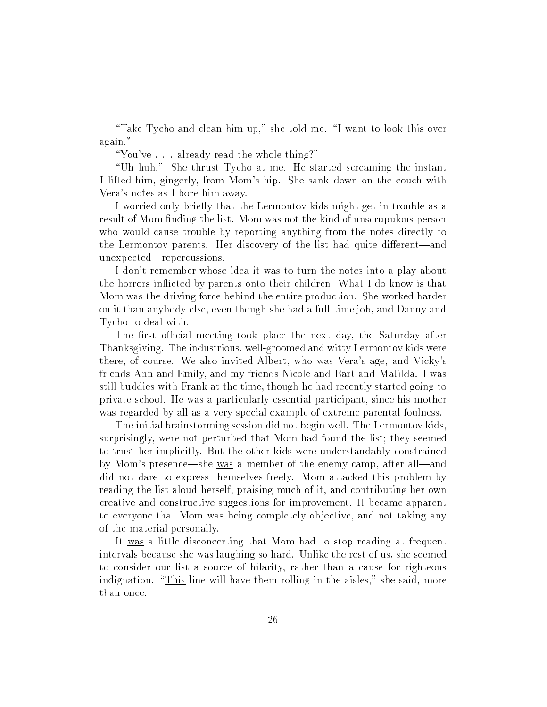"Take Tycho and clean him up," she told me. "I want to look this over again."

"You've  $\ldots$  already read the whole thing?"

"Uh huh." She thrust Tycho at me. He started screaming the instant I lifted him, gingerly, from Mom's hip. She sank down on the couch with Vera's notes as I bore him away.

I worried only briefly that the Lermontov kids might get in trouble as a result of Mom finding the list. Mom was not the kind of unscrupulous person who would cause trouble by reporting anything from the notes directly to the Lermontov parents. Her discovery of the list had quite different—and unexpected—repercussions.

I don't remember whose idea it was to turn the notes into a play about the horrors in
icted by parents onto their children. What I do know is that Mom was the driving force behind the entire production. She worked harder on it than anybody else, even though she had a full-time job, and Danny and Tycho to deal with.

The first official meeting took place the next day, the Saturday after Thanksgiving. The industrious, well-groomed and witty Lermontov kids were there, of course. We also invited Albert, who was Vera's age, and Vicky's friends Ann and Emily, and my friends Nicole and Bart and Matilda. I was still buddies with Frank at the time, though he had recently started going to private school. He was a particularly essential participant, since his mother was regarded by all as a very special example of extreme parental foulness.

The initial brainstorming session did not begin well. The Lermontov kids, surprisingly, were not perturbed that Mom had found the list; they seemed to trust her implicitly. But the other kids were understandably constrained by Mom's presence—she was a member of the enemy camp, after all—and did not dare to express themselves freely. Mom attacked this problem by reading the list aloud herself, praising much of it, and contributing her own creative and constructive suggestions for improvement. It became apparent to everyone that Mom was being completely objective, and not taking any of the material personally.

It was <sup>a</sup> little disconcerting that Mom had to stop reading at frequent intervals because she was laughing so hard. Unlike the rest of us, she seemed to consider our list a source of hilarity, rather than a cause for righteous indignation.  $T$ his line will have them rolling in the aisles," she said, more than once.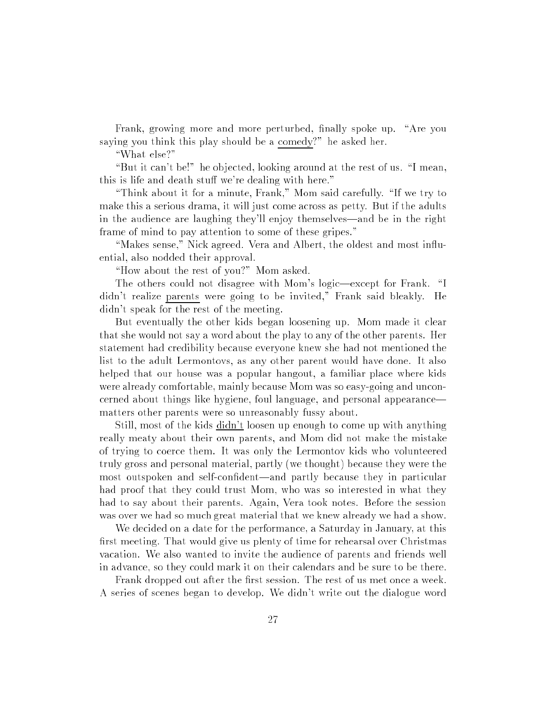Frank, growing more and more perturbed, finally spoke up. "Are you saying you think this play should be a comedy?" he asked her.

\What else?"

"But it can't be!" he objected, looking around at the rest of us. "I mean, this is life and death stuff we're dealing with here."

"Think about it for a minute, Frank," Mom said carefully. "If we try to make this a serious drama, it will just come across as petty. But if the adults in the audience are laughing they'll enjoy themselves—and be in the right frame of mind to pay attention to some of these gripes."

"Makes sense," Nick agreed. Vera and Albert, the oldest and most influential, also nodded their approval.

"How about the rest of you?" Mom asked.

The others could not disagree with Mom's logic—except for Frank. "I didn't realize parents were going to be invited," Frank said bleakly. He didn't speak for the rest of the meeting.

But eventually the other kids began loosening up. Mom made it clear that she would not say a word about the play to any of the other parents. Her statement had credibility because everyone knew she had not mentioned the list to the adult Lermontovs, as any other parent would have done. It also helped that our house was a popular hangout, a familiar place where kids were already comfortable, mainly because Mom was so easy-going and unconcerned about things like hygiene, foul language, and personal appearance| matters other parents were so unreasonably fussy about.

Still, most of the kids didn't loosen up enough to come up with anything really meaty about their own parents, and Mom did not make the mistake of trying to coerce them. It was only the Lermontov kids who volunteered truly gross and personal material, partly (we thought) because they were the most outspoken and self-confident—and partly because they in particular had proof that they could trust Mom, who was so interested in what they had to say about their parents. Again, Vera took notes. Before the session was over we had so much great material that we knew already we had a show.

We decided on a date for the performance, a Saturday in January, at this first meeting. That would give us plenty of time for rehearsal over Christmas vacation. We also wanted to invite the audience of parents and friends well in advance, so they could mark it on their calendars and be sure to be there.

Frank dropped out after the first session. The rest of us met once a week. A series of scenes began to develop. We didn't write out the dialogue word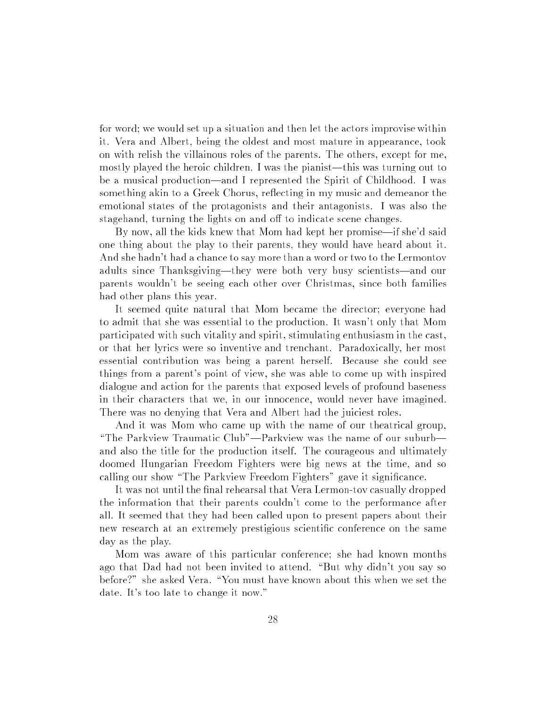for word; we would set up a situation and then let the actors improvise within it. Vera and Albert, being the oldest and most mature in appearance, took on with relish the villainous roles of the parents. The others, except for me, mostly played the heroic children. I was the pianist—this was turning out to be a musical production—and I represented the Spirit of Childhood. I was something akin to a Greek Chorus, reflecting in my music and demeanor the emotional states of the protagonists and their antagonists. I was also the stagehand, turning the lights on and off to indicate scene changes.

By now, all the kids knew that Mom had kept her promise—if she'd said one thing about the play to their parents, they would have heard about it. And she hadn't had a chance to say more than a word or two to the Lermontov adults since Thanksgiving—they were both very busy scientists—and our parents wouldn't be seeing each other over Christmas, since both families had other plans this year.

It seemed quite natural that Mom became the director; everyone had to admit that she was essential to the production. It wasn't only that Mom participated with such vitality and spirit, stimulating enthusiasm in the cast, or that her lyrics were so inventive and trenchant. Paradoxically, her most essential contribution was being a parent herself. Because she could see things from a parent's point of view, she was able to come up with inspired dialogue and action for the parents that exposed levels of profound baseness in their characters that we, in our innocence, would never have imagined. There was no denying that Vera and Albert had the juiciest roles.

And it was Mom who came up with the name of our theatrical group, "The Parkview Traumatic Club"—Parkview was the name of our suburb and also the title for the production itself. The courageous and ultimately doomed Hungarian Freedom Fighters were big news at the time, and so calling our show "The Parkview Freedom Fighters" gave it significance.

It was not until the final rehearsal that Vera Lermon-tov casually dropped the information that their parents couldn't come to the performance after all. It seemed that they had been called upon to present papers about their new research at an extremely prestigious scientific conference on the same day as the play.

Mom was aware of this particular conference; she had known months ago that Dad had not been invited to attend. "But why didn't you say so before?" she asked Vera. \You must have known about this when we set the date. It's too late to change it now."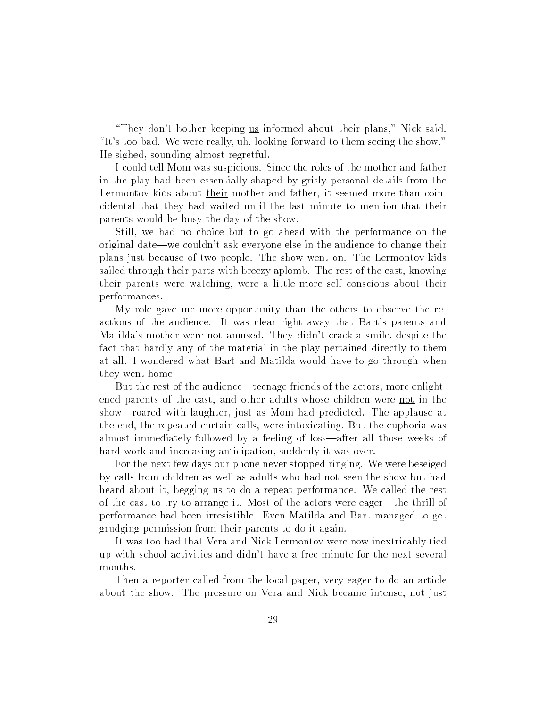"They don't bother keeping us informed about their plans," Nick said. "It's too bad. We were really, uh, looking forward to them seeing the show." He sighed, sounding almost regretful.

I could tell Mom was suspicious. Since the roles of the mother and father in the play had been essentially shaped by grisly personal details from the Lermontov kids about their mother and father, it seemed more than coincidental that they had waited until the last minute to mention that their parents would be busy the day of the show.

Still, we had no choice but to go ahead with the performance on the original date—we couldn't ask everyone else in the audience to change their plans just because of two people. The show went on. The Lermontov kids sailed through their parts with breezy aplomb. The rest of the cast, knowing their parents were watching, were a little more self conscious about their performances.

My role gave me more opportunity than the others to observe the reactions of the audience. It was clear right away that Bart's parents and Matilda's mother were not amused. They didn't crack a smile, despite the fact that hardly any of the material in the play pertained directly to them at all. I wondered what Bart and Matilda would have to go through when they went home.

But the rest of the audience—teenage friends of the actors, more enlightened parents of the cast, and other adults whose children were not in the show—roared with laughter, just as Mom had predicted. The applause at the end, the repeated curtain calls, were intoxicating. But the euphoria was almost immediately followed by a feeling of loss—after all those weeks of hard work and increasing anticipation, suddenly it was over.

For the next few days our phone never stopped ringing. We were beseiged by calls from children as well as adults who had not seen the show but had heard about it, begging us to do a repeat performance. We called the rest of the cast to try to arrange it. Most of the actors were eager—the thrill of performance had been irresistible. Even Matilda and Bart managed to get grudging permission from their parents to do it again.

It was too bad that Vera and Nick Lermontov were now inextricably tied up with school activities and didn't have a free minute for the next several months.

Then a reporter called from the local paper, very eager to do an article about the show. The pressure on Vera and Nick became intense, not just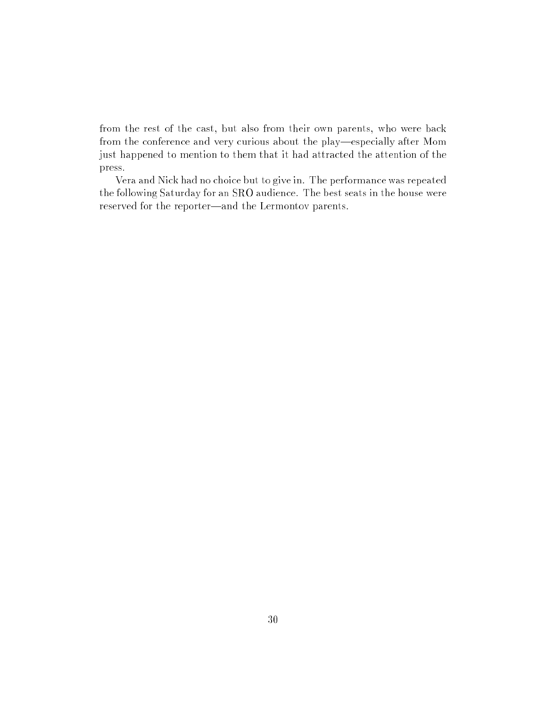from the rest of the cast, but also from their own parents, who were back from the conference and very curious about the play—especially after Mom just happened to mention to them that it had attracted the attention of the press.

Vera and Nick had no choice but to give in. The performance was repeated the following Saturday for an SRO audience. The best seats in the house were reserved for the reporter—and the Lermontov parents.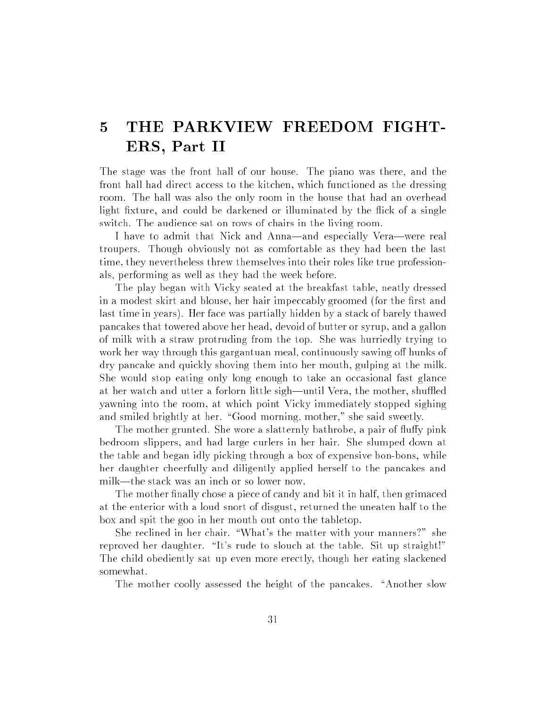# 5 THE PARKVIEW FREEDOM FIGHT-ERS, Part II

The stage was the front hall of our house. The piano was there, and the front hall had direct access to the kitchen, which functioned as the dressing room. The hall was also the only room in the house that had an overhead light fixture, and could be darkened or illuminated by the flick of a single switch. The audience sat on rows of chairs in the living room.

I have to admit that Nick and Anna—and especially Vera—were real troupers. Though obviously not as comfortable as they had been the last time, they nevertheless threw themselves into their roles like true professionals, performing as well as they had the week before.

The play began with Vicky seated at the breakfast table, neatly dressed in a modest skirt and blouse, her hair impeccably groomed (for the first and last time in years). Her face was partially hidden by a stack of barely thawed pancakes that towered above her head, devoid of butter or syrup, and a gallon of milk with a straw protruding from the top. She was hurriedly trying to work her way through this gargantuan meal, continuously sawing off hunks of dry pancake and quickly shoving them into her mouth, gulping at the milk. She would stop eating only long enough to take an occasional fast glance at her watch and utter a forlorn little sigh—until Vera, the mother, shuffled yawning into the room, at which point Vicky immediately stopped sighing and smiled brightly at her. "Good morning, mother," she said sweetly.

The mother grunted. She wore a slatternly bathrobe, a pair of fluffy pink bedroom slippers, and had large curlers in her hair. She slumped down at the table and began idly picking through a box of expensive bon-bons, while her daughter cheerfully and diligently applied herself to the pancakes and milk—the stack was an inch or so lower now.

The mother finally chose a piece of candy and bit it in half, then grimaced at the enterior with a loud snort of disgust, returned the uneaten half to the box and spit the goo in her mouth out onto the tabletop.

She reclined in her chair. "What's the matter with your manners?" she reproved her daughter. "It's rude to slouch at the table. Sit up straight!" The child obediently sat up even more erectly, though her eating slackened somewhat.

The mother coolly assessed the height of the pancakes. "Another slow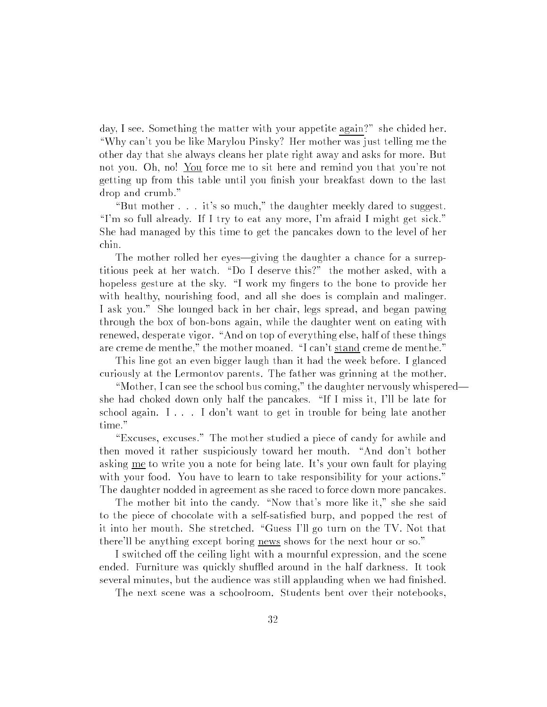day, I see. Something the matter with your appetite again?" she chided her. \Why can't you be like Marylou Pinsky? Her mother was just telling me the other day that she always cleans her plate right away and asks for more. But not you. Oh, no! You force me to sit here and remind you that you're not getting up from this table until you finish your breakfast down to the last drop and crumb."

"But mother  $\ldots$  it's so much," the daughter meekly dared to suggest. "I'm so full already. If I try to eat any more, I'm afraid I might get sick." She had managed by this time to get the pancakes down to the level of her chin.

The mother rolled her eyes—giving the daughter a chance for a surreptitious peek at her watch. "Do I deserve this?" the mother asked, with a hopeless gesture at the sky. "I work my fingers to the bone to provide her with healthy, nourishing food, and all she does is complain and malinger. I ask you." She lounged back in her chair, legs spread, and began pawing through the box of bon-bons again, while the daughter went on eating with renewed, desperate vigor. "And on top of everything else, half of these things are creme de menthe," the mother moaned. "I can't stand creme de menthe."

This line got an even bigger laugh than it had the week before. I glanced curiously at the Lermontov parents. The father was grinning at the mother.

"Mother, I can see the school bus coming," the daughter nervously whisperedshe had choked down only half the pancakes. "If I miss it, I'll be late for school again. I . . . I don't want to get in trouble for being late another time."

"Excuses, excuses." The mother studied a piece of candy for awhile and then moved it rather suspiciously toward her mouth. "And don't bother asking  $me$  to write you a note for being late. It's your own fault for playing with your food. You have to learn to take responsibility for your actions." The daughter nodded in agreement as she raced to force down more pancakes.

The mother bit into the candy. "Now that's more like it," she she said to the piece of chocolate with a self-satisfied burp, and popped the rest of it into her mouth. She stretched. "Guess I'll go turn on the TV. Not that there'll be anything except boring news shows for the next hour or so."

I switched off the ceiling light with a mournful expression, and the scene ended. Furniture was quickly shuffled around in the half darkness. It took several minutes, but the audience was still applauding when we had finished.

The next scene was a schoolroom. Students bent over their notebooks,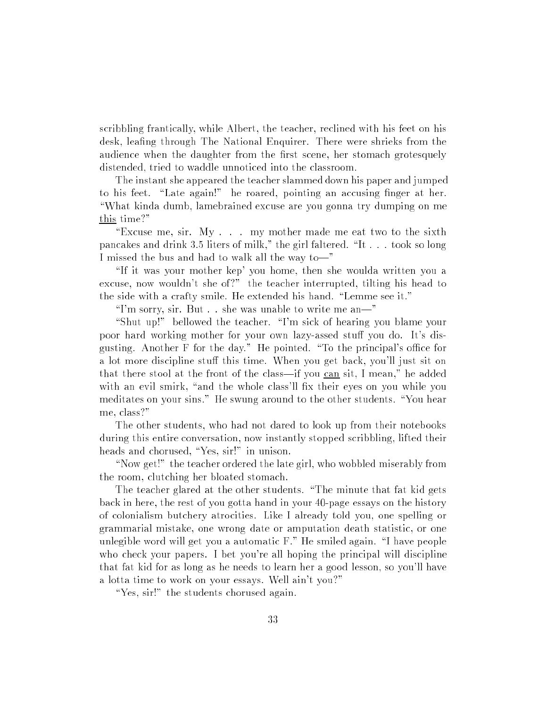scribbling frantically, while Albert, the teacher, reclined with his feet on his desk, leafing through The National Enquirer. There were shrieks from the audience when the daughter from the first scene, her stomach grotesquely distended, tried to waddle unnoticed into the classroom.

The instant she appeared the teacher slammed down his paper and jumped to his feet. "Late again!" he roared, pointing an accusing finger at her. \What kinda dumb, lamebrained excuse are you gonna try dumping on me this time?"

"Excuse me, sir. My . . . my mother made me eat two to the sixth pancakes and drink 3.5 liters of milk," the girl faltered. \It . . . took so long I missed the bus and had to walk all the way to $\rightarrow$ "

\If it was your mother kep' you home, then she woulda written you a excuse, now wouldn't she of?" the teacher interrupted, tilting his head to the side with a crafty smile. He extended his hand. "Lemme see it."

"I'm sorry, sir. But . . she was unable to write me an $"$ 

"Shut up!" bellowed the teacher. "I'm sick of hearing you blame your poor hard working mother for your own lazy-assed stuff you do. It's disgusting. Another  $F$  for the day." He pointed. "To the principal's office for a lot more discipline stuff this time. When you get back, you'll just sit on that there stool at the front of the class—if you can sit, I mean," he added with an evil smirk, "and the whole class'll fix their eyes on you while you meditates on your sins." He swung around to the other students. "You hear me, class?"

The other students, who had not dared to look up from their notebooks during this entire conversation, now instantly stopped scribbling, lifted their heads and chorused, "Yes, sir!" in unison.

"Now get!" the teacher ordered the late girl, who wobbled miserably from the room, clutching her bloated stomach.

The teacher glared at the other students. "The minute that fat kid gets back in here, the rest of you gotta hand in your 40-page essays on the history of colonialism butchery atrocities. Like I already told you, one spelling or grammarial mistake, one wrong date or amputation death statistic, or one unlegible word will get you a automatic F." He smiled again. "I have people who check your papers. I bet you're all hoping the principal will discipline that fat kid for as long as he needs to learn her a good lesson, so you'll have a lotta time to work on your essays. Well ain't you?"

"Yes, sir!" the students chorused again.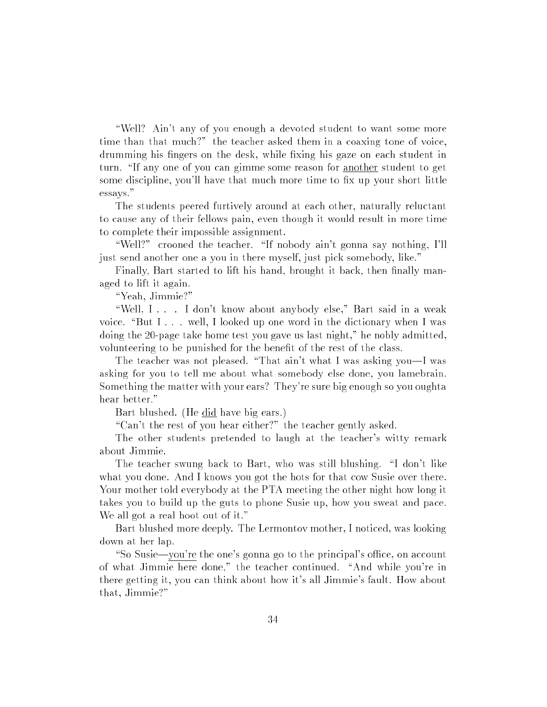"Well? Ain't any of you enough a devoted student to want some more time than that much?" the teacher asked them in a coaxing tone of voice, drumming his fingers on the desk, while fixing his gaze on each student in turn. "If any one of you can gimme some reason for another student to get some discipline, you'll have that much more time to fix up your short little essays."

The students peered furtively around at each other, naturally reluctant to cause any of their fellows pain, even though it would result in more time to complete their impossible assignment.

"Well?" crooned the teacher. "If nobody ain't gonna say nothing, I'll just send another one a you in there myself, just pick somebody, like."

Finally, Bart started to lift his hand, brought it back, then finally managed to lift it again.

\Yeah, Jimmie?"

"Well, I . . . I don't know about anybody else," Bart said in a weak voice. "But I . . . well, I looked up one word in the dictionary when I was doing the 20-page take home test you gave us last night," he nobly admitted, volunteering to be punished for the benefit of the rest of the class.

The teacher was not pleased. "That ain't what I was asking you—I was asking for you to tell me about what somebody else done, you lamebrain. Something the matter with your ears? They're sure big enough so you oughta hear better."

Bart blushed. (He did have big ears.)

"Can't the rest of you hear either?" the teacher gently asked.

The other students pretended to laugh at the teacher's witty remark about Jimmie.

The teacher swung back to Bart, who was still blushing. \I don't like what you done. And I knows you got the hots for that cow Susie over there. Your mother told everybody at the PTA meeting the other night how long it takes you to build up the guts to phone Susie up, how you sweat and pace. We all got a real hoot out of it."

Bart blushed more deeply. The Lermontov mother, I noticed, was looking down at her lap.

"So Susie—you're the one's gonna go to the principal's office, on account of what Jimmie here done," the teacher continued. "And while you're in there getting it, you can think about how it's all Jimmie's fault. How about that, Jimmie?"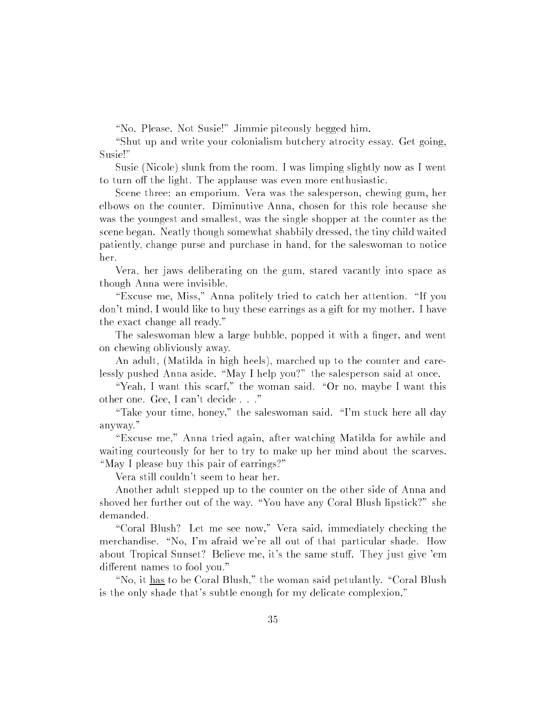"No. Please. Not Susie!" Jimmie piteously begged him.

"Shut up and write your colonialism butchery atrocity essay. Get going, Susie!"

Susie (Nicole) slunk from the room. I was limping slightly now as I went to turn off the light. The applause was even more enthusiastic.

Scene three: an emporium. Vera was the salesperson, chewing gum, her elbows on the counter. Diminutive Anna, chosen for this role because she was the youngest and smallest, was the single shopper at the counter as the scene began. Neatly though somewhat shabbily dressed, the tiny child waited patiently, change purse and purchase in hand, for the saleswoman to notice her.

Vera, her jaws deliberating on the gum, stared vacantly into space as though Anna were invisible.

"Excuse me, Miss," Anna politely tried to catch her attention. "If you don't mind, I would like to buy these earrings as a gift for my mother. I have the exact change all ready."

The saleswoman blew a large bubble, popped it with a finger, and went on chewing obliviously away.

An adult, (Matilda in high heels), marched up to the counter and carelessly pushed Anna aside. "May I help you?" the salesperson said at once.

"Yeah, I want this scarf," the woman said. "Or no, maybe I want this other one. Gee, I can't decide . . ."

"Take your time, honey," the saleswoman said. "I'm stuck here all day anyway."

"Excuse me," Anna tried again, after watching Matilda for awhile and waiting courteously for her to try to make up her mind about the scarves. "May I please buy this pair of earrings?"

Vera still couldn't seem to hear her.

Another adult stepped up to the counter on the other side of Anna and shoved her further out of the way. "You have any Coral Blush lipstick?" she demanded.

"Coral Blush? Let me see now," Vera said, immediately checking the merchandise. "No, I'm afraid we're all out of that particular shade. How about Tropical Sunset? Believe me, it's the same stuff. They just give 'em different names to fool you."

"No, it has to be Coral Blush," the woman said petulantly. "Coral Blush is the only shade that's subtle enough for my delicate complexion."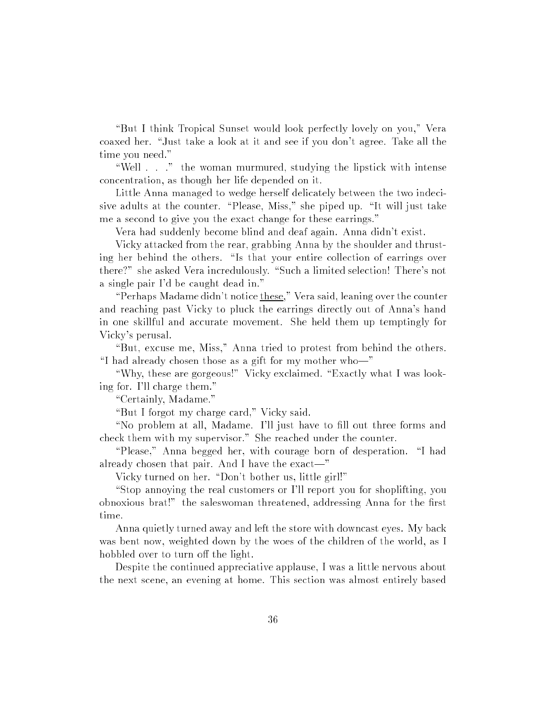"But I think Tropical Sunset would look perfectly lovely on you," Vera coaxed her. "Just take a look at it and see if you don't agree. Take all the time you need."

"Well . . ." the woman murmured, studying the lipstick with intense concentration, as though her life depended on it.

Little Anna managed to wedge herself delicately between the two indecisive adults at the counter. "Please, Miss," she piped up. "It will just take me a second to give you the exact change for these earrings."

Vera had suddenly become blind and deaf again. Anna didn't exist.

Vicky attacked from the rear, grabbing Anna by the shoulder and thrusting her behind the others. "Is that your entire collection of earrings over there?" she asked Vera incredulously. "Such a limited selection! There's not a single pair I'd be caught dead in."

"Perhaps Madame didn't notice these," Vera said, leaning over the counter and reaching past Vicky to pluck the earrings directly out of Anna's hand in one skillful and accurate movement. She held them up temptingly for Vicky's perusal.

"But, excuse me, Miss," Anna tried to protest from behind the others. "I had already chosen those as a gift for my mother who-"

"Why, these are gorgeous!" Vicky exclaimed. "Exactly what I was looking for. I'll charge them."

"Certainly, Madame."

"But I forgot my charge card," Vicky said.

"No problem at all, Madame. I'll just have to fill out three forms and check them with my supervisor." She reached under the counter.

"Please," Anna begged her, with courage born of desperation. "I had already chosen that pair. And I have the exact— $"$ 

Vicky turned on her. "Don't bother us, little girl!"

"Stop annoying the real customers or I'll report you for shoplifting, you obnoxious brat!" the saleswoman threatened, addressing Anna for the first time.

Anna quietly turned away and left the store with downcast eyes. My back was bent now, weighted down by the woes of the children of the world, as I hobbled over to turn off the light.

Despite the continued appreciative applause, I was a little nervous about the next scene, an evening at home. This section was almost entirely based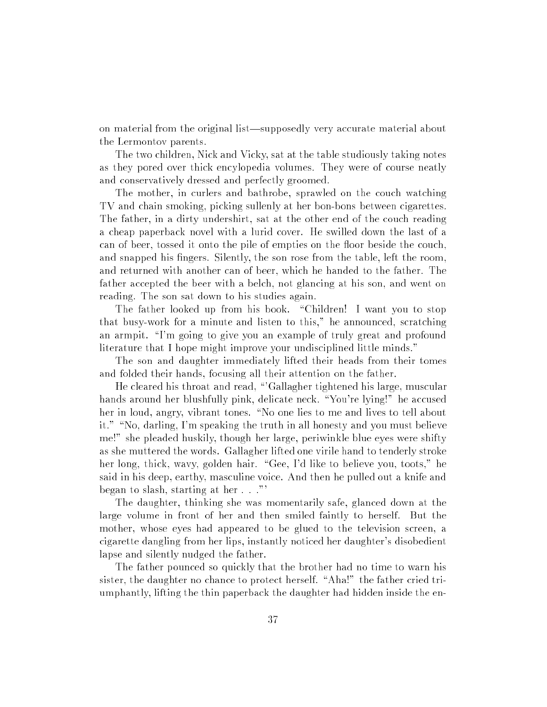on material from the original list—supposedly very accurate material about the Lermontov parents.

The two children, Nick and Vicky, sat at the table studiously taking notes as they pored over thick encylopedia volumes. They were of course neatly and conservatively dressed and perfectly groomed.

The mother, in curlers and bathrobe, sprawled on the couch watching TV and chain smoking, picking sullenly at her bon-bons between cigarettes. The father, in a dirty undershirt, sat at the other end of the couch reading a cheap paperback novel with a lurid cover. He swilled down the last of a can of beer, tossed it onto the pile of empties on the floor beside the couch. and snapped his fingers. Silently, the son rose from the table, left the room. and returned with another can of beer, which he handed to the father. The father accepted the beer with a belch, not glancing at his son, and went on reading. The son sat down to his studies again.

The father looked up from his book. \Children! I want you to stop that busy-work for a minute and listen to this," he announced, scratching an armpit. \I'm going to give you an example of truly great and profound literature that I hope might improve your undisciplined little minds."

The son and daughter immediately lifted their heads from their tomes and folded their hands, focusing all their attention on the father.

He cleared his throat and read, \'Gallagher tightened his large, muscular hands around her blushfully pink, delicate neck. "You're lying!" he accused her in loud, angry, vibrant tones. "No one lies to me and lives to tell about it." "No, darling, I'm speaking the truth in all honesty and you must believe me!" she pleaded huskily, though her large, periwinkle blue eyes were shifty as she muttered the words. Gallagher lifted one virile hand to tenderly stroke her long, thick, wavy, golden hair. "Gee, I'd like to believe you, toots," he said in his deep, earthy, masculine voice. And then he pulled out a knife and began to slash, starting at her . . ."'

The daughter, thinking she was momentarily safe, glanced down at the large volume in front of her and then smiled faintly to herself. But the mother, whose eyes had appeared to be glued to the television screen, a cigarette dangling from her lips, instantly noticed her daughter's disobedient lapse and silently nudged the father.

The father pounced so quickly that the brother had no time to warn his sister, the daughter no chance to protect herself. "Aha!" the father cried triumphantly, lifting the thin paperback the daughter had hidden inside the en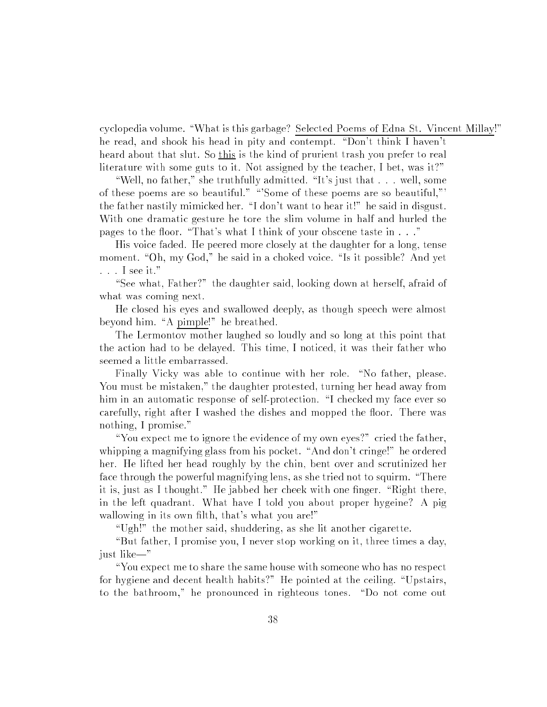cyclopedia volume. \What is this garbage? Selected Poems of Edna St. Vincent Millay!" he read, and shook his head in pity and contempt. "Don't think I haven't heard about that slut. So this is the kind of prurient trash you prefer to real literature with some guts to it. Not assigned by the teacher, I bet, was it?"

"Well, no father," she truthfully admitted. "It's just that . . . well, some of these poems are so beautiful." "'Some of these poems are so beautiful," the father nastily mimicked her. \I don't want to hear it!" he said in disgust. With one dramatic gesture he tore the slim volume in half and hurled the pages to the floor. "That's what I think of your obscene taste in . . ."

His voice faded. He peered more closely at the daughter for a long, tense moment. "Oh, my God," he said in a choked voice. "Is it possible? And yet . . . I see it."

"See what, Father?" the daughter said, looking down at herself, afraid of what was coming next.

He closed his eyes and swallowed deeply, as though speech were almost beyond him. "A pimple!" he breathed.

The Lermontov mother laughed so loudly and so long at this point that the action had to be delayed. This time, I noticed, it was their father who seemed a little embarrassed.

Finally Vicky was able to continue with her role. "No father, please. You must be mistaken," the daughter protested, turning her head away from him in an automatic response of self-protection. "I checked my face ever so carefully, right after I washed the dishes and mopped the floor. There was nothing, I promise."

"You expect me to ignore the evidence of my own eyes?" cried the father, whipping a magnifying glass from his pocket. "And don't cringe!" he ordered her. He lifted her head roughly by the chin, bent over and scrutinized her face through the powerful magnifying lens, as she tried not to squirm. "There it is, just as I thought." He jabbed her cheek with one finger. "Right there, in the left quadrant. What have I told you about proper hygeine? A pig wallowing in its own filth, that's what you are!"

"Ugh!" the mother said, shuddering, as she lit another cigarette.

"But father, I promise you, I never stop working on it, three times a day. just like—"

\You expect me to share the same house with someone who has no respect for hygiene and decent health habits?" He pointed at the ceiling. \Upstairs, to the bathroom," he pronounced in righteous tones. "Do not come out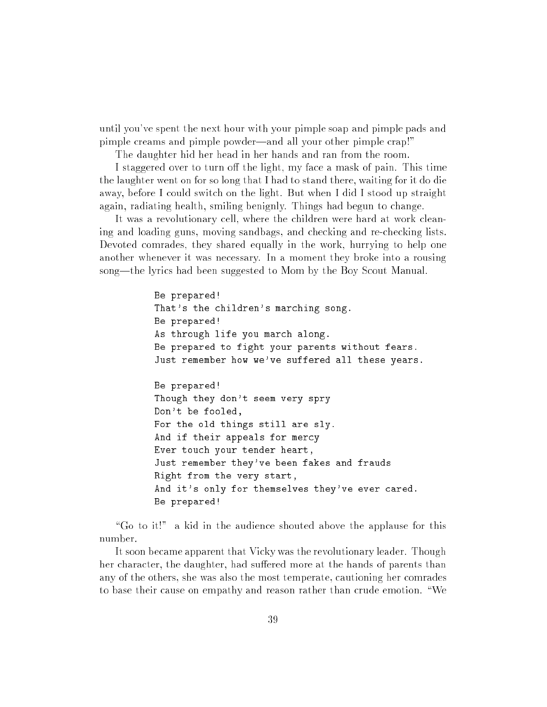until you've spent the next hour with your pimple soap and pimple pads and pimple creams and pimple powder—and all your other pimple crap!"

The daughter hid her head in her hands and ran from the room.

I staggered over to turn off the light, my face a mask of pain. This time the laughter went on for so long that I had to stand there, waiting for it do die away, before I could switch on the light. But when I did I stood up straight again, radiating health, smiling benignly. Things had begun to change.

It was a revolutionary cell, where the children were hard at work cleaning and loading guns, moving sandbags, and checking and re-checking lists. Devoted comrades, they shared equally in the work, hurrying to help one another whenever it was necessary. In a moment they broke into a rousing song—the lyrics had been suggested to Mom by the Boy Scout Manual.

```
Be prepared!
That's the children's marching song.
Be prepared!
As through life you march along.
Be prepared to fight your parents without fears.
Just remember how we've suffered all these years.
Be prepared!
Though they don't seem very spry
Don't be fooled,
For the old things still are sly.
And if their appeals for mercy
Ever touch your tender heart,
Just remember they've been fakes and frauds
Right from the very start,
And it's only for themselves they've ever cared.
Be prepared!
```
"Go to it!" a kid in the audience shouted above the applause for this number.

It soon became apparent that Vicky was the revolutionary leader. Though her character, the daughter, had suffered more at the hands of parents than any of the others, she was also the most temperate, cautioning her comrades to base their cause on empathy and reason rather than crude emotion. \We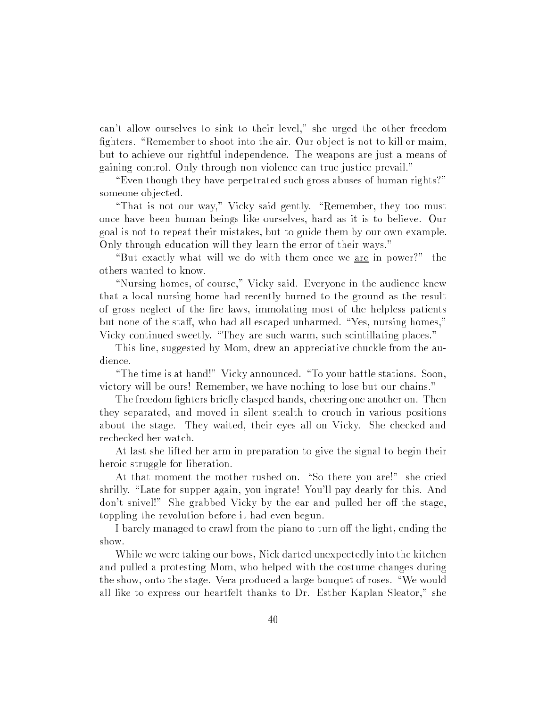can't allow ourselves to sink to their level," she urged the other freedom fighters. "Remember to shoot into the air. Our object is not to kill or maim, but to achieve our rightful independence. The weapons are just a means of gaining control. Only through non-violence can true justice prevail."

\Even though they have perpetrated such gross abuses of human rights?" someone objected.

"That is not our way," Vicky said gently. "Remember, they too must once have been human beings like ourselves, hard as it is to believe. Our goal is not to repeat their mistakes, but to guide them by our own example. Only through education will they learn the error of their ways."

\But exactly what will we do with them once we are in power?" the others wanted to know.

"Nursing homes, of course," Vicky said. Everyone in the audience knew that a local nursing home had recently burned to the ground as the result of gross neglect of the fire laws, immolating most of the helpless patients but none of the staff, who had all escaped unharmed. "Yes, nursing homes," Vicky continued sweetly. "They are such warm, such scintillating places."

This line, suggested by Mom, drew an appreciative chuckle from the audience.

"The time is at hand!" Vicky announced. "To your battle stations. Soon, victory will be ours! Remember, we have nothing to lose but our chains."

The freedom fighters briefly clasped hands, cheering one another on. Then they separated, and moved in silent stealth to crouch in various positions about the stage. They waited, their eyes all on Vicky. She checked and rechecked her watch.

At last she lifted her arm in preparation to give the signal to begin their heroic struggle for liberation.

At that moment the mother rushed on. "So there you are!" she cried shrilly. "Late for supper again, you ingrate! You'll pay dearly for this. And don't snivel!" She grabbed Vicky by the ear and pulled her off the stage, toppling the revolution before it had even begun.

I barely managed to crawl from the piano to turn off the light, ending the show.

While we were taking our bows, Nick darted unexpectedly into the kitchen and pulled a protesting Mom, who helped with the costume changes during the show, onto the stage. Vera produced a large bouquet of roses. \We would all like to express our heartfelt thanks to Dr. Esther Kaplan Sleator," she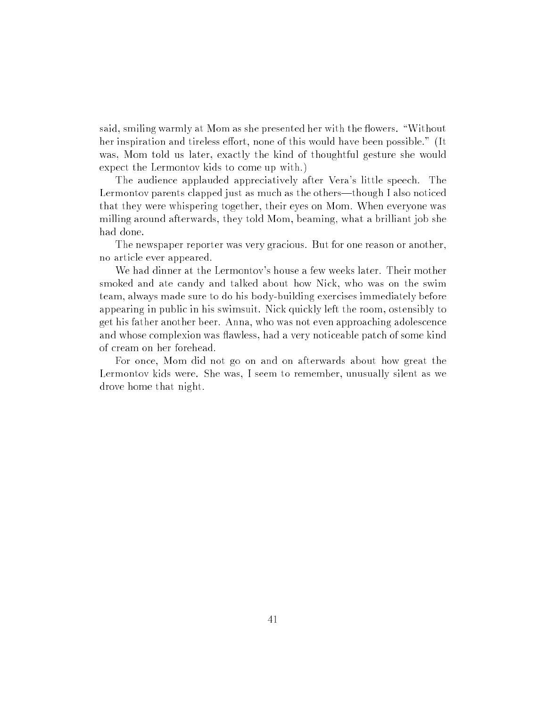said, smiling warmly at Mom as she presented her with the flowers. "Without" her inspiration and tireless effort, none of this would have been possible." (It was, Mom told us later, exactly the kind of thoughtful gesture she would expect the Lermontov kids to come up with.)

The audience applauded appreciatively after Vera's little speech. The Lermontov parents clapped just as much as the others—though I also noticed that they were whispering together, their eyes on Mom. When everyone was milling around afterwards, they told Mom, beaming, what a brilliant job she had done.

The newspaper reporter was very gracious. But for one reason or another, no article ever appeared.

We had dinner at the Lermontov's house a few weeks later. Their mother smoked and ate candy and talked about how Nick, who was on the swim team, always made sure to do his body-building exercises immediately before appearing in public in his swimsuit. Nick quickly left the room, ostensibly to get his father another beer. Anna, who was not even approaching adolescence and whose complexion was flawless, had a very noticeable patch of some kind of cream on her forehead.

For once, Mom did not go on and on afterwards about how great the Lermontov kids were. She was, I seem to remember, unusually silent as we drove home that night.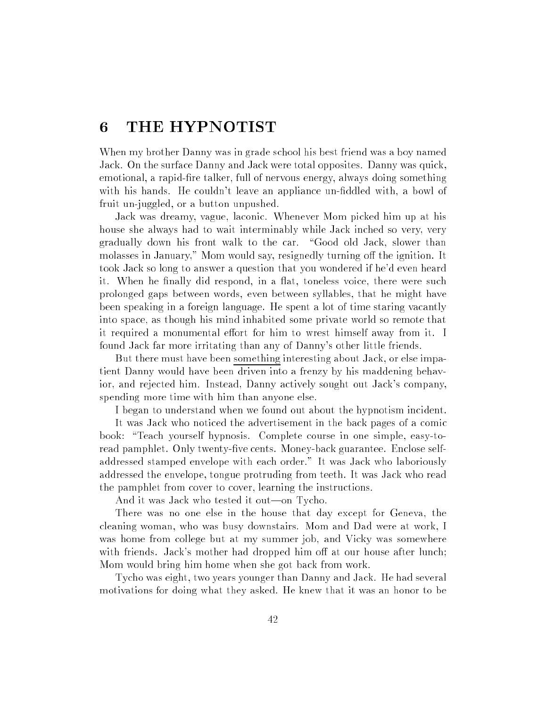## 6 THE HYPNOTIST

When my brother Danny was in grade school his best friend was a boy named Jack. On the surface Danny and Jack were total opposites. Danny was quick, emotional, a rapid-fire talker, full of nervous energy, always doing something with his hands. He couldn't leave an appliance un-fiddled with, a bowl of fruit un-juggled, or a button unpushed.

Jack was dreamy, vague, laconic. Whenever Mom picked him up at his house she always had to wait interminably while Jack inched so very, very gradually down his front walk to the car. "Good old Jack, slower than molasses in January," Mom would say, resignedly turning off the ignition. It took Jack so long to answer a question that you wondered if he'd even heard it. When he finally did respond, in a flat, toneless voice, there were such prolonged gaps between words, even between syllables, that he might have been speaking in a foreign language. He spent a lot of time staring vacantly into space, as though his mind inhabited some private world so remote that it required a monumental effort for him to wrest himself away from it. I found Jack far more irritating than any of Danny's other little friends.

But there must have been something interesting about Jack, or else impatient Danny would have been driven into a frenzy by his maddening behavior, and rejected him. Instead, Danny actively sought out Jack's company, spending more time with him than anyone else.

I began to understand when we found out about the hypnotism incident.

It was Jack who noticed the advertisement in the back pages of a comic book: "Teach yourself hypnosis. Complete course in one simple, easy-toread pamphlet. Only twenty-five cents. Money-back guarantee. Enclose selfaddressed stamped envelope with each order." It was Jack who laboriously addressed the envelope, tongue protruding from teeth. It was Jack who read the pamphlet from cover to cover, learning the instructions.

And it was Jack who tested it out—on Tycho.

There was no one else in the house that day except for Geneva, the cleaning woman, who was busy downstairs. Mom and Dad were at work, I was home from college but at my summer job, and Vicky was somewhere with friends. Jack's mother had dropped him off at our house after lunch: Mom would bring him home when she got back from work.

Tycho was eight, two years younger than Danny and Jack. He had several motivations for doing what they asked. He knew that it was an honor to be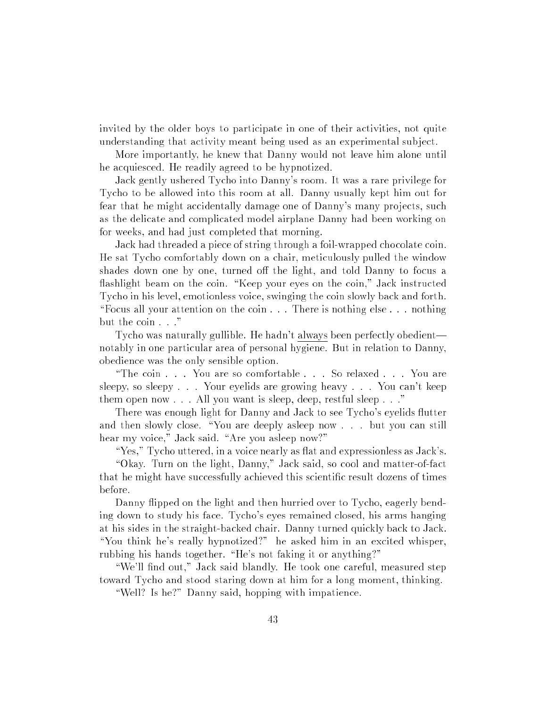invited by the older boys to participate in one of their activities, not quite understanding that activity meant being used as an experimental subject.

More importantly, he knew that Danny would not leave him alone until he acquiesced. He readily agreed to be hypnotized.

Jack gently ushered Tycho into Danny's room. It was a rare privilege for Tycho to be allowed into this room at all. Danny usually kept him out for fear that he might accidentally damage one of Danny's many projects, such as the delicate and complicated model airplane Danny had been working on for weeks, and had just completed that morning.

Jack had threaded a piece of string through a foil-wrapped chocolate coin. He sat Tycho comfortably down on a chair, meticulously pulled the window shades down one by one, turned off the light, and told Danny to focus a flashlight beam on the coin. "Keep your eyes on the coin," Jack instructed Tycho in his level, emotionless voice, swinging the coin slowly back and forth. \Focus all your attention on the coin . . . There is nothing else . . . nothing but the coin . . ."

Tycho was naturally gullible. He hadn't always been perfectly obedient| notably in one particular area of personal hygiene. But in relation to Danny, obedience was the only sensible option.

"The coin  $\ldots$  You are so comfortable . . . So relaxed . . . You are sleepy, so sleepy . . . Your eyelids are growing heavy . . . You can't keep them open now . . . All you want is sleep, deep, restful sleep . . ."

There was enough light for Danny and Jack to see Tycho's eyelids flutter and then slowly close. "You are deeply asleep now . . . but you can still hear my voice," Jack said. "Are you asleep now?"

"Yes," Tycho uttered, in a voice nearly as flat and expressionless as Jack's.

"Okay. Turn on the light, Danny," Jack said, so cool and matter-of-fact that he might have successfully achieved this scientic result dozens of times before.

Danny flipped on the light and then hurried over to Tycho, eagerly bending down to study his face. Tycho's eyes remained closed, his arms hanging at his sides in the straight-backed chair. Danny turned quickly back to Jack. "You think he's really hypnotized?" he asked him in an excited whisper, rubbing his hands together. "He's not faking it or anything?"

"We'll find out," Jack said blandly. He took one careful, measured step toward Tycho and stood staring down at him for a long moment, thinking.

"Well? Is he?" Danny said, hopping with impatience.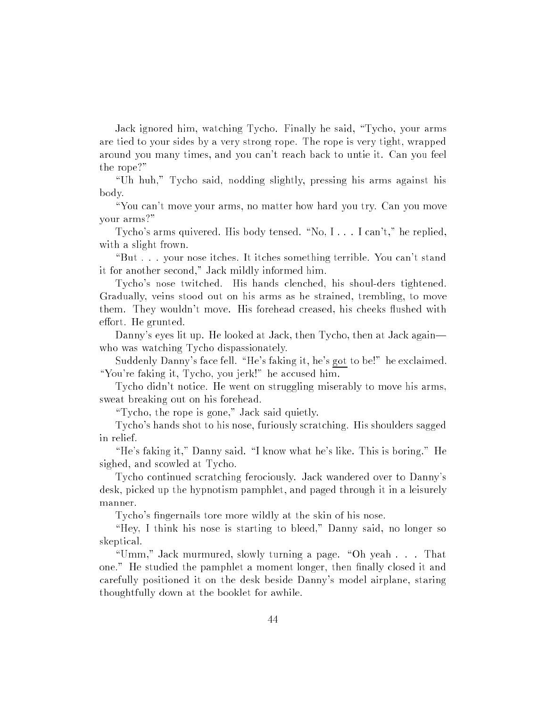Jack ignored him, watching Tycho. Finally he said, \Tycho, your arms are tied to your sides by a very strong rope. The rope is very tight, wrapped around you many times, and you can't reach back to untie it. Can you feel the rope?"

"Uh huh," Tycho said, nodding slightly, pressing his arms against his body.

"You can't move your arms, no matter how hard you try. Can you move your arms?"

Tycho's arms quivered. His body tensed. "No, I . . . I can't," he replied, with a slight frown.

 $\text{But}$  . . . your nose itches. It itches something terrible. You can't stand it for another second," Jack mildly informed him.

Tycho's nose twitched. His hands clenched, his shoul-ders tightened. Gradually, veins stood out on his arms as he strained, trembling, to move them. They wouldn't move. His forehead creased, his cheeks flushed with effort. He grunted.

Danny's eyes lit up. He looked at Jack, then Tycho, then at Jack again who was watching Tycho dispassionately.

Suddenly Danny's face fell. "He's faking it, he's got to be!" he exclaimed. "You're faking it, Tycho, you jerk!" he accused him.

Tycho didn't notice. He went on struggling miserably to move his arms, sweat breaking out on his forehead.

"Tycho, the rope is gone," Jack said quietly.

Tycho's hands shot to his nose, furiously scratching. His shoulders sagged in relief.

"He's faking it," Danny said. "I know what he's like. This is boring." He sighed, and scowled at Tycho.

Tycho continued scratching ferociously. Jack wandered over to Danny's desk, picked up the hypnotism pamphlet, and paged through it in a leisurely manner.

Tycho's fingernails tore more wildly at the skin of his nose.

"Hey, I think his nose is starting to bleed," Danny said, no longer so skeptical.

"Umm," Jack murmured, slowly turning a page. "Oh yeah . . . That one." He studied the pamphlet a moment longer, then finally closed it and carefully positioned it on the desk beside Danny's model airplane, staring thoughtfully down at the booklet for awhile.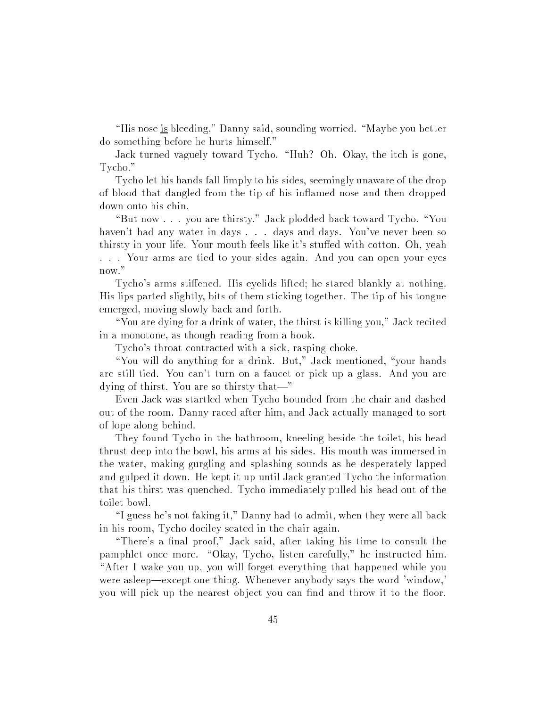"His nose <u>is</u> bleeding," Danny said, sounding worried. "Maybe you better do something before he hurts himself."

Jack turned vaguely toward Tycho. "Huh? Oh. Okay, the itch is gone, Tycho."

Tycho let his hands fall limply to his sides, seemingly unaware of the drop of blood that dangled from the tip of his in
amed nose and then dropped down onto his chin.

"But now . . . you are thirsty." Jack plodded back toward Tycho. "You haven't had any water in days . . . days and days. You've never been so thirsty in your life. Your mouth feels like it's stuffed with cotton. Oh, yeah . . . Your arms are tied to your sides again. And you can open your eyes now."

Tycho's arms stiffened. His eyelids lifted; he stared blankly at nothing. His lips parted slightly, bits of them sticking together. The tip of his tongue emerged, moving slowly back and forth.

"You are dying for a drink of water, the thirst is killing you," Jack recited in a monotone, as though reading from a book.

Tycho's throat contracted with a sick, rasping choke.

"You will do anything for a drink. But," Jack mentioned, "your hands are still tied. You can't turn on a faucet or pick up a glass. And you are dying of thirst. You are so thirsty that—"

Even Jack was startled when Tycho bounded from the chair and dashed out of the room. Danny raced after him, and Jack actually managed to sort of lope along behind.

They found Tycho in the bathroom, kneeling beside the toilet, his head thrust deep into the bowl, his arms at his sides. His mouth was immersed in the water, making gurgling and splashing sounds as he desperately lapped and gulped it down. He kept it up until Jack granted Tycho the information that his thirst was quenched. Tycho immediately pulled his head out of the toilet bowl.

"I guess he's not faking it," Danny had to admit, when they were all back in his room, Tycho dociley seated in the chair again.

"There's a final proof," Jack said, after taking his time to consult the pamphlet once more. "Okay, Tycho, listen carefully," he instructed him. "After I wake you up, you will forget everything that happened while you were asleep—except one thing. Whenever anybody says the word 'window, you will pick up the nearest object you can find and throw it to the floor.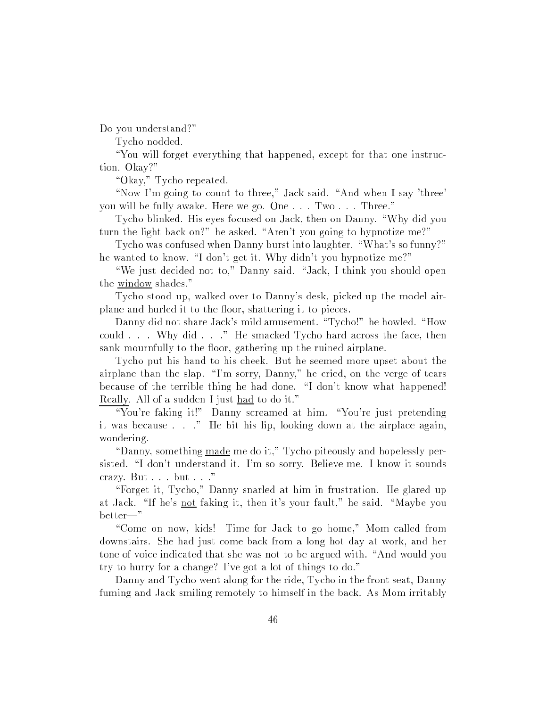Do you understand?"

Tycho nodded.

"You will forget everything that happened, except for that one instruction. Okay?"

"Okay," Tycho repeated.

"Now I'm going to count to three," Jack said. "And when I say 'three' you will be fully awake. Here we go. One . . . Two . . . Three."

Tycho blinked. His eyes focused on Jack, then on Danny. \Why did you turn the light back on?" he asked. "Aren't you going to hypnotize me?"

Tycho was confused when Danny burst into laughter. "What's so funny?" he wanted to know. "I don't get it. Why didn't you hypnotize me?"

"We just decided not to," Danny said. "Jack, I think you should open the window shades."

Tycho stood up, walked over to Danny's desk, picked up the model airplane and hurled it to the floor, shattering it to pieces.

Danny did not share Jack's mild amusement. "Tycho!" he howled. "How could . . . Why did . . ." He smacked Tycho hard across the face, then sank mournfully to the floor, gathering up the ruined airplane.

Tycho put his hand to his cheek. But he seemed more upset about the airplane than the slap.  $\lq$ I'm sorry, Danny," he cried, on the verge of tears because of the terrible thing he had done. \I don't know what happened! Really. All of a sudden I just had to do it."

"You're faking it!" Danny screamed at him. "You're just pretending it was because . . ." He bit his lip, looking down at the airplace again, wondering.

"Danny, something made me do it," Tycho piteously and hopelessly persisted. "I don't understand it. I'm so sorry. Believe me. I know it sounds crazy. But . . . but . . ."

"Forget it, Tycho," Danny snarled at him in frustration. He glared up at Jack. "If he's not faking it, then it's your fault," he said. "Maybe you better—"

"Come on now, kids! Time for Jack to go home," Mom called from downstairs. She had just come back from a long hot day at work, and her tone of voice indicated that she was not to be argued with. "And would you try to hurry for a change? I've got a lot of things to do."

Danny and Tycho went along for the ride, Tycho in the front seat, Danny fuming and Jack smiling remotely to himself in the back. As Mom irritably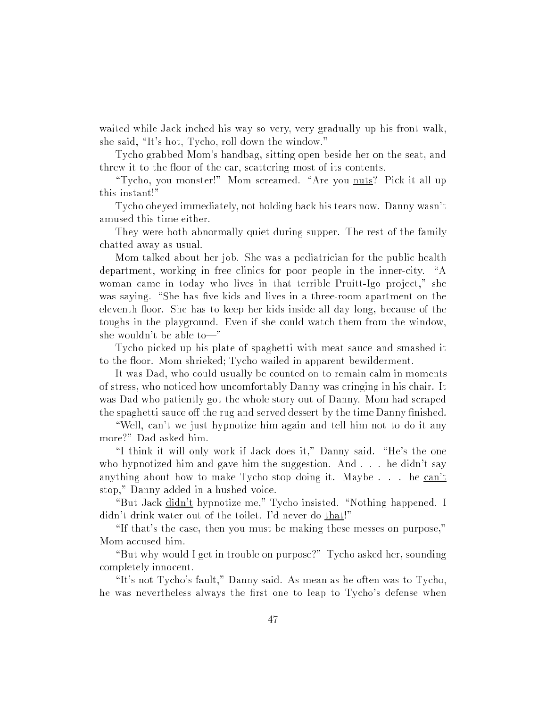waited while Jack inched his way so very, very gradually up his front walk, she said, "It's hot, Tycho, roll down the window."

Tycho grabbed Mom's handbag, sitting open beside her on the seat, and threw it to the floor of the car, scattering most of its contents.

"Tycho, you monster!" Mom screamed. "Are you nuts? Pick it all up this instant!"

Tycho obeyed immediately, not holding back his tears now. Danny wasn't amused this time either.

They were both abnormally quiet during supper. The rest of the family chatted away as usual.

Mom talked about her job. She was a pediatrician for the public health department, working in free clinics for poor people in the inner-city. "A woman came in today who lives in that terrible Pruitt-Igo project," she was saying. "She has five kids and lives in a three-room apartment on the eleventh 
oor. She has to keep her kids inside all day long, because of the toughs in the playground. Even if she could watch them from the window, she wouldn't be able to—"

Tycho picked up his plate of spaghetti with meat sauce and smashed it to the floor. Mom shrieked; Tycho wailed in apparent bewilderment.

It was Dad, who could usually be counted on to remain calm in moments of stress, who noticed how uncomfortably Danny was cringing in his chair. It was Dad who patiently got the whole story out of Danny. Mom had scraped the spaghetti sauce off the rug and served dessert by the time Danny finished.

"Well, can't we just hypnotize him again and tell him not to do it any more?" Dad asked him.

"I think it will only work if Jack does it," Danny said. "He's the one who hypnotized him and gave him the suggestion. And . . . he didn't say anything about how to make Tycho stop doing it. Maybe  $\ldots$  he can't stop," Danny added in a hushed voice.

"But Jack didn't hypnotize me," Tycho insisted. "Nothing happened. I didn't drink water out of the toilet. I'd never do that!"

"If that's the case, then you must be making these messes on purpose," Mom accused him.

"But why would I get in trouble on purpose?" Tycho asked her, sounding completely innocent.

"It's not Tycho's fault," Danny said. As mean as he often was to Tycho. he was nevertheless always the first one to leap to Tycho's defense when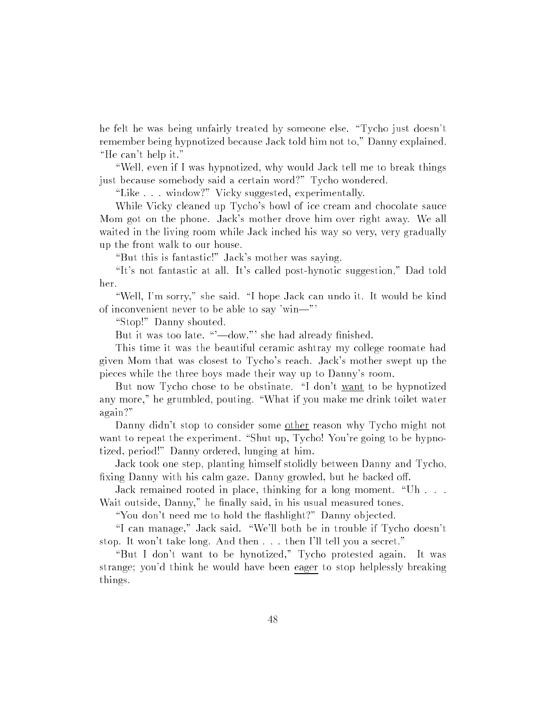he felt he was being unfairly treated by someone else. "Tycho just doesn't remember being hypnotized because Jack told him not to," Danny explained. "He can't help it."

Well, even if I was hypnotized, why would Jack tell me to break things just because somebody said a certain word?" Tycho wondered.

"Like . . . window?" Vicky suggested, experimentally.

While Vicky cleaned up Tycho's bowl of ice cream and chocolate sauce Mom got on the phone. Jack's mother drove him over right away. We all waited in the living room while Jack inched his way so very, very gradually up the front walk to our house.

"But this is fantastic!" Jack's mother was saying.

\It's not fantastic at all. It's called post-hynotic suggestion," Dad told her.

"Well, I'm sorry," she said. "I hope Jack can undo it. It would be kind of inconvenient never to be able to say 'win-"'

" $\operatorname{Stop}$ !" Danny shouted.

But it was too late. " $-dow$ ," she had already finished.

This time it was the beautiful ceramic ashtray my college roomate had given Mom that was closest to Tycho's reach. Jack's mother swept up the pieces while the three boys made their way up to Danny's room.

But now Tycho chose to be obstinate. "I don't <u>want</u> to be hypnotized any more," he grumbled, pouting. \What if you make me drink toilet water again?"

Danny didn't stop to consider some other reason why Tycho might not want to repeat the experiment. "Shut up, Tycho! You're going to be hypnotized, period!" Danny ordered, lunging at him.

Jack took one step, planting himself stolidly between Danny and Tycho, fixing Danny with his calm gaze. Danny growled, but he backed off.

Jack remained rooted in place, thinking for a long moment. "Uh . . . Wait outside, Danny," he finally said, in his usual measured tones.

"You don't need me to hold the flashlight?" Danny objected.

"I can manage," Jack said. "We'll both be in trouble if Tycho doesn't stop. It won't take long. And then . . . then I'll tell you a secret."

"But I don't want to be hynotized," Tycho protested again. It was strange; you'd think he would have been eager to stop helplessly breaking things.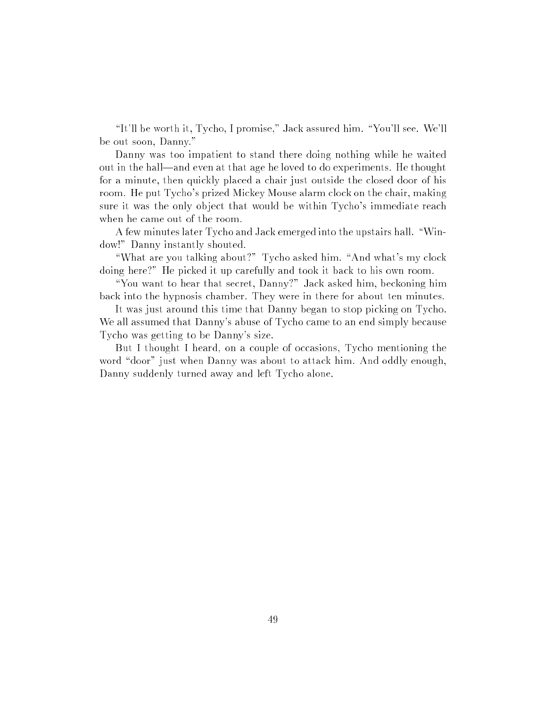"It'll be worth it, Tycho, I promise," Jack assured him. "You'll see. We'll be out soon, Danny."

Danny was too impatient to stand there doing nothing while he waited out in the hall—and even at that age he loved to do experiments. He thought for a minute, then quickly placed a chair just outside the closed door of his room. He put Tycho's prized Mickey Mouse alarm clock on the chair, making sure it was the only object that would be within Tycho's immediate reach when he came out of the room.

A few minutes later Tycho and Jack emerged into the upstairs hall. \Window!" Danny instantly shouted.

"What are you talking about?" Tycho asked him. "And what's my clock doing here?" He picked it up carefully and took it back to his own room.

"You want to hear that secret, Danny?" Jack asked him, beckoning him back into the hypnosis chamber. They were in there for about ten minutes.

It was just around this time that Danny began to stop picking on Tycho. We all assumed that Danny's abuse of Tycho came to an end simply because Tycho was getting to be Danny's size.

But I thought I heard, on a couple of occasions, Tycho mentioning the word "door" just when Danny was about to attack him. And oddly enough, Danny suddenly turned away and left Tycho alone.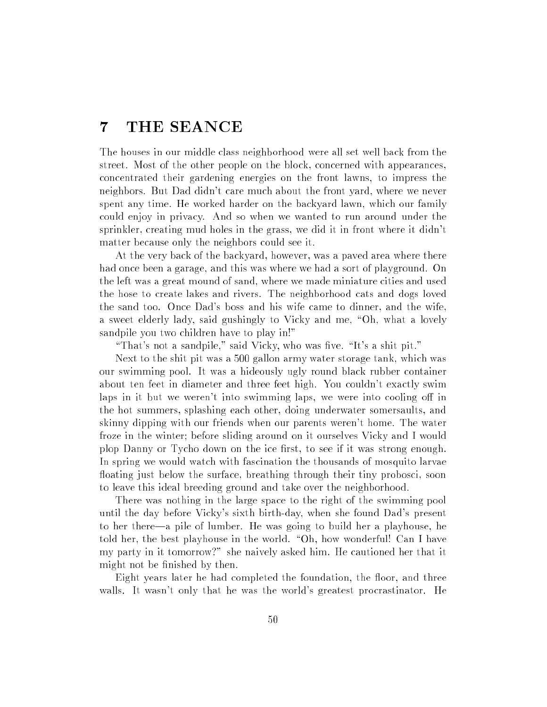## 7 THE SEANCE

The houses in our middle class neighborhood were all set well back from the street. Most of the other people on the block, concerned with appearances, concentrated their gardening energies on the front lawns, to impress the neighbors. But Dad didn't care much about the front yard, where we never spent any time. He worked harder on the backyard lawn, which our family could enjoy in privacy. And so when we wanted to run around under the sprinkler, creating mud holes in the grass, we did it in front where it didn't matter because only the neighbors could see it.

At the very back of the backyard, however, was a paved area where there had once been a garage, and this was where we had a sort of playground. On the left was a great mound of sand, where we made miniature cities and used the hose to create lakes and rivers. The neighborhood cats and dogs loved the sand too. Once Dad's boss and his wife came to dinner, and the wife, a sweet elderly lady, said gushingly to Vicky and me, "Oh, what a lovely sandpile you two children have to play in!"

"That's not a sandpile," said Vicky, who was five. "It's a shit pit."

Next to the shit pit was a 500 gallon army water storage tank, which was our swimming pool. It was a hideously ugly round black rubber container about ten feet in diameter and three feet high. You couldn't exactly swim laps in it but we weren't into swimming laps, we were into cooling off in the hot summers, splashing each other, doing underwater somersaults, and skinny dipping with our friends when our parents weren't home. The water froze in the winter; before sliding around on it ourselves Vicky and I would plop Danny or Tycho down on the ice first, to see if it was strong enough. In spring we would watch with fascination the thousands of mosquito larvae floating just below the surface, breathing through their tiny probosci, soon to leave this ideal breeding ground and take over the neighborhood.

There was nothing in the large space to the right of the swimming pool until the day before Vicky's sixth birth-day, when she found Dad's present to her there—a pile of lumber. He was going to build her a playhouse, he told her, the best playhouse in the world. "Oh, how wonderful! Can I have my party in it tomorrow?" she naively asked him. He cautioned her that it might not be finished by then.

Eight years later he had completed the foundation, the floor, and three walls. It wasn't only that he was the world's greatest procrastinator. He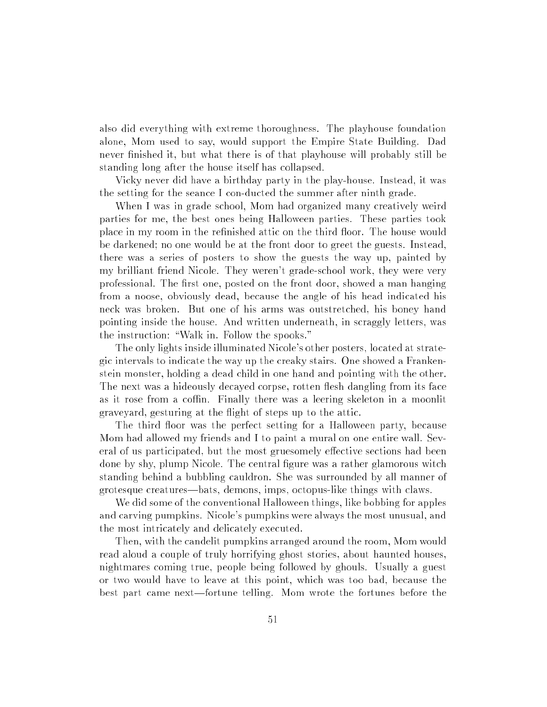also did everything with extreme thoroughness. The playhouse foundation alone, Mom used to say, would support the Empire State Building. Dad never nished it, but what there is of that playhouse will probably still be standing long after the house itself has collapsed.

Vicky never did have a birthday party in the play-house. Instead, it was the setting for the seance I con-ducted the summer after ninth grade.

When I was in grade school, Mom had organized many creatively weird parties for me, the best ones being Halloween parties. These parties took place in my room in the refinished attic on the third floor. The house would be darkened; no one would be at the front door to greet the guests. Instead, there was a series of posters to show the guests the way up, painted by my brilliant friend Nicole. They weren't grade-school work, they were very professional. The first one, posted on the front door, showed a man hanging from a noose, obviously dead, because the angle of his head indicated his neck was broken. But one of his arms was outstretched, his boney hand pointing inside the house. And written underneath, in scraggly letters, was the instruction: "Walk in. Follow the spooks."

The only lights inside illuminated Nicole's other posters, located at strategic intervals to indicate the way up the creaky stairs. One showed a Frankenstein monster, holding a dead child in one hand and pointing with the other. The next was a hideously decayed corpse, rotten flesh dangling from its face as it rose from a coffin. Finally there was a leering skeleton in a moonlit graveyard, gesturing at the flight of steps up to the attic.

The third floor was the perfect setting for a Halloween party, because Mom had allowed my friends and I to paint a mural on one entire wall. Several of us participated, but the most gruesomely effective sections had been done by shy, plump Nicole. The central figure was a rather glamorous witch standing behind a bubbling cauldron. She was surrounded by all manner of grotesque creatures—bats, demons, imps, octopus-like things with claws.

We did some of the conventional Halloween things, like bobbing for apples and carving pumpkins. Nicole's pumpkins were always the most unusual, and the most intricately and delicately executed.

Then, with the candelit pumpkins arranged around the room, Mom would read aloud a couple of truly horrifying ghost stories, about haunted houses, nightmares coming true, people being followed by ghouls. Usually a guest or two would have to leave at this point, which was too bad, because the best part came next—fortune telling. Mom wrote the fortunes before the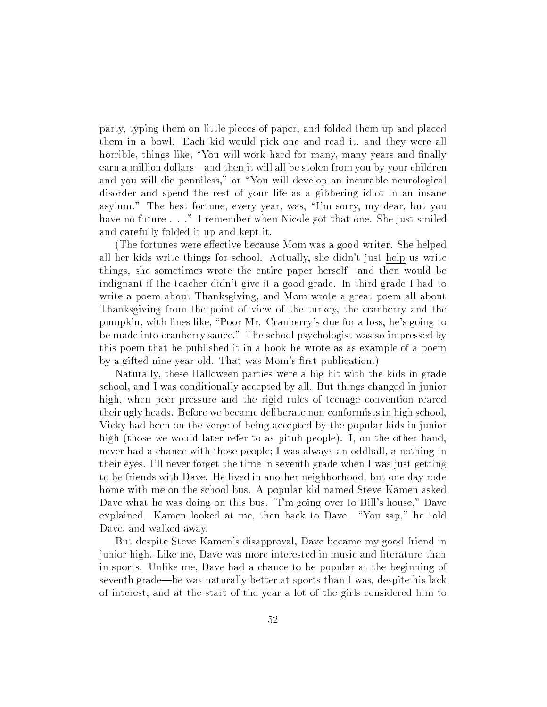party, typing them on little pieces of paper, and folded them up and placed them in a bowl. Each kid would pick one and read it, and they were all horrible, things like, "You will work hard for many, many years and finally earn a million dollars—and then it will all be stolen from you by your children and you will die penniless," or \You will develop an incurable neurological disorder and spend the rest of your life as a gibbering idiot in an insane asylum." The best fortune, every year, was, \I'm sorry, my dear, but you have no future . . ." I remember when Nicole got that one. She just smiled and carefully folded it up and kept it.

(The fortunes were effective because Mom was a good writer. She helped all her kids write things for school. Actually, she didn't just help us write things, she sometimes wrote the entire paper herself—and then would be indignant if the teacher didn't give it a good grade. In third grade I had to write a poem about Thanksgiving, and Mom wrote a great poem all about Thanksgiving from the point of view of the turkey, the cranberry and the pumpkin, with lines like, \Poor Mr. Cranberry's due for a loss, he's going to be made into cranberry sauce." The school psychologist was so impressed by this poem that he published it in a book he wrote as as example of a poem by a gifted nine-year-old. That was Mom's first publication.)

Naturally, these Halloween parties were a big hit with the kids in grade school, and I was conditionally accepted by all. But things changed in junior high, when peer pressure and the rigid rules of teenage convention reared their ugly heads. Before we became deliberate non-conformists in high school, Vicky had been on the verge of being accepted by the popular kids in junior high (those we would later refer to as pituh-people). I, on the other hand, never had a chance with those people; I was always an oddball, a nothing in their eyes. I'll never forget the time in seventh grade when I was just getting to be friends with Dave. He lived in another neighborhood, but one day rode home with me on the school bus. A popular kid named Steve Kamen asked Dave what he was doing on this bus. "I'm going over to Bill's house," Dave explained. Kamen looked at me, then back to Dave. "You sap," he told Dave, and walked away.

But despite Steve Kamen's disapproval, Dave became my good friend in junior high. Like me, Dave was more interested in music and literature than in sports. Unlike me, Dave had a chance to be popular at the beginning of seventh grade—he was naturally better at sports than I was, despite his lack of interest, and at the start of the year a lot of the girls considered him to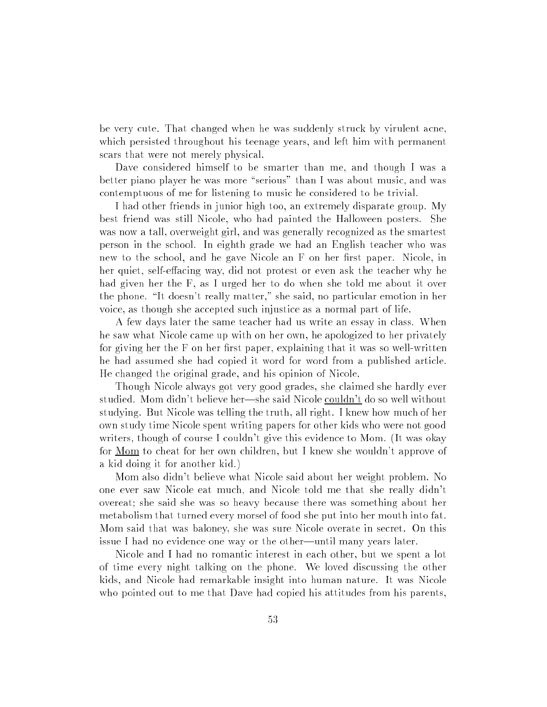be very cute. That changed when he was suddenly struck by virulent acne, which persisted throughout his teenage years, and left him with permanent scars that were not merely physical.

Dave considered himself to be smarter than me, and though I was a better piano player he was more "serious" than I was about music, and was contemptuous of me for listening to music he considered to be trivial.

I had other friends in junior high too, an extremely disparate group. My best friend was still Nicole, who had painted the Halloween posters. She was now a tall, overweight girl, and was generally recognized as the smartest person in the school. In eighth grade we had an English teacher who was new to the school, and he gave Nicole an F on her first paper. Nicole, in her quiet, self-effacing way, did not protest or even ask the teacher why he had given her the F, as I urged her to do when she told me about it over the phone. \It doesn't really matter," she said, no particular emotion in her voice, as though she accepted such injustice as a normal part of life.

A few days later the same teacher had us write an essay in class. When he saw what Nicole came up with on her own, he apologized to her privately for giving her the  $F$  on her first paper, explaining that it was so well-written he had assumed she had copied it word for word from a published article. He changed the original grade, and his opinion of Nicole.

Though Nicole always got very good grades, she claimed she hardly ever studied. Mom didn't believe her—she said Nicole couldn't do so well without studying. But Nicole was telling the truth, all right. I knew how much of her own study time Nicole spent writing papers for other kids who were not good writers, though of course I couldn't give this evidence to Mom. (It was okay for Mom to cheat for her own children, but I knew she wouldn't approve of a kid doing it for another kid.)

Mom also didn't believe what Nicole said about her weight problem. No one ever saw Nicole eat much, and Nicole told me that she really didn't overeat; she said she was so heavy because there was something about her metabolism that turned every morsel of food she put into her mouth into fat. Mom said that was baloney, she was sure Nicole overate in secret. On this issue I had no evidence one way or the other—until many years later.

Nicole and I had no romantic interest in each other, but we spent a lot of time every night talking on the phone. We loved discussing the other kids, and Nicole had remarkable insight into human nature. It was Nicole who pointed out to me that Dave had copied his attitudes from his parents,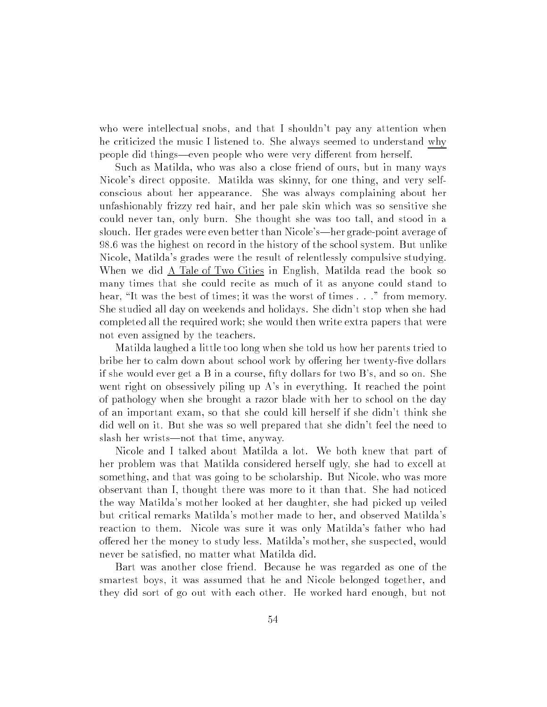who were intellectual snobs, and that I shouldn't pay any attention when he criticized the music I listened to. She always seemed to understand why people did things—even people who were very different from herself.

Such as Matilda, who was also a close friend of ours, but in many ways Nicole's direct opposite. Matilda was skinny, for one thing, and very selfconscious about her appearance. She was always complaining about her unfashionably frizzy red hair, and her pale skin which was so sensitive she could never tan, only burn. She thought she was too tall, and stood in a slouch. Her grades were even better than Nicole's—her grade-point average of 98.6 was the highest on record in the history of the school system. But unlike Nicole, Matilda's grades were the result of relentlessly compulsive studying. When we did A Tale of Two Cities in English, Matilda read the book so many times that she could recite as much of it as anyone could stand to hear, "It was the best of times; it was the worst of times  $\ldots$ ." from memory. She studied all day on weekends and holidays. She didn't stop when she had completed all the required work; she would then write extra papers that were not even assigned by the teachers.

Matilda laughed a little too long when she told us how her parents tried to bribe her to calm down about school work by offering her twenty-five dollars if she would ever get a B in a course, fty dollars for two B's, and so on. She went right on obsessively piling up A's in everything. It reached the point of pathology when she brought a razor blade with her to school on the day of an important exam, so that she could kill herself if she didn't think she did well on it. But she was so well prepared that she didn't feel the need to slash her wrists—not that time, anyway.

Nicole and I talked about Matilda a lot. We both knew that part of her problem was that Matilda considered herself ugly, she had to excell at something, and that was going to be scholarship. But Nicole, who was more observant than I, thought there was more to it than that. She had noticed the way Matilda's mother looked at her daughter, she had picked up veiled but critical remarks Matilda's mother made to her, and observed Matilda's reaction to them. Nicole was sure it was only Matilda's father who had offered her the money to study less. Matilda's mother, she suspected, would never be satisfied, no matter what Matilda did.

Bart was another close friend. Because he was regarded as one of the smartest boys, it was assumed that he and Nicole belonged together, and they did sort of go out with each other. He worked hard enough, but not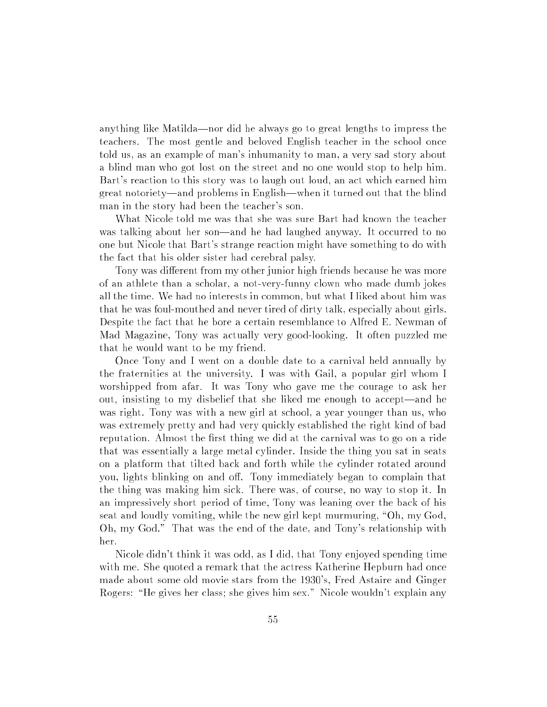anything like Matilda—nor did he always go to great lengths to impress the teachers. The most gentle and beloved English teacher in the school once told us, as an example of man's inhumanity to man, a very sad story about a blind man who got lost on the street and no one would stop to help him. Bart's reaction to this story was to laugh out loud, an act which earned him great notoriety—and problems in English—when it turned out that the blind man in the story had been the teacher's son.

What Nicole told me was that she was sure Bart had known the teacher was talking about her son—and he had laughed anyway. It occurred to no one but Nicole that Bart's strange reaction might have something to do with the fact that his older sister had cerebral palsy.

Tony was different from my other junior high friends because he was more of an athlete than a scholar, a not-very-funny clown who made dumb jokes all the time. We had no interests in common, but what I liked about him was that he was foul-mouthed and never tired of dirty talk, especially about girls. Despite the fact that he bore a certain resemblance to Alfred E. Newman of Mad Magazine, Tony was actually very good-looking. It often puzzled me that he would want to be my friend.

Once Tony and I went on a double date to a carnival held annually by the fraternities at the university. I was with Gail, a popular girl whom I worshipped from afar. It was Tony who gave me the courage to ask her out, insisting to my disbelief that she liked me enough to accept—and he was right. Tony was with a new girl at school, a year younger than us, who was extremely pretty and had very quickly established the right kind of bad reputation. Almost the first thing we did at the carnival was to go on a ride that was essentially a large metal cylinder. Inside the thing you sat in seats on a platform that tilted back and forth while the cylinder rotated around you, lights blinking on and off. Tony immediately began to complain that the thing was making him sick. There was, of course, no way to stop it. In an impressively short period of time, Tony was leaning over the back of his seat and loudly vomiting, while the new girl kept murmuring, "Oh, my God, Oh, my God." That was the end of the date, and Tony's relationship with her.

Nicole didn't think it was odd, as I did, that Tony enjoyed spending time with me. She quoted a remark that the actress Katherine Hepburn had once made about some old movie stars from the 1930's, Fred Astaire and Ginger Rogers: "He gives her class; she gives him sex." Nicole wouldn't explain any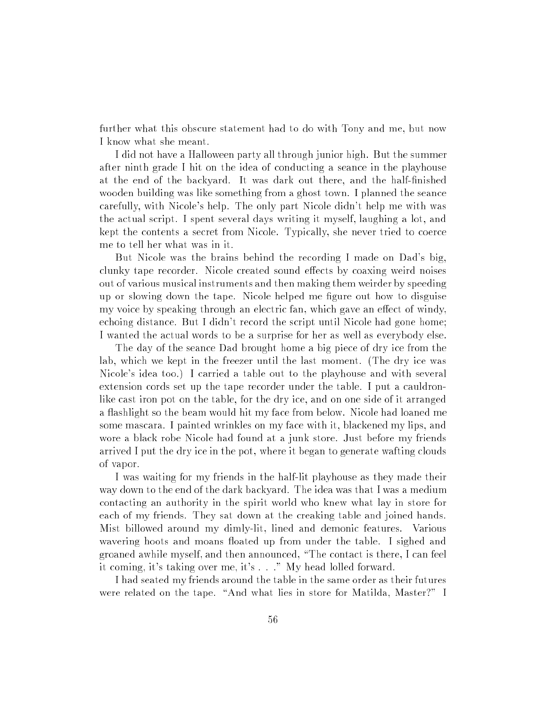further what this obscure statement had to do with Tony and me, but now I know what she meant.

I did not have a Halloween party all through junior high. But the summer after ninth grade I hit on the idea of conducting a seance in the playhouse at the end of the backyard. It was dark out there, and the half-nished wooden building was like something from a ghost town. I planned the seance carefully, with Nicole's help. The only part Nicole didn't help me with was the actual script. I spent several days writing it myself, laughing a lot, and kept the contents a secret from Nicole. Typically, she never tried to coerce me to tell her what was in it.

But Nicole was the brains behind the recording I made on Dad's big, clunky tape recorder. Nicole created sound effects by coaxing weird noises out of various musical instruments and then making them weirder by speeding up or slowing down the tape. Nicole helped me gure out how to disguise my voice by speaking through an electric fan, which gave an effect of windy, echoing distance. But I didn't record the script until Nicole had gone home; I wanted the actual words to be a surprise for her as well as everybody else.

The day of the seance Dad brought home a big piece of dry ice from the lab, which we kept in the freezer until the last moment. (The dry ice was Nicole's idea too.) I carried a table out to the playhouse and with several extension cords set up the tape recorder under the table. I put a cauldronlike cast iron pot on the table, for the dry ice, and on one side of it arranged a 
ashlight so the beam would hit my face from below. Nicole had loaned me some mascara. I painted wrinkles on my face with it, blackened my lips, and wore a black robe Nicole had found at a junk store. Just before my friends arrived I put the dry ice in the pot, where it began to generate wafting clouds of vapor.

I was waiting for my friends in the half-lit playhouse as they made their way down to the end of the dark backyard. The idea was that I was a medium contacting an authority in the spirit world who knew what lay in store for each of my friends. They sat down at the creaking table and joined hands. Mist billowed around my dimly-lit, lined and demonic features. Various wavering hoots and moans floated up from under the table. I sighed and groaned awhile myself, and then announced, "The contact is there, I can feel it coming, it's taking over me, it's . . ." My head lolled forward.

I had seated my friends around the table in the same order as their futures were related on the tape. "And what lies in store for Matilda, Master?" I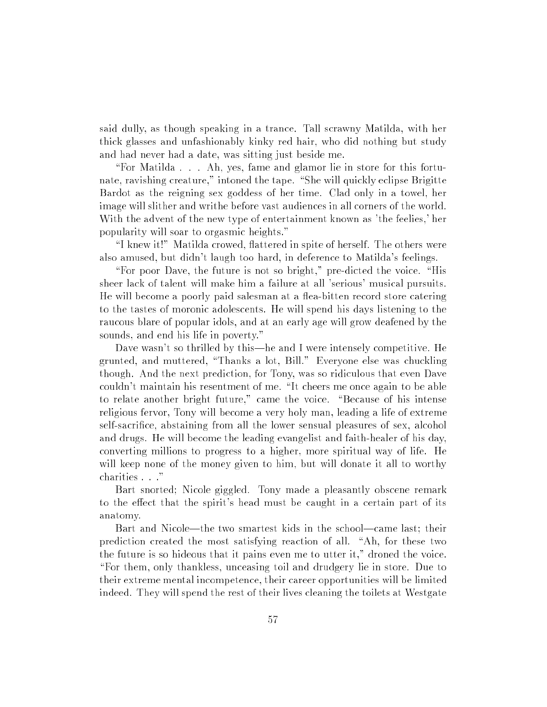said dully, as though speaking in a trance. Tall scrawny Matilda, with her thick glasses and unfashionably kinky red hair, who did nothing but study and had never had a date, was sitting just beside me.

"For Matilda . . . Ah, yes, fame and glamor lie in store for this fortunate, ravishing creature," intoned the tape. "She will quickly eclipse Brigitte Bardot as the reigning sex goddess of her time. Clad only in a towel, her image will slither and writhe before vast audiences in all corners of the world. With the advent of the new type of entertainment known as 'the feelies,' her popularity will soar to orgasmic heights."

"I knew it!" Matilda crowed, flattered in spite of herself. The others were also amused, but didn't laugh too hard, in deference to Matilda's feelings.

"For poor Dave, the future is not so bright," pre-dicted the voice. "His sheer lack of talent will make him a failure at all 'serious' musical pursuits. He will become a poorly paid salesman at a flea-bitten record store catering to the tastes of moronic adolescents. He will spend his days listening to the raucous blare of popular idols, and at an early age will grow deafened by the sounds, and end his life in poverty."

Dave wasn't so thrilled by this—he and I were intensely competitive. He grunted, and muttered, \Thanks a lot, Bill." Everyone else was chuckling though. And the next prediction, for Tony, was so ridiculous that even Dave couldn't maintain his resentment of me. \It cheers me once again to be able to relate another bright future," came the voice. "Because of his intense religious fervor, Tony will become a very holy man, leading a life of extreme self-sacrice, abstaining from all the lower sensual pleasures of sex, alcohol and drugs. He will become the leading evangelist and faith-healer of his day, converting millions to progress to a higher, more spiritual way of life. He will keep none of the money given to him, but will donate it all to worthy charities . . ."

Bart snorted; Nicole giggled. Tony made a pleasantly obscene remark to the effect that the spirit's head must be caught in a certain part of its anatomy.

Bart and Nicole—the two smartest kids in the school—came last; their prediction created the most satisfying reaction of all. \Ah, for these two the future is so hideous that it pains even me to utter it," droned the voice. \For them, only thankless, unceasing toil and drudgery lie in store. Due to their extreme mental incompetence, their career opportunities will be limited indeed. They will spend the rest of their lives cleaning the toilets at Westgate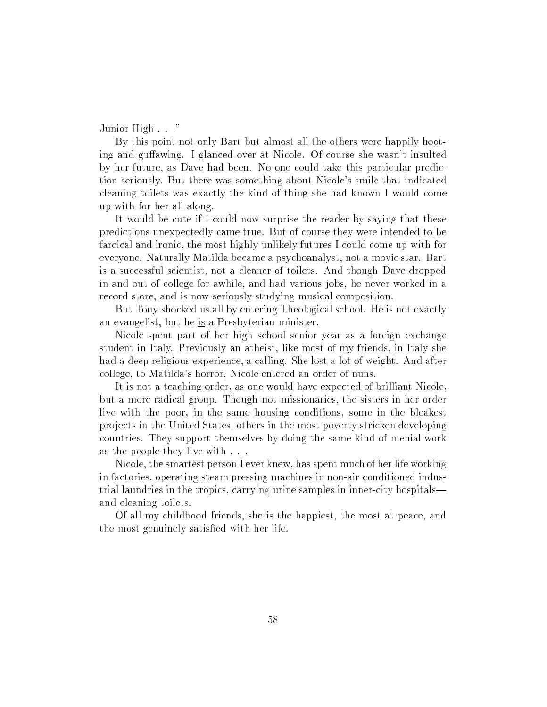Junior High . . ."

By this point not only Bart but almost all the others were happily hooting and guffawing. I glanced over at Nicole. Of course she wasn't insulted by her future, as Dave had been. No one could take this particular prediction seriously. But there was something about Nicole's smile that indicated cleaning toilets was exactly the kind of thing she had known I would come up with for her all along.

It would be cute if I could now surprise the reader by saying that these predictions unexpectedly came true. But of course they were intended to be farcical and ironic, the most highly unlikely futures I could come up with for everyone. Naturally Matilda became a psychoanalyst, not a movie star. Bart is a successful scientist, not a cleaner of toilets. And though Dave dropped in and out of college for awhile, and had various jobs, he never worked in a record store, and is now seriously studying musical composition.

But Tony shocked us all by entering Theological school. He is not exactly an evangelist, but he is a Presbyterian minister.

Nicole spent part of her high school senior year as a foreign exchange student in Italy. Previously an atheist, like most of my friends, in Italy she had a deep religious experience, a calling. She lost a lot of weight. And after college, to Matilda's horror, Nicole entered an order of nuns.

It is not a teaching order, as one would have expected of brilliant Nicole, but a more radical group. Though not missionaries, the sisters in her order live with the poor, in the same housing conditions, some in the bleakest pro jects in the United States, others in the most poverty stricken developing countries. They support themselves by doing the same kind of menial work as the people they live with . . .

Nicole, the smartest person I ever knew, has spent much of her life working in factories, operating steam pressing machines in non-air conditioned industrial laundries in the tropics, carrying urine samples in inner-city hospitals| and cleaning toilets.

Of all my childhood friends, she is the happiest, the most at peace, and the most genuinely satised with her life.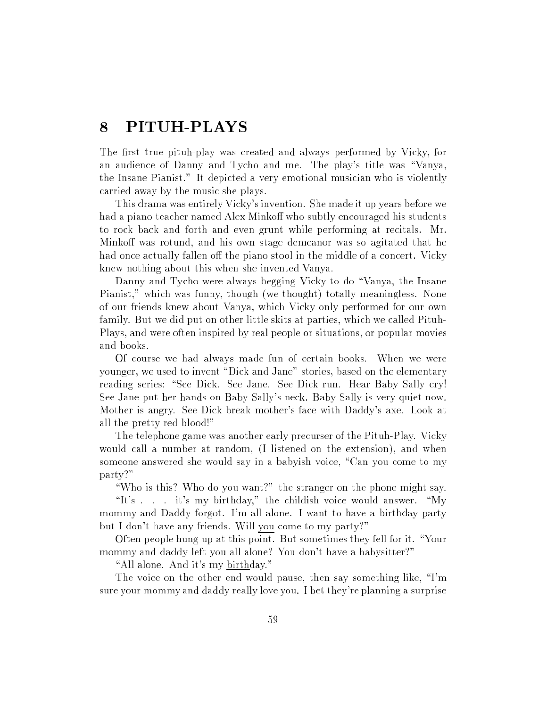## 8 PITUH-PLAYS

The first true pituh-play was created and always performed by Vicky, for an audience of Danny and Tycho and me. The play's title was \Vanya, the Insane Pianist." It depicted a very emotional musician who is violently carried away by the music she plays.

This drama was entirely Vicky's invention. She made it up years before we had a piano teacher named Alex Minkoff who subtly encouraged his students to rock back and forth and even grunt while performing at recitals. Mr. Minkoff was rotund, and his own stage demeanor was so agitated that he had once actually fallen off the piano stool in the middle of a concert. Vicky knew nothing about this when she invented Vanya.

Danny and Tycho were always begging Vicky to do "Vanya, the Insane Pianist," which was funny, though (we thought) totally meaningless. None of our friends knew about Vanya, which Vicky only performed for our own family. But we did put on other little skits at parties, which we called Pituh-Plays, and were often inspired by real people or situations, or popular movies and books.

Of course we had always made fun of certain books. When we were younger, we used to invent "Dick and Jane" stories, based on the elementary reading series: "See Dick. See Jane. See Dick run. Hear Baby Sally cry! See Jane put her hands on Baby Sally's neck. Baby Sally is very quiet now. Mother is angry. See Dick break mother's face with Daddy's axe. Look at all the pretty red blood!"

The telephone game was another early precurser of the Pituh-Play. Vicky would call a number at random, (I listened on the extension), and when someone answered she would say in a babyish voice, "Can you come to my party?"

"Who is this? Who do you want?" the stranger on the phone might say.

"It's . . . it's my birthday," the childish voice would answer. "My mommy and Daddy forgot. I'm all alone. I want to have a birthday party but I don't have any friends. Will you come to my party?"

Often people hung up at this point. But sometimes they fell for it. \Your mommy and daddy left you all alone? You don't have a babysitter?"

"All alone. And it's my birthday."

The voice on the other end would pause, then say something like, "I'm sure your mommy and daddy really love you. I bet they're planning a surprise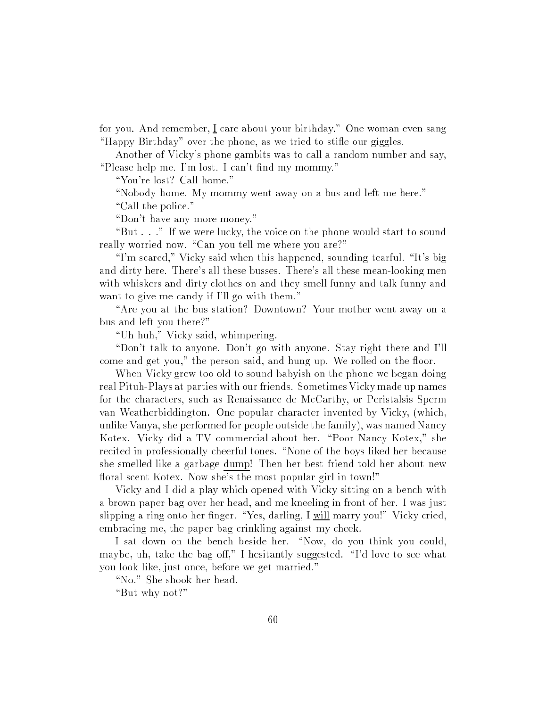for you. And remember, I care about your birthday." One woman even sang "Happy Birthday" over the phone, as we tried to stifle our giggles.

Another of Vicky's phone gambits was to call a random number and say, "Please help me. I'm lost. I can't find my mommy."

"You're lost? Call home."

"Nobody home. My mommy went away on a bus and left me here."

"Call the police."

"Don't have any more money."

"But . . ." If we were lucky, the voice on the phone would start to sound really worried now. "Can you tell me where you are?"

"I'm scared," Vicky said when this happened, sounding tearful. "It's big and dirty here. There's all these busses. There's all these mean-looking men with whiskers and dirty clothes on and they smell funny and talk funny and want to give me candy if I'll go with them."

"Are you at the bus station? Downtown? Your mother went away on a bus and left you there?"

"Uh huh," Vicky said, whimpering.

"Don't talk to anyone. Don't go with anyone. Stay right there and I'll come and get you," the person said, and hung up. We rolled on the floor.

When Vicky grew too old to sound babyish on the phone we began doing real Pituh-Plays at parties with our friends. Sometimes Vicky made up names for the characters, such as Renaissance de McCarthy, or Peristalsis Sperm van Weatherbiddington. One popular character invented by Vicky, (which, unlike Vanya, she performed for people outside the family), was named Nancy Kotex. Vicky did a TV commercial about her. "Poor Nancy Kotex," she recited in professionally cheerful tones. "None of the boys liked her because she smelled like a garbage dump! Then her best friend told her about new floral scent Kotex. Now she's the most popular girl in town!"

Vicky and I did a play which opened with Vicky sitting on a bench with a brown paper bag over her head, and me kneeling in front of her. I was just slipping a ring onto her finger. "Yes, darling, I will marry you!" Vicky cried, embracing me, the paper bag crinkling against my cheek.

I sat down on the bench beside her. "Now, do you think you could, maybe, uh, take the bag off," I hesitantly suggested. "I'd love to see what you look like, just once, before we get married."

"No." She shook her head.

"But why not?"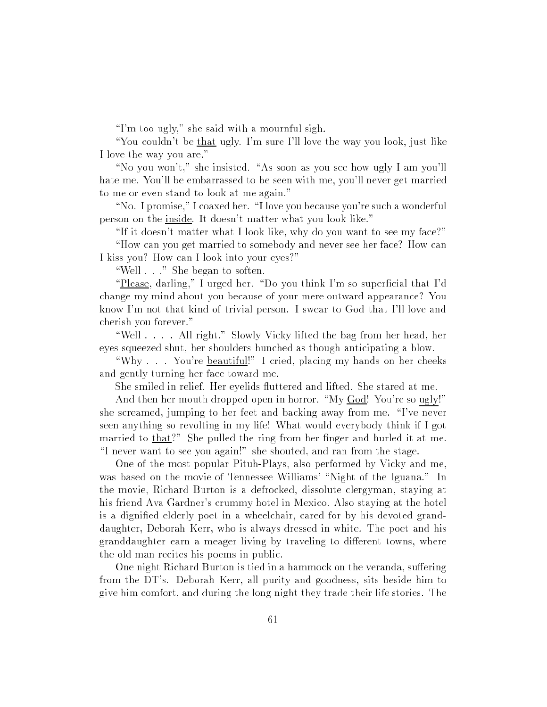$\Gamma'$ m too ugly," she said with a mournful sigh.

"You couldn't be that ugly. I'm sure I'll love the way you look, just like I love the way you are."

"No you won't," she insisted. "As soon as you see how ugly I am you'll hate me. You'll be embarrassed to be seen with me, you'll never get married to me or even stand to look at me again."

"No. I promise," I coaxed her. "I love you because you're such a wonderful person on the inside. It doesn't matter what you look like."

"If it doesn't matter what I look like, why do you want to see my face?" "How can you get married to somebody and never see her face? How can I kiss you? How can I look into your eyes?"

"Well  $\ldots$  ." She began to soften.

"Please, darling," I urged her. "Do you think I'm so superficial that I'd change my mind about you because of your mere outward appearance? You know I'm not that kind of trivial person. I swear to God that I'll love and cherish you forever."

"Well . . . . All right." Slowly Vicky lifted the bag from her head, her eyes squeezed shut, her shoulders hunched as though anticipating a blow.

"Why . . . You're <u>beautiful</u>!" I cried, placing my hands on her cheeks and gently turning her face toward me.

She smiled in relief. Her eyelids fluttered and lifted. She stared at me.

And then her mouth dropped open in horror. "My  $God!$  You're so ugly!" she screamed, jumping to her feet and backing away from me. \I've never seen anything so revolting in my life! What would everybody think if I got married to that?" She pulled the ring from her finger and hurled it at me. "I never want to see you again!" she shouted, and ran from the stage.

One of the most popular Pituh-Plays, also performed by Vicky and me, was based on the movie of Tennessee Williams' "Night of the Iguana." In the movie, Richard Burton is a defrocked, dissolute clergyman, staying at his friend Ava Gardner's crummy hotel in Mexico. Also staying at the hotel is a dignied elderly poet in a wheelchair, cared for by his devoted granddaughter, Deborah Kerr, who is always dressed in white. The poet and his granddaughter earn a meager living by traveling to different towns, where the old man recites his poems in public.

One night Richard Burton is tied in a hammock on the veranda, suffering from the DT's. Deborah Kerr, all purity and goodness, sits beside him to give him comfort, and during the long night they trade their life stories. The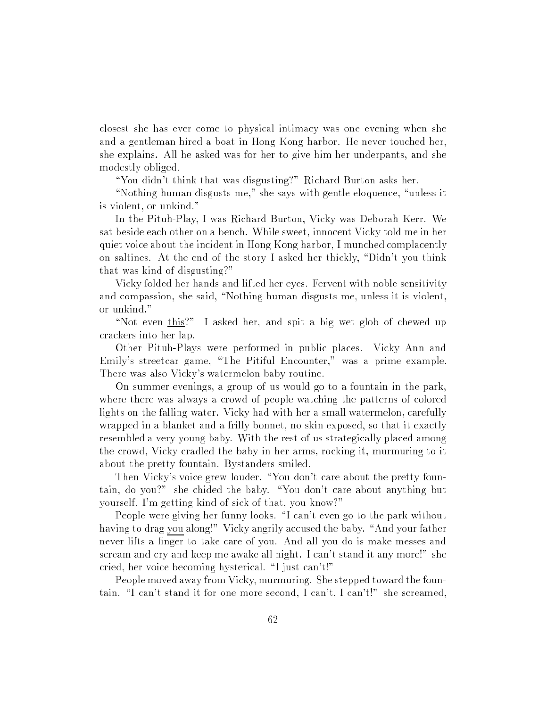closest she has ever come to physical intimacy was one evening when she and a gentleman hired a boat in Hong Kong harbor. He never touched her, she explains. All he asked was for her to give him her underpants, and she modestly obliged.

"You didn't think that was disgusting?" Richard Burton asks her.

"Nothing human disgusts me," she says with gentle eloquence, "unless it is violent, or unkind."

In the Pituh-Play, I was Richard Burton, Vicky was Deborah Kerr. We sat beside each other on a bench. While sweet, innocent Vicky told me in her quiet voice about the incident in Hong Kong harbor, I munched complacently on saltines. At the end of the story I asked her thickly, "Didn't you think that was kind of disgusting?"

Vicky folded her hands and lifted her eyes. Fervent with noble sensitivity and compassion, she said, "Nothing human disgusts me, unless it is violent, or unkind."

"Not even  $\overline{\text{this}}$ ?" I asked her, and spit a big wet glob of chewed up crackers into her lap.

Other Pituh-Plays were performed in public places. Vicky Ann and Emily's streetcar game, \The Pitiful Encounter," was a prime example. There was also Vicky's watermelon baby routine.

On summer evenings, a group of us would go to a fountain in the park, where there was always a crowd of people watching the patterns of colored lights on the falling water. Vicky had with her a small watermelon, carefully wrapped in a blanket and a frilly bonnet, no skin exposed, so that it exactly resembled a very young baby. With the rest of us strategically placed among the crowd, Vicky cradled the baby in her arms, rocking it, murmuring to it about the pretty fountain. Bystanders smiled.

Then Vicky's voice grew louder. "You don't care about the pretty fountain, do you?" she chided the baby. \You don't care about anything but yourself. I'm getting kind of sick of that, you know?"

People were giving her funny looks. "I can't even go to the park without having to drag you along!" Vicky angrily accused the baby. "And your father never lifts a finger to take care of you. And all you do is make messes and scream and cry and keep me awake all night. I can't stand it any more!" she cried, her voice becoming hysterical. \I just can't!"

People moved away from Vicky, murmuring. She stepped toward the fountain. \I can't stand it for one more second, I can't, I can't!" she screamed,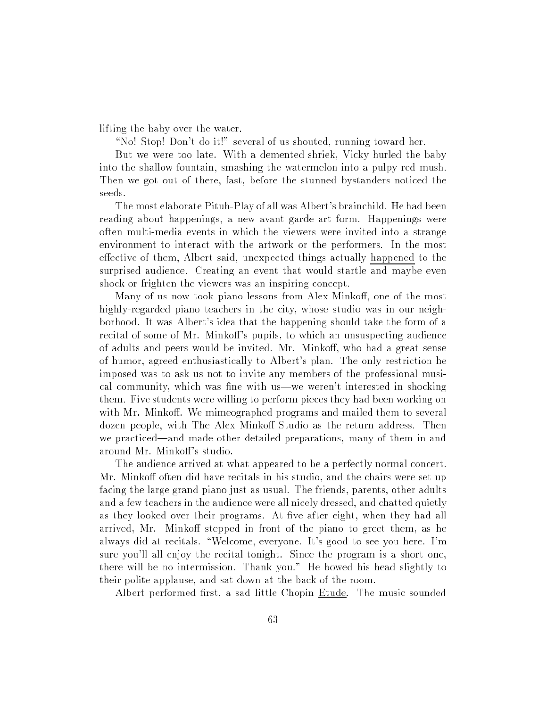lifting the baby over the water.

"No! Stop! Don't do it!" several of us shouted, running toward her.

But we were too late. With a demented shriek, Vicky hurled the baby into the shallow fountain, smashing the watermelon into a pulpy red mush. Then we got out of there, fast, before the stunned bystanders noticed the seeds.

The most elaborate Pituh-Play of all was Albert's brainchild. He had been reading about happenings, a new avant garde art form. Happenings were often multi-media events in which the viewers were invited into a strange environment to interact with the artwork or the performers. In the most effective of them, Albert said, unexpected things actually happened to the surprised audience. Creating an event that would startle and maybe even shock or frighten the viewers was an inspiring concept.

Many of us now took piano lessons from Alex Minkoff, one of the most highly-regarded piano teachers in the city, whose studio was in our neighborhood. It was Albert's idea that the happening should take the form of a recital of some of Mr. Minkoff's pupils, to which an unsuspecting audience of adults and peers would be invited. Mr. Minkoff, who had a great sense of humor, agreed enthusiastically to Albert's plan. The only restriction he imposed was to ask us not to invite any members of the professional musical community, which was fine with us—we weren't interested in shocking them. Five students were willing to perform pieces they had been working on with Mr. Minkoff. We mimeographed programs and mailed them to several dozen people, with The Alex Minkoff Studio as the return address. Then we practiced—and made other detailed preparations, many of them in and around Mr. Minkoff's studio.

The audience arrived at what appeared to be a perfectly normal concert. Mr. Minkoff often did have recitals in his studio, and the chairs were set up facing the large grand piano just as usual. The friends, parents, other adults and a few teachers in the audience were all nicely dressed, and chatted quietly as they looked over their programs. At five after eight, when they had all arrived, Mr. Minkoff stepped in front of the piano to greet them, as he always did at recitals. \Welcome, everyone. It's good to see you here. I'm sure you'll all enjoy the recital tonight. Since the program is a short one, there will be no intermission. Thank you." He bowed his head slightly to their polite applause, and sat down at the back of the room.

Albert performed first, a sad little Chopin <u>Etude</u>. The music sounded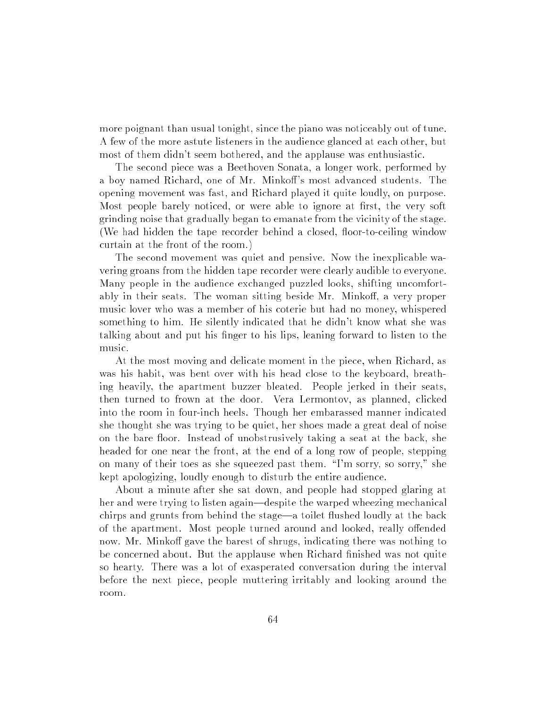more poignant than usual tonight, since the piano was noticeably out of tune. A few of the more astute listeners in the audience glanced at each other, but most of them didn't seem bothered, and the applause was enthusiastic.

The second piece was a Beethoven Sonata, a longer work, performed by a boy named Richard, one of Mr. Minkoff's most advanced students. The opening movement was fast, and Richard played it quite loudly, on purpose. Most people barely noticed, or were able to ignore at first, the very soft grinding noise that gradually began to emanate from the vicinity of the stage. (We had hidden the tape recorder behind a closed, floor-to-ceiling window curtain at the front of the room.)

The second movement was quiet and pensive. Now the inexplicable wavering groans from the hidden tape recorder were clearly audible to everyone. Many people in the audience exchanged puzzled looks, shifting uncomfortably in their seats. The woman sitting beside Mr. Minkoff, a very proper music lover who was a member of his coterie but had no money, whispered something to him. He silently indicated that he didn't know what she was talking about and put his finger to his lips, leaning forward to listen to the music.

At the most moving and delicate moment in the piece, when Richard, as was his habit, was bent over with his head close to the keyboard, breathing heavily, the apartment buzzer bleated. People jerked in their seats, then turned to frown at the door. Vera Lermontov, as planned, clicked into the room in four-inch heels. Though her embarassed manner indicated she thought she was trying to be quiet, her shoes made a great deal of noise on the bare oor. Instead of unobstrusively taking a seat at the back, she headed for one near the front, at the end of a long row of people, stepping on many of their toes as she squeezed past them. "I'm sorry, so sorry," she kept apologizing, loudly enough to disturb the entire audience.

About a minute after she sat down, and people had stopped glaring at her and were trying to listen again—despite the warped wheezing mechanical chirps and grunts from behind the stage—a toilet flushed loudly at the back of the apartment. Most people turned around and looked, really offended now. Mr. Minkoff gave the barest of shrugs, indicating there was nothing to be concerned about. But the applause when Richard finished was not quite so hearty. There was a lot of exasperated conversation during the interval before the next piece, people muttering irritably and looking around the room.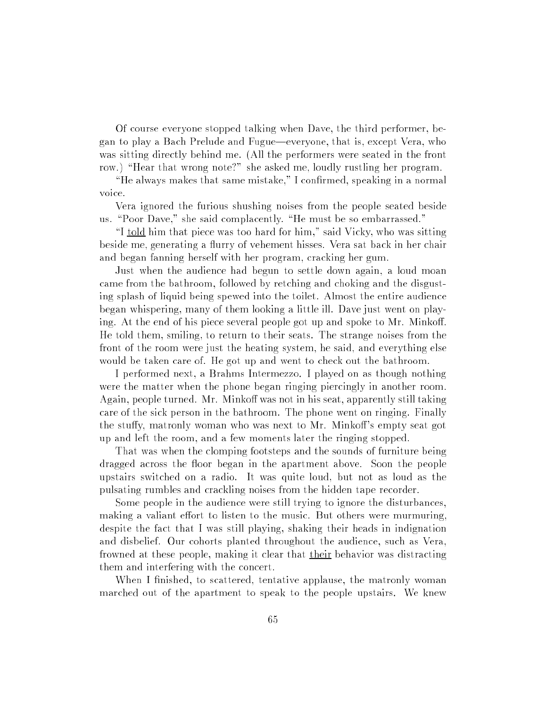Of course everyone stopped talking when Dave, the third performer, began to play a Bach Prelude and Fugue—everyone, that is, except Vera, who was sitting directly behind me. (All the performers were seated in the front row.) "Hear that wrong note?" she asked me, loudly rustling her program.

"He always makes that same mistake," I confirmed, speaking in a normal voice.

Vera ignored the furious shushing noises from the people seated beside us. "Poor Dave," she said complacently. "He must be so embarrassed."

"I told him that piece was too hard for him," said Vicky, who was sitting beside me, generating a 
urry of vehement hisses. Vera sat back in her chair and began fanning herself with her program, cracking her gum.

Just when the audience had begun to settle down again, a loud moan came from the bathroom, followed by retching and choking and the disgusting splash of liquid being spewed into the toilet. Almost the entire audience began whispering, many of them looking a little ill. Dave just went on playing. At the end of his piece several people got up and spoke to Mr. Minkoff He told them, smiling, to return to their seats. The strange noises from the front of the room were just the heating system, he said, and everything else would be taken care of. He got up and went to check out the bathroom.

I performed next, a Brahms Intermezzo. I played on as though nothing were the matter when the phone began ringing piercingly in another room. Again, people turned. Mr. Minkoff was not in his seat, apparently still taking care of the sick person in the bathroom. The phone went on ringing. Finally the stuffy, matronly woman who was next to Mr. Minkoff's empty seat got up and left the room, and a few moments later the ringing stopped.

That was when the clomping footsteps and the sounds of furniture being dragged across the floor began in the apartment above. Soon the people upstairs switched on a radio. It was quite loud, but not as loud as the pulsating rumbles and crackling noises from the hidden tape recorder.

Some people in the audience were still trying to ignore the disturbances, making a valiant effort to listen to the music. But others were murmuring, despite the fact that I was still playing, shaking their heads in indignation and disbelief. Our cohorts planted throughout the audience, such as Vera, frowned at these people, making it clear that their behavior was distracting them and interfering with the concert.

When I finished, to scattered, tentative applause, the matronly woman marched out of the apartment to speak to the people upstairs. We knew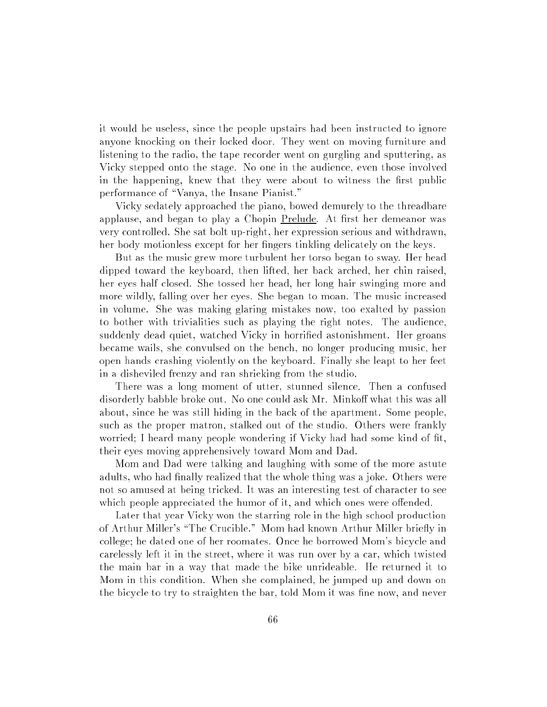it would be useless, since the people upstairs had been instructed to ignore anyone knocking on their locked door. They went on moving furniture and listening to the radio, the tape recorder went on gurgling and sputtering, as Vicky stepped onto the stage. No one in the audience, even those involved in the happening, knew that they were about to witness the first public performance of \Vanya, the Insane Pianist."

Vicky sedately approached the piano, bowed demurely to the threadbare applause, and began to play a Chopin Prelude. At first her demeanor was very controlled. She sat bolt up-right, her expression serious and withdrawn, her body motionless except for her fingers tinkling delicately on the keys.

But as the music grew more turbulent her torso began to sway. Her head dipped toward the keyboard, then lifted, her back arched, her chin raised, her eyes half closed. She tossed her head, her long hair swinging more and more wildly, falling over her eyes. She began to moan. The music increased in volume. She was making glaring mistakes now, too exalted by passion to bother with trivialities such as playing the right notes. The audience, suddenly dead quiet, watched Vicky in horrified astonishment. Her groans became wails, she convulsed on the bench, no longer producing music, her open hands crashing violently on the keyboard. Finally she leapt to her feet in a disheviled frenzy and ran shrieking from the studio.

There was a long moment of utter, stunned silence. Then a confused disorderly babble broke out. No one could ask Mr. Minkoff what this was all about, since he was still hiding in the back of the apartment. Some people, such as the proper matron, stalked out of the studio. Others were frankly worried; I heard many people wondering if Vicky had had some kind of fit, their eyes moving apprehensively toward Mom and Dad.

Mom and Dad were talking and laughing with some of the more astute adults, who had finally realized that the whole thing was a joke. Others were not so amused at being tricked. It was an interesting test of character to see which people appreciated the humor of it, and which ones were offended.

Later that year Vicky won the starring role in the high school production of Arthur Miller's "The Crucible." Mom had known Arthur Miller briefly in college; he dated one of her roomates. Once he borrowed Mom's bicycle and carelessly left it in the street, where it was run over by a car, which twisted the main bar in a way that made the bike unrideable. He returned it to Mom in this condition. When she complained, he jumped up and down on the bicycle to try to straighten the bar, told Mom it was fine now, and never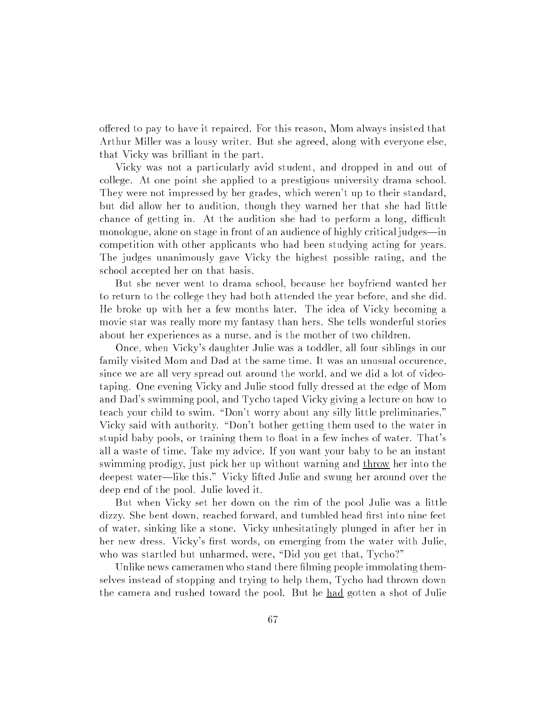offered to pay to have it repaired. For this reason, Mom always insisted that Arthur Miller was a lousy writer. But she agreed, along with everyone else, that Vicky was brilliant in the part.

Vicky was not a particularly avid student, and dropped in and out of college. At one point she applied to a prestigious university drama school. They were not impressed by her grades, which weren't up to their standard, but did allow her to audition, though they warned her that she had little chance of getting in. At the audition she had to perform a long, difficult monologue, alone on stage in front of an audience of highly critical judges—in competition with other applicants who had been studying acting for years. The judges unanimously gave Vicky the highest possible rating, and the school accepted her on that basis.

But she never went to drama school, because her boyfriend wanted her to return to the college they had both attended the year before, and she did. He broke up with her a few months later. The idea of Vicky becoming a movie star was really more my fantasy than hers. She tells wonderful stories about her experiences as a nurse, and is the mother of two children.

Once, when Vicky's daughter Julie was a toddler, all four siblings in our family visited Mom and Dad at the same time. It was an unusual occurence, since we are all very spread out around the world, and we did a lot of videotaping. One evening Vicky and Julie stood fully dressed at the edge of Mom and Dad's swimming pool, and Tycho taped Vicky giving a lecture on how to teach your child to swim. "Don't worry about any silly little preliminaries," Vicky said with authority. "Don't bother getting them used to the water in stupid baby pools, or training them to float in a few inches of water. That's all a waste of time. Take my advice. If you want your baby to be an instant swimming prodigy, just pick her up without warning and throw her into the deepest water—like this." Vicky lifted Julie and swung her around over the deep end of the pool. Julie loved it.

But when Vicky set her down on the rim of the pool Julie was a little dizzy. She bent down, reached forward, and tumbled head first into nine feet of water, sinking like a stone. Vicky unhesitatingly plunged in after her in her new dress. Vicky's first words, on emerging from the water with Julie. who was startled but unharmed, were, "Did you get that, Tycho?"

Unlike news cameramen who stand there filming people immolating themselves instead of stopping and trying to help them, Tycho had thrown down the camera and rushed toward the pool. But he had gotten <sup>a</sup> shot of Julie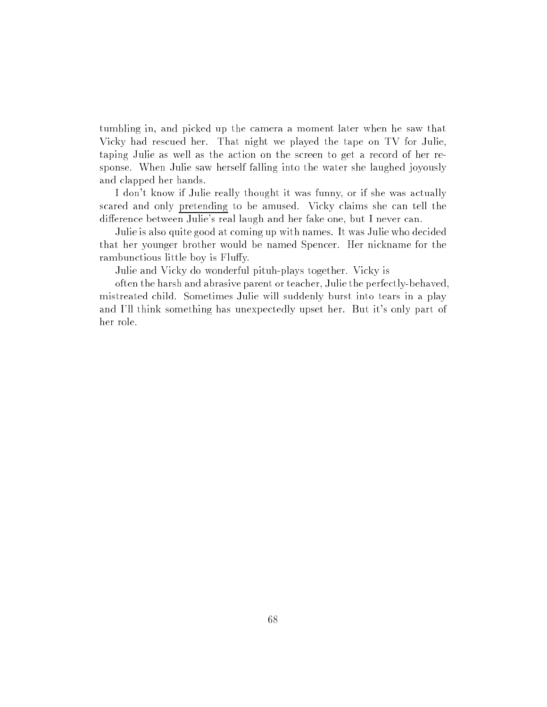tumbling in, and picked up the camera a moment later when he saw that Vicky had rescued her. That night we played the tape on TV for Julie, taping Julie as well as the action on the screen to get a record of her response. When Julie saw herself falling into the water she laughed joyously and clapped her hands.

I don't know if Julie really thought it was funny, or if she was actually scared and only pretending to be amused. Vicky claims she can tell the difference between Julie's real laugh and her fake one, but I never can.

Julie is also quite good at coming up with names. It was Julie who decided that her younger brother would be named Spencer. Her nickname for the rambunctious little boy is Fluffy.

Julie and Vicky do wonderful pituh-plays together. Vicky is

often the harsh and abrasive parent or teacher, Julie the perfectly-behaved, mistreated child. Sometimes Julie will suddenly burst into tears in a play and I'll think something has unexpectedly upset her. But it's only part of her role.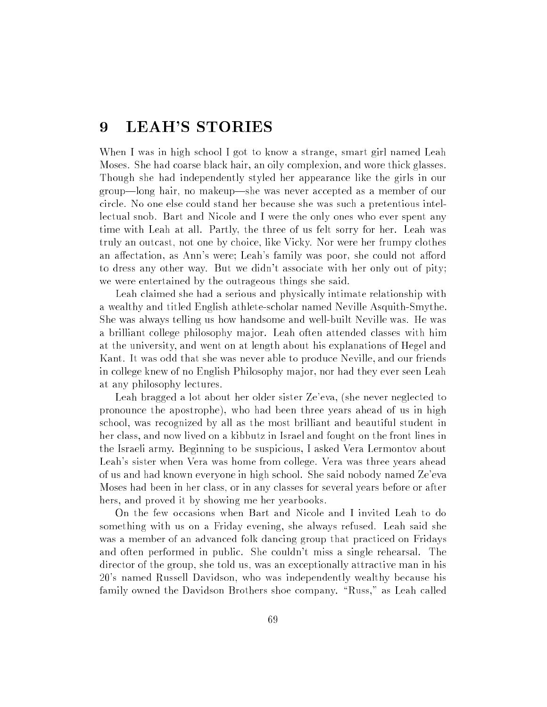## 9 LEAH'S STORIES

When I was in high school I got to know a strange, smart girl named Leah Moses. She had coarse black hair, an oily complexion, and wore thick glasses. Though she had independently styled her appearance like the girls in our group—long hair, no makeup—she was never accepted as a member of our circle. No one else could stand her because she was such a pretentious intellectual snob. Bart and Nicole and I were the only ones who ever spent any time with Leah at all. Partly, the three of us felt sorry for her. Leah was truly an outcast, not one by choice, like Vicky. Nor were her frumpy clothes an affectation, as Ann's were; Leah's family was poor, she could not afford to dress any other way. But we didn't associate with her only out of pity; we were entertained by the outrageous things she said.

Leah claimed she had a serious and physically intimate relationship with a wealthy and titled English athlete-scholar named Neville Asquith-Smythe. She was always telling us how handsome and well-built Neville was. He was a brilliant college philosophy ma jor. Leah often attended classes with him at the university, and went on at length about his explanations of Hegel and Kant. It was odd that she was never able to produce Neville, and our friends in college knew of no English Philosophy major, nor had they ever seen Leah at any philosophy lectures.

Leah bragged a lot about her older sister Ze'eva, (she never neglected to pronounce the apostrophe), who had been three years ahead of us in high school, was recognized by all as the most brilliant and beautiful student in her class, and now lived on a kibbutz in Israel and fought on the front lines in the Israeli army. Beginning to be suspicious, I asked Vera Lermontov about Leah's sister when Vera was home from college. Vera was three years ahead of us and had known everyone in high school. She said nobody named Ze'eva Moses had been in her class, or in any classes for several years before or after hers, and proved it by showing me her yearbooks.

On the few occasions when Bart and Nicole and I invited Leah to do something with us on a Friday evening, she always refused. Leah said she was a member of an advanced folk dancing group that practiced on Fridays and often performed in public. She couldn't miss a single rehearsal. The director of the group, she told us, was an exceptionally attractive man in his 20's named Russell Davidson, who was independently wealthy because his family owned the Davidson Brothers shoe company. "Russ," as Leah called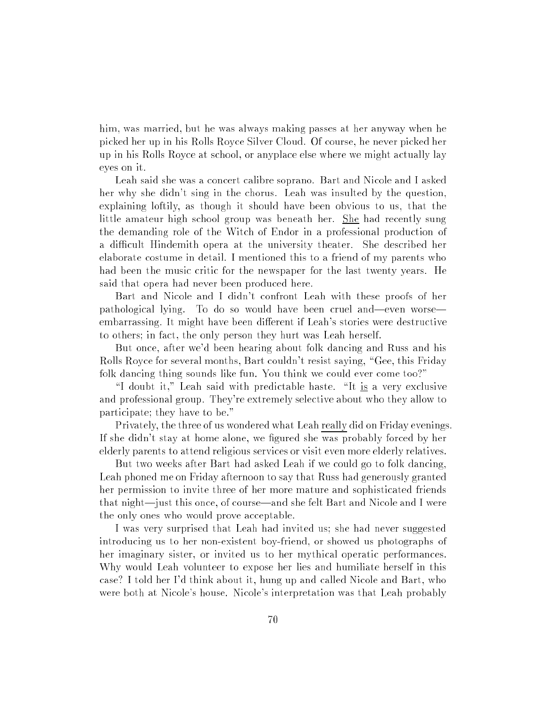him, was married, but he was always making passes at her anyway when he picked her up in his Rolls Royce Silver Cloud. Of course, he never picked her up in his Rolls Royce at school, or anyplace else where we might actually lay eyes on it.

Leah said she was a concert calibre soprano. Bart and Nicole and I asked her why she didn't sing in the chorus. Leah was insulted by the question, explaining loftily, as though it should have been obvious to us, that the little amateur high school group was beneath her. She had recently sung the demanding role of the Witch of Endor in a professional production of a difficult Hindemith opera at the university theater. She described her elaborate costume in detail. I mentioned this to a friend of my parents who had been the music critic for the newspaper for the last twenty years. He said that opera had never been produced here.

Bart and Nicole and I didn't confront Leah with these proofs of her pathological lying. To do so would have been cruel and—even worse embarrassing. It might have been different if Leah's stories were destructive to others; in fact, the only person they hurt was Leah herself.

But once, after we'd been hearing about folk dancing and Russ and his Rolls Royce for several months, Bart couldn't resist saying, "Gee, this Friday folk dancing thing sounds like fun. You think we could ever come too?"

"I doubt it," Leah said with predictable haste. "It is a very exclusive and professional group. They're extremely selective about who they allow to participate; they have to be."

Privately, the three of us wondered what Leah really did on Friday evenings. If she didn't stay at home alone, we figured she was probably forced by her elderly parents to attend religious services or visit even more elderly relatives.

But two weeks after Bart had asked Leah if we could go to folk dancing, Leah phoned me on Friday afternoon to say that Russ had generously granted her permission to invite three of her more mature and sophisticated friends that night—just this once, of course—and she felt Bart and Nicole and I were the only ones who would prove acceptable.

I was very surprised that Leah had invited us; she had never suggested introducing us to her non-existent boy-friend, or showed us photographs of her imaginary sister, or invited us to her mythical operatic performances. Why would Leah volunteer to expose her lies and humiliate herself in this case? I told her I'd think about it, hung up and called Nicole and Bart, who were both at Nicole's house. Nicole's interpretation was that Leah probably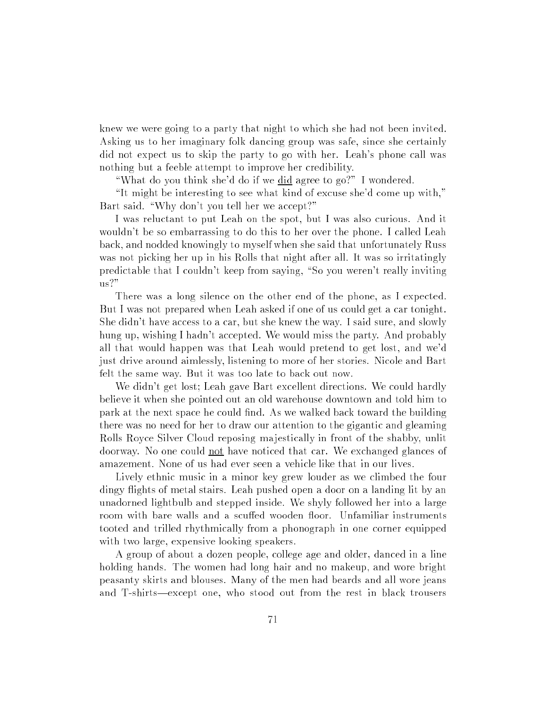knew we were going to a party that night to which she had not been invited. Asking us to her imaginary folk dancing group was safe, since she certainly did not expect us to skip the party to go with her. Leah's phone call was nothing but a feeble attempt to improve her credibility.

"What do you think she'd do if we did agree to go?" I wondered.

"It might be interesting to see what kind of excuse she'd come up with," Bart said. "Why don't you tell her we accept?"

I was reluctant to put Leah on the spot, but I was also curious. And it wouldn't be so embarrassing to do this to her over the phone. I called Leah back, and nodded knowingly to myself when she said that unfortunately Russ was not picking her up in his Rolls that night after all. It was so irritatingly predictable that I couldn't keep from saying, "So you weren't really inviting us?"

There was a long silence on the other end of the phone, as I expected. But I was not prepared when Leah asked if one of us could get a car tonight. She didn't have access to a car, but she knew the way. I said sure, and slowly hung up, wishing I hadn't accepted. We would miss the party. And probably all that would happen was that Leah would pretend to get lost, and we'd just drive around aimlessly, listening to more of her stories. Nicole and Bart felt the same way. But it was too late to back out now.

We didn't get lost; Leah gave Bart excellent directions. We could hardly believe it when she pointed out an old warehouse downtown and told him to park at the next space he could find. As we walked back toward the building there was no need for her to draw our attention to the gigantic and gleaming Rolls Royce Silver Cloud reposing ma jestically in front of the shabby, unlit doorway. No one could not have noticed that car. We exchanged glances of amazement. None of us had ever seen a vehicle like that in our lives.

Lively ethnic music in a minor key grew louder as we climbed the four dingy flights of metal stairs. Leah pushed open a door on a landing lit by an unadorned lightbulb and stepped inside. We shyly followed her into a large room with bare walls and a scuffed wooden floor. Unfamiliar instruments tooted and trilled rhythmically from a phonograph in one corner equipped with two large, expensive looking speakers.

A group of about a dozen people, college age and older, danced in a line holding hands. The women had long hair and no makeup, and wore bright peasanty skirts and blouses. Many of the men had beards and all wore jeans and T-shirts—except one, who stood out from the rest in black trousers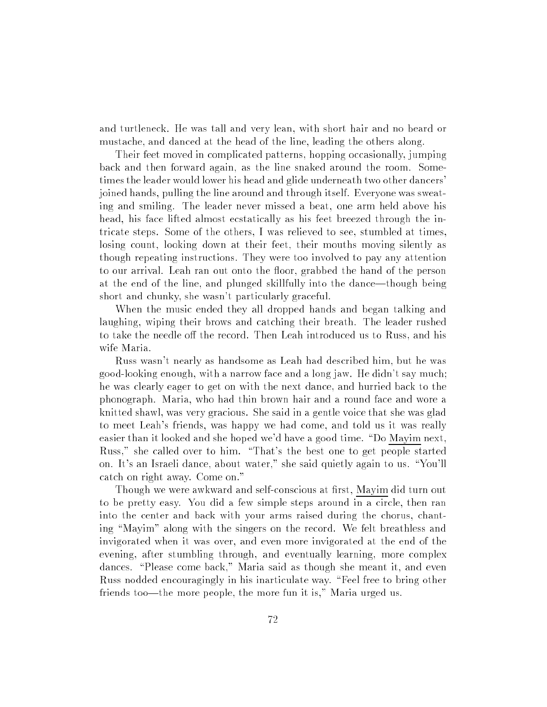and turtleneck. He was tall and very lean, with short hair and no beard or mustache, and danced at the head of the line, leading the others along.

Their feet moved in complicated patterns, hopping occasionally, jumping back and then forward again, as the line snaked around the room. Sometimes the leader would lower his head and glide underneath two other dancers' joined hands, pulling the line around and through itself. Everyone was sweating and smiling. The leader never missed a beat, one arm held above his head, his face lifted almost ecstatically as his feet breezed through the intricate steps. Some of the others, I was relieved to see, stumbled at times, losing count, looking down at their feet, their mouths moving silently as though repeating instructions. They were too involved to pay any attention to our arrival. Leah ran out onto the floor, grabbed the hand of the person at the end of the line, and plunged skillfully into the dance—though being short and chunky, she wasn't particularly graceful.

When the music ended they all dropped hands and began talking and laughing, wiping their brows and catching their breath. The leader rushed to take the needle off the record. Then Leah introduced us to Russ, and his wife Maria.

Russ wasn't nearly as handsome as Leah had described him, but he was good-looking enough, with a narrow face and a long jaw. He didn't say much; he was clearly eager to get on with the next dance, and hurried back to the phonograph. Maria, who had thin brown hair and a round face and wore a knitted shawl, was very gracious. She said in a gentle voice that she was glad to meet Leah's friends, was happy we had come, and told us it was really easier than it looked and she hoped we'd have a good time. "Do Mayim next, Russ," she called over to him. "That's the best one to get people started on. It's an Israeli dance, about water," she said quietly again to us. \You'll catch on right away. Come on."

Though we were awkward and self-conscious at first, Mayim did turn out to be pretty easy. You did a few simple steps around in a circle, then ran into the center and back with your arms raised during the chorus, chanting "Mayim" along with the singers on the record. We felt breathless and invigorated when it was over, and even more invigorated at the end of the evening, after stumbling through, and eventually learning, more complex dances. "Please come back," Maria said as though she meant it, and even Russ nodded encouragingly in his inarticulate way. "Feel free to bring other friends too—the more people, the more fun it is," Maria urged us.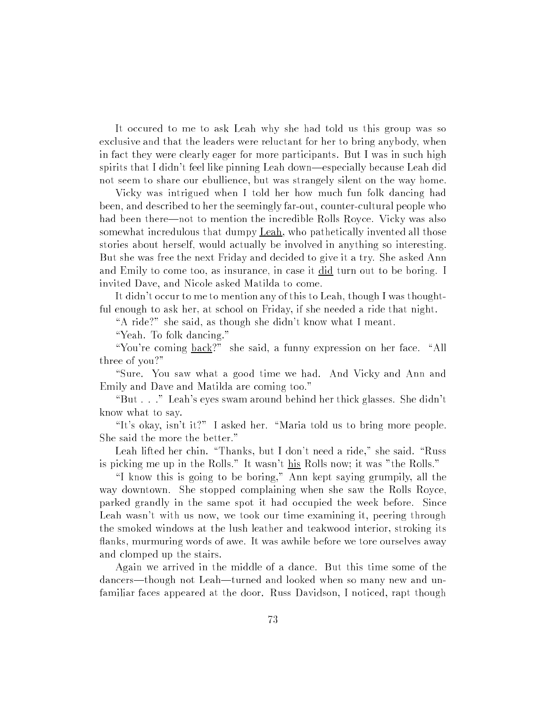It occured to me to ask Leah why she had told us this group was so exclusive and that the leaders were reluctant for her to bring anybody, when in fact they were clearly eager for more participants. But I was in such high spirits that I didn't feel like pinning Leah down—especially because Leah did not seem to share our ebullience, but was strangely silent on the way home.

Vicky was intrigued when I told her how much fun folk dancing had been, and described to her the seemingly far-out, counter-cultural people who had been there—not to mention the incredible Rolls Royce. Vicky was also somewhat incredulous that dumpy Leah, who pathetically invented all those stories about herself, would actually be involved in anything so interesting. But she was free the next Friday and decided to give it a try. She asked Ann and Emily to come too, as insurance, in case it did turn out to be boring. <sup>I</sup> invited Dave, and Nicole asked Matilda to come.

It didn't occur to me to mention any of this to Leah, though I was thoughtful enough to ask her, at school on Friday, if she needed a ride that night.

"A ride?" she said, as though she didn't know what I meant.

"Yeah. To folk dancing."

"You're coming back?" she said, a funny expression on her face. "All three of you?"

"Sure. You saw what a good time we had. And Vicky and Ann and Emily and Dave and Matilda are coming too."

"But . . ." Leah's eyes swam around behind her thick glasses. She didn't know what to say.

"It's okay, isn't it?" I asked her. "Maria told us to bring more people. She said the more the better."

Leah lifted her chin. "Thanks, but I don't need a ride," she said. "Russ is picking me up in the Rolls." It wasn't his Rolls now; it was "the Rolls."

"I know this is going to be boring," Ann kept saying grumpily, all the way downtown. She stopped complaining when she saw the Rolls Royce, parked grandly in the same spot it had occupied the week before. Since Leah wasn't with us now, we took our time examining it, peering through the smoked windows at the lush leather and teakwood interior, stroking its flanks, murmuring words of awe. It was awhile before we tore ourselves away and clomped up the stairs.

Again we arrived in the middle of a dance. But this time some of the dancers—though not Leah—turned and looked when so many new and unfamiliar faces appeared at the door. Russ Davidson, I noticed, rapt though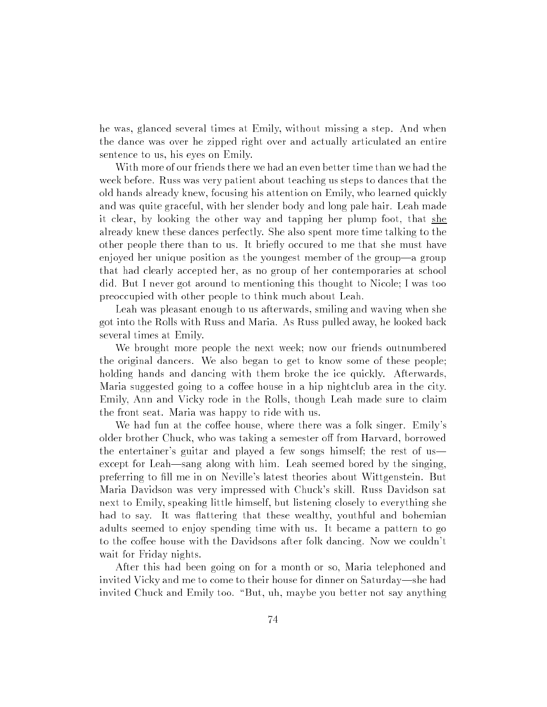he was, glanced several times at Emily, without missing a step. And when the dance was over he zipped right over and actually articulated an entire sentence to us, his eyes on Emily.

With more of our friends there we had an even better time than we had the week before. Russ was very patient about teaching us steps to dances that the old hands already knew, focusing his attention on Emily, who learned quickly and was quite graceful, with her slender body and long pale hair. Leah made it clear, by looking the other way and tapping her plump foot, that she already knew these dances perfectly. She also spent more time talking to the other people there than to us. It briefly occured to me that she must have enjoyed her unique position as the youngest member of the group—a group that had clearly accepted her, as no group of her contemporaries at school did. But I never got around to mentioning this thought to Nicole; I was too preoccupied with other people to think much about Leah.

Leah was pleasant enough to us afterwards, smiling and waving when she got into the Rolls with Russ and Maria. As Russ pulled away, he looked back several times at Emily.

We brought more people the next week; now our friends outnumbered the original dancers. We also began to get to know some of these people; holding hands and dancing with them broke the ice quickly. Afterwards, Maria suggested going to a coffee house in a hip nightclub area in the city. Emily, Ann and Vicky rode in the Rolls, though Leah made sure to claim the front seat. Maria was happy to ride with us.

We had fun at the coffee house, where there was a folk singer. Emily's older brother Chuck, who was taking a semester off from Harvard, borrowed the entertainer's guitar and played a few songs himself; the rest of usexcept for Leah—sang along with him. Leah seemed bored by the singing, preferring to ll me in on Neville's latest theories about Wittgenstein. But Maria Davidson was very impressed with Chuck's skill. Russ Davidson sat next to Emily, speaking little himself, but listening closely to everything she had to say. It was flattering that these wealthy, youthful and bohemian adults seemed to enjoy spending time with us. It became a pattern to go to the coffee house with the Davidsons after folk dancing. Now we couldn't wait for Friday nights.

After this had been going on for a month or so, Maria telephoned and invited Vicky and me to come to their house for dinner on Saturday—she had invited Chuck and Emily too. "But, uh, maybe you better not say anything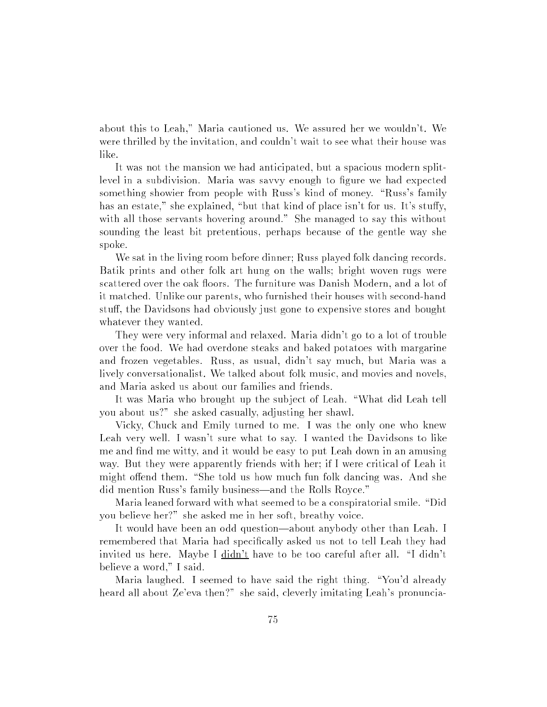about this to Leah," Maria cautioned us. We assured her we wouldn't. We were thrilled by the invitation, and couldn't wait to see what their house was like.

It was not the mansion we had anticipated, but a spacious modern splitlevel in a subdivision. Maria was savvy enough to figure we had expected something showier from people with Russ's kind of money. "Russ's family has an estate," she explained, "but that kind of place isn't for us. It's stuffy, with all those servants hovering around." She managed to say this without sounding the least bit pretentious, perhaps because of the gentle way she spoke.

We sat in the living room before dinner; Russ played folk dancing records. Batik prints and other folk art hung on the walls; bright woven rugs were scattered over the oak floors. The furniture was Danish Modern, and a lot of it matched. Unlike our parents, who furnished their houses with second-hand stuff, the Davidsons had obviously just gone to expensive stores and bought whatever they wanted.

They were very informal and relaxed. Maria didn't go to a lot of trouble over the food. We had overdone steaks and baked potatoes with margarine and frozen vegetables. Russ, as usual, didn't say much, but Maria was a lively conversationalist. We talked about folk music, and movies and novels. and Maria asked us about our families and friends.

It was Maria who brought up the sub ject of Leah. \What did Leah tell you about us?" she asked casually, adjusting her shawl.

Vicky, Chuck and Emily turned to me. I was the only one who knew Leah very well. I wasn't sure what to say. I wanted the Davidsons to like me and find me witty, and it would be easy to put Leah down in an amusing way. But they were apparently friends with her; if I were critical of Leah it might offend them. "She told us how much fun folk dancing was. And she did mention Russ's family business—and the Rolls Royce."

Maria leaned forward with what seemed to be a conspiratorial smile. \Did you believe her?" she asked me in her soft, breathy voice.

It would have been an odd question—about anybody other than Leah. I remembered that Maria had specically asked us not to tell Leah they had invited us here. Maybe I  $\underline{\text{d}}\cdot \underline{\text{d}}$  have to be too careful after all. "I didn't believe a word," I said.

Maria laughed. I seemed to have said the right thing. "You'd already heard all about Ze'eva then?" she said, cleverly imitating Leah's pronuncia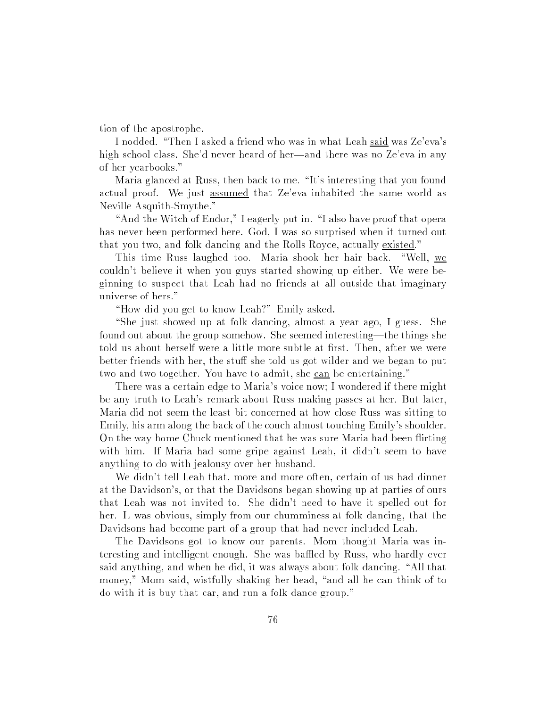tion of the apostrophe.

I nodded. "Then I asked a friend who was in what Leah said was Ze'eva's high school class. She'd never heard of her—and there was no Ze'eva in any of her yearbooks."

Maria glanced at Russ, then back to me. "It's interesting that you found actual proof. We just assumed that Ze'eva inhabited the same world as Neville Asquith-Smythe."

"And the Witch of Endor," I eagerly put in. "I also have proof that opera has never been performed here. God, I was so surprised when it turned out that you two, and folk dancing and the Rolls Royce, actually existed."

This time Russ laughed too. Maria shook her hair back. \Well, we couldn't believe it when you guys started showing up either. We were beginning to suspect that Leah had no friends at all outside that imaginary universe of hers."

"How did you get to know Leah?" Emily asked.

"She just showed up at folk dancing, almost a year ago, I guess. She found out about the group somehow. She seemed interesting—the things she told us about herself were a little more subtle at first. Then, after we were better friends with her, the stuff she told us got wilder and we began to put two and two together. You have to admit, she can be entertaining."

There was a certain edge to Maria's voice now; I wondered if there might be any truth to Leah's remark about Russ making passes at her. But later, Maria did not seem the least bit concerned at how close Russ was sitting to Emily, his arm along the back of the couch almost touching Emily's shoulder. On the way home Chuck mentioned that he was sure Maria had been flirting with him. If Maria had some gripe against Leah, it didn't seem to have anything to do with jealousy over her husband.

We didn't tell Leah that, more and more often, certain of us had dinner at the Davidson's, or that the Davidsons began showing up at parties of ours that Leah was not invited to. She didn't need to have it spelled out for her. It was obvious, simply from our chumminess at folk dancing, that the Davidsons had become part of a group that had never included Leah.

The Davidsons got to know our parents. Mom thought Maria was interesting and intelligent enough. She was baffled by Russ, who hardly ever said anything, and when he did, it was always about folk dancing. "All that money," Mom said, wistfully shaking her head, "and all he can think of to do with it is buy that car, and run a folk dance group."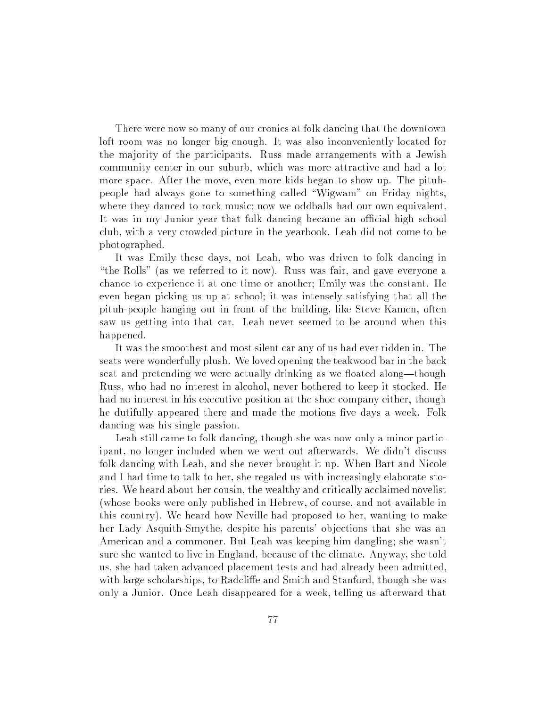There were now so many of our cronies at folk dancing that the downtown loft room was no longer big enough. It was also inconveniently located for the ma jority of the participants. Russ made arrangements with a Jewish community center in our suburb, which was more attractive and had a lot more space. After the move, even more kids began to show up. The pituhpeople had always gone to something called \Wigwam" on Friday nights, where they danced to rock music; now we oddballs had our own equivalent. It was in my Junior year that folk dancing became an official high school club, with a very crowded picture in the yearbook. Leah did not come to be photographed.

It was Emily these days, not Leah, who was driven to folk dancing in "the Rolls" (as we referred to it now). Russ was fair, and gave everyone a chance to experience it at one time or another; Emily was the constant. He even began picking us up at school; it was intensely satisfying that all the pituh-people hanging out in front of the building, like Steve Kamen, often saw us getting into that car. Leah never seemed to be around when this happened.

It was the smoothest and most silent car any of us had ever ridden in. The seats were wonderfully plush. We loved opening the teakwood bar in the back seat and pretending we were actually drinking as we floated along—though Russ, who had no interest in alcohol, never bothered to keep it stocked. He had no interest in his executive position at the shoe company either, though he dutifully appeared there and made the motions five days a week. Folk dancing was his single passion.

Leah still came to folk dancing, though she was now only a minor participant, no longer included when we went out afterwards. We didn't discuss folk dancing with Leah, and she never brought it up. When Bart and Nicole and I had time to talk to her, she regaled us with increasingly elaborate stories. We heard about her cousin, the wealthy and critically acclaimed novelist (whose books were only published in Hebrew, of course, and not available in this country). We heard how Neville had proposed to her, wanting to make her Lady Asquith-Smythe, despite his parents' objections that she was an American and a commoner. But Leah was keeping him dangling; she wasn't sure she wanted to live in England, because of the climate. Anyway, she told us, she had taken advanced placement tests and had already been admitted, with large scholarships, to Radcliffe and Smith and Stanford, though she was only a Junior. Once Leah disappeared for a week, telling us afterward that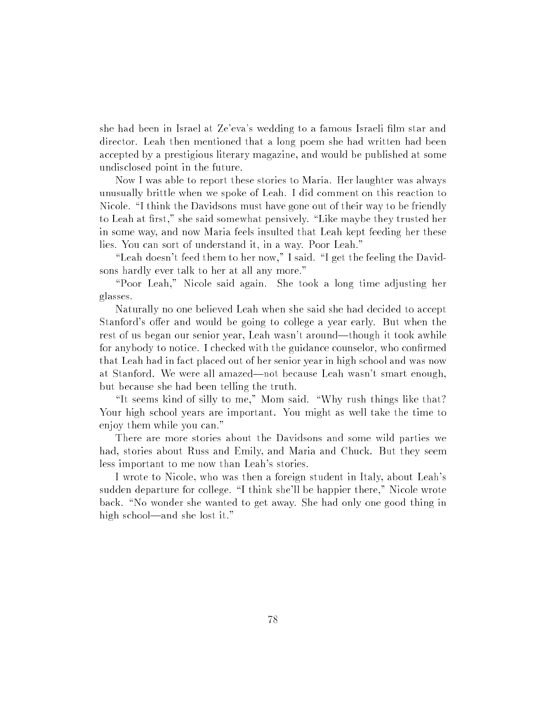she had been in Israel at Ze'eva's wedding to a famous Israeli lm star and director. Leah then mentioned that a long poem she had written had been accepted by a prestigious literary magazine, and would be published at some undisclosed point in the future.

Now I was able to report these stories to Maria. Her laughter was always unusually brittle when we spoke of Leah. I did comment on this reaction to Nicole. "I think the Davidsons must have gone out of their way to be friendly to Leah at first," she said somewhat pensively. "Like maybe they trusted her in some way, and now Maria feels insulted that Leah kept feeding her these lies. You can sort of understand it, in a way. Poor Leah."

"Leah doesn't feed them to her now," I said. "I get the feeling the Davidsons hardly ever talk to her at all any more."

"Poor Leah," Nicole said again. She took a long time adjusting her glasses.

Naturally no one believed Leah when she said she had decided to accept Stanford's offer and would be going to college a year early. But when the rest of us began our senior year, Leah wasn't around—though it took awhile for anybody to notice. I checked with the guidance counselor, who confirmed that Leah had in fact placed out of her senior year in high school and was now at Stanford. We were all amazed—not because Leah wasn't smart enough, but because she had been telling the truth.

"It seems kind of silly to me," Mom said. "Why rush things like that? Your high school years are important. You might as well take the time to enjoy them while you can."

There are more stories about the Davidsons and some wild parties we had, stories about Russ and Emily, and Maria and Chuck. But they seem less important to me now than Leah's stories.

I wrote to Nicole, who was then a foreign student in Italy, about Leah's sudden departure for college. \I think she'll be happier there," Nicole wrote back. "No wonder she wanted to get away. She had only one good thing in high school—and she lost it."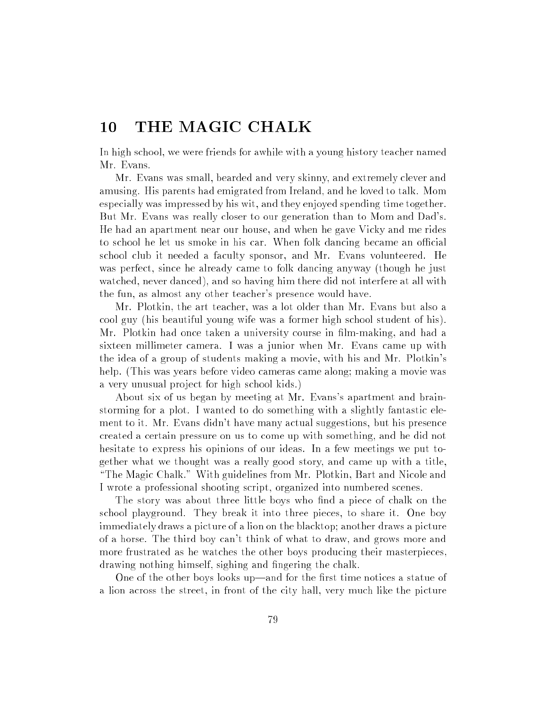## 10 THE MAGIC CHALK

In high school, we were friends for awhile with a young history teacher named Mr. Evans.

Mr. Evans was small, bearded and very skinny, and extremely clever and amusing. His parents had emigrated from Ireland, and he loved to talk. Mom especially was impressed by his wit, and they enjoyed spending time together. But Mr. Evans was really closer to our generation than to Mom and Dad's. He had an apartment near our house, and when he gave Vicky and me rides to school he let us smoke in his car. When folk dancing became an official school club it needed a faculty sponsor, and Mr. Evans volunteered. He was perfect, since he already came to folk dancing anyway (though he just watched, never danced), and so having him there did not interfere at all with the fun, as almost any other teacher's presence would have.

Mr. Plotkin, the art teacher, was a lot older than Mr. Evans but also a cool guy (his beautiful young wife was a former high school student of his). Mr. Plotkin had once taken a university course in lm-making, and had a sixteen millimeter camera. I was a junior when Mr. Evans came up with the idea of a group of students making a movie, with his and Mr. Plotkin's help. (This was years before video cameras came along; making a movie was a very unusual project for high school kids.)

About six of us began by meeting at Mr. Evans's apartment and brainstorming for a plot. I wanted to do something with a slightly fantastic element to it. Mr. Evans didn't have many actual suggestions, but his presence created a certain pressure on us to come up with something, and he did not hesitate to express his opinions of our ideas. In a few meetings we put together what we thought was a really good story, and came up with a title, "The Magic Chalk." With guidelines from Mr. Plotkin, Bart and Nicole and I wrote a professional shooting script, organized into numbered scenes.

The story was about three little boys who find a piece of chalk on the school playground. They break it into three pieces, to share it. One boy immediately draws a picture of a lion on the blacktop; another draws a picture of a horse. The third boy can't think of what to draw, and grows more and more frustrated as he watches the other boys producing their masterpieces, drawing nothing himself, sighing and fingering the chalk.

One of the other boys looks up—and for the first time notices a statue of a lion across the street, in front of the city hall, very much like the picture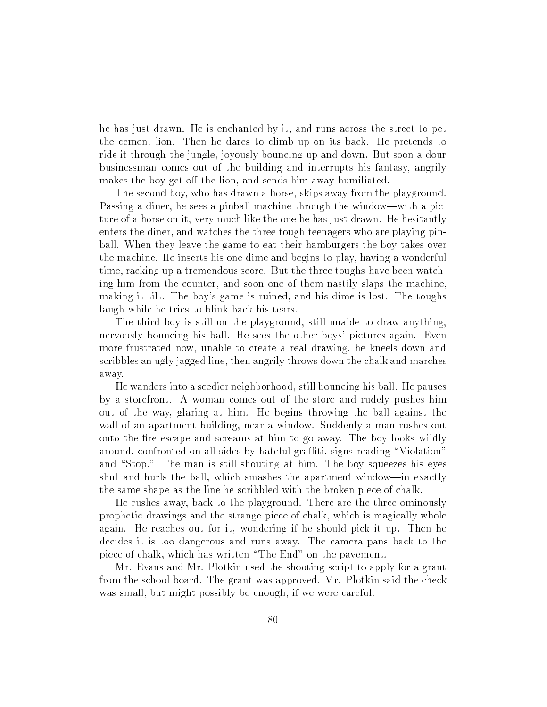he has just drawn. He is enchanted by it, and runs across the street to pet the cement lion. Then he dares to climb up on its back. He pretends to ride it through the jungle, joyously bouncing up and down. But soon a dour businessman comes out of the building and interrupts his fantasy, angrily makes the boy get off the lion, and sends him away humiliated.

The second boy, who has drawn a horse, skips away from the playground. Passing a diner, he sees a pinball machine through the window—with a picture of a horse on it, very much like the one he has just drawn. He hesitantly enters the diner, and watches the three tough teenagers who are playing pinball. When they leave the game to eat their hamburgers the boy takes over the machine. He inserts his one dime and begins to play, having a wonderful time, racking up a tremendous score. But the three toughs have been watching him from the counter, and soon one of them nastily slaps the machine, making it tilt. The boy's game is ruined, and his dime is lost. The toughs laugh while he tries to blink back his tears.

The third boy is still on the playground, still unable to draw anything, nervously bouncing his ball. He sees the other boys' pictures again. Even more frustrated now, unable to create a real drawing, he kneels down and scribbles an ugly jagged line, then angrily throws down the chalk and marches away.

He wanders into a seedier neighborhood, still bouncing his ball. He pauses by a storefront. A woman comes out of the store and rudely pushes him out of the way, glaring at him. He begins throwing the ball against the wall of an apartment building, near a window. Suddenly a man rushes out onto the fire escape and screams at him to go away. The boy looks wildly around, confronted on all sides by hateful graffiti, signs reading "Violation" and "Stop." The man is still shouting at him. The boy squeezes his eyes shut and hurls the ball, which smashes the apartment window-in exactly the same shape as the line he scribbled with the broken piece of chalk.

He rushes away, back to the playground. There are the three ominously prophetic drawings and the strange piece of chalk, which is magically whole again. He reaches out for it, wondering if he should pick it up. Then he decides it is too dangerous and runs away. The camera pans back to the piece of chalk, which has written \The End" on the pavement.

Mr. Evans and Mr. Plotkin used the shooting script to apply for a grant from the school board. The grant was approved. Mr. Plotkin said the check was small, but might possibly be enough, if we were careful.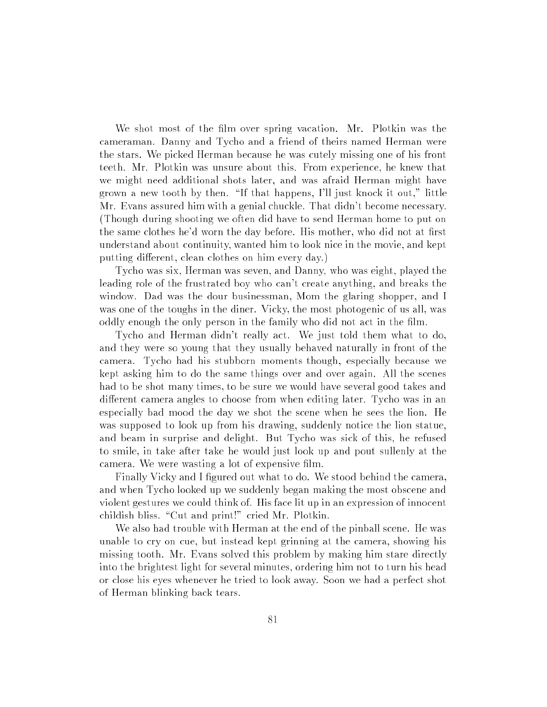We shot most of the film over spring vacation. Mr. Plotkin was the cameraman. Danny and Tycho and a friend of theirs named Herman were the stars. We picked Herman because he was cutely missing one of his front teeth. Mr. Plotkin was unsure about this. From experience, he knew that we might need additional shots later, and was afraid Herman might have grown a new tooth by then. "If that happens, I'll just knock it out," little Mr. Evans assured him with a genial chuckle. That didn't become necessary. (Though during shooting we often did have to send Herman home to put on the same clothes he'd worn the day before. His mother, who did not at first understand about continuity, wanted him to look nice in the movie, and kept putting different, clean clothes on him every day.)

Tycho was six, Herman was seven, and Danny, who was eight, played the leading role of the frustrated boy who can't create anything, and breaks the window. Dad was the dour businessman, Mom the glaring shopper, and I was one of the toughs in the diner. Vicky, the most photogenic of us all, was oddly enough the only person in the family who did not act in the film.

Tycho and Herman didn't really act. We just told them what to do, and they were so young that they usually behaved naturally in front of the camera. Tycho had his stubborn moments though, especially because we kept asking him to do the same things over and over again. All the scenes had to be shot many times, to be sure we would have several good takes and different camera angles to choose from when editing later. Tycho was in an especially bad mood the day we shot the scene when he sees the lion. He was supposed to look up from his drawing, suddenly notice the lion statue, and beam in surprise and delight. But Tycho was sick of this, he refused to smile, in take after take he would just look up and pout sullenly at the camera. We were wasting a lot of expensive film.

Finally Vicky and I figured out what to do. We stood behind the camera, and when Tycho looked up we suddenly began making the most obscene and violent gestures we could think of. His face lit up in an expression of innocent childish bliss. "Cut and print!" cried Mr. Plotkin.

We also had trouble with Herman at the end of the pinball scene. He was unable to cry on cue, but instead kept grinning at the camera, showing his missing tooth. Mr. Evans solved this problem by making him stare directly into the brightest light for several minutes, ordering him not to turn his head or close his eyes whenever he tried to look away. Soon we had a perfect shot of Herman blinking back tears.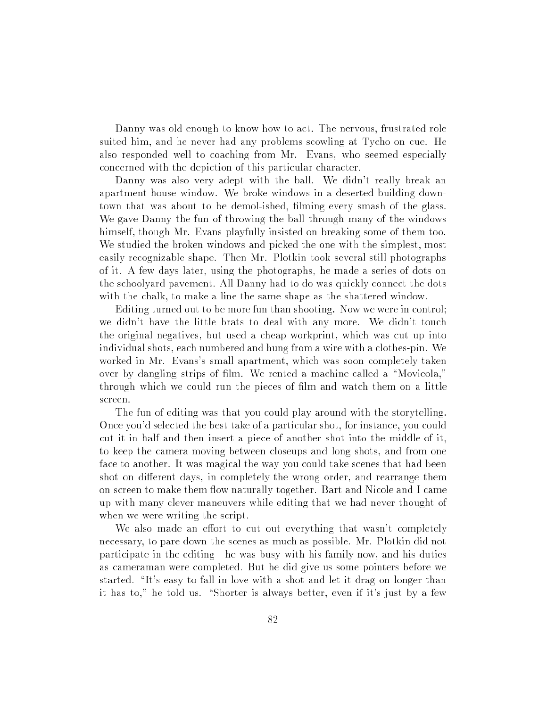Danny was old enough to know how to act. The nervous, frustrated role suited him, and he never had any problems scowling at Tycho on cue. He also responded well to coaching from Mr. Evans, who seemed especially concerned with the depiction of this particular character.

Danny was also very adept with the ball. We didn't really break an apartment house window. We broke windows in a deserted building downtown that was about to be demol-ished, filming every smash of the glass. We gave Danny the fun of throwing the ball through many of the windows himself, though Mr. Evans playfully insisted on breaking some of them too. We studied the broken windows and picked the one with the simplest, most easily recognizable shape. Then Mr. Plotkin took several still photographs of it. A few days later, using the photographs, he made a series of dots on the schoolyard pavement. All Danny had to do was quickly connect the dots with the chalk, to make a line the same shape as the shattered window.

Editing turned out to be more fun than shooting. Now we were in control; we didn't have the little brats to deal with any more. We didn't touch the original negatives, but used a cheap workprint, which was cut up into individual shots, each numbered and hung from a wire with a clothes-pin. We worked in Mr. Evans's small apartment, which was soon completely taken over by dangling strips of film. We rented a machine called a "Movieola," through which we could run the pieces of lm and watch them on a little screen.

The fun of editing was that you could play around with the storytelling. Once you'd selected the best take of a particular shot, for instance, you could cut it in half and then insert a piece of another shot into the middle of it, to keep the camera moving between closeups and long shots, and from one face to another. It was magical the way you could take scenes that had been shot on different days, in completely the wrong order, and rearrange them on screen to make them flow naturally together. Bart and Nicole and I came up with many clever maneuvers while editing that we had never thought of when we were writing the script.

We also made an effort to cut out everything that wasn't completely necessary, to pare down the scenes as much as possible. Mr. Plotkin did not participate in the editing—he was busy with his family now, and his duties as cameraman were completed. But he did give us some pointers before we started. "It's easy to fall in love with a shot and let it drag on longer than it has to," he told us. "Shorter is always better, even if it's just by a few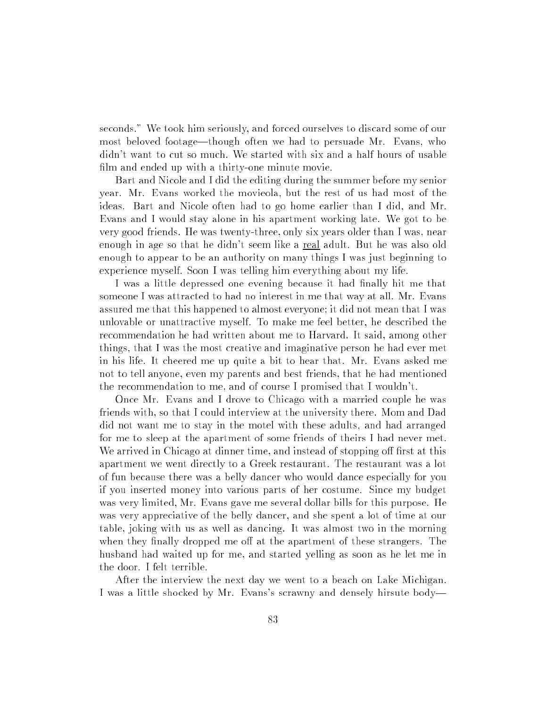seconds." We took him seriously, and forced ourselves to discard some of our most beloved footage—though often we had to persuade Mr. Evans, who didn't want to cut so much. We started with six and a half hours of usable film and ended up with a thirty-one minute movie.

Bart and Nicole and I did the editing during the summer before my senior year. Mr. Evans worked the movieola, but the rest of us had most of the ideas. Bart and Nicole often had to go home earlier than I did, and Mr. Evans and I would stay alone in his apartment working late. We got to be very good friends. He was twenty-three, only six years older than I was, near enough in age so that he didn't seem like a real adult. But he was also old enough to appear to be an authority on many things I was just beginning to experience myself. Soon I was telling him everything about my life.

I was a little depressed one evening because it had finally hit me that someone I was attracted to had no interest in me that way at all. Mr. Evans assured me that this happened to almost everyone; it did not mean that I was unlovable or unattractive myself. To make me feel better, he described the recommendation he had written about me to Harvard. It said, among other things, that I was the most creative and imaginative person he had ever met in his life. It cheered me up quite a bit to hear that. Mr. Evans asked me not to tell anyone, even my parents and best friends, that he had mentioned the recommendation to me, and of course I promised that I wouldn't.

Once Mr. Evans and I drove to Chicago with a married couple he was friends with, so that I could interview at the university there. Mom and Dad did not want me to stay in the motel with these adults, and had arranged for me to sleep at the apartment of some friends of theirs I had never met. We arrived in Chicago at dinner time, and instead of stopping off first at this apartment we went directly to a Greek restaurant. The restaurant was a lot of fun because there was a belly dancer who would dance especially for you if you inserted money into various parts of her costume. Since my budget was very limited, Mr. Evans gave me several dollar bills for this purpose. He was very appreciative of the belly dancer, and she spent a lot of time at our table, joking with us as well as dancing. It was almost two in the morning when they finally dropped me off at the apartment of these strangers. The husband had waited up for me, and started yelling as soon as he let me in the door. I felt terrible.

After the interview the next day we went to a beach on Lake Michigan. I was a little shocked by Mr. Evans's scrawny and densely hirsute body|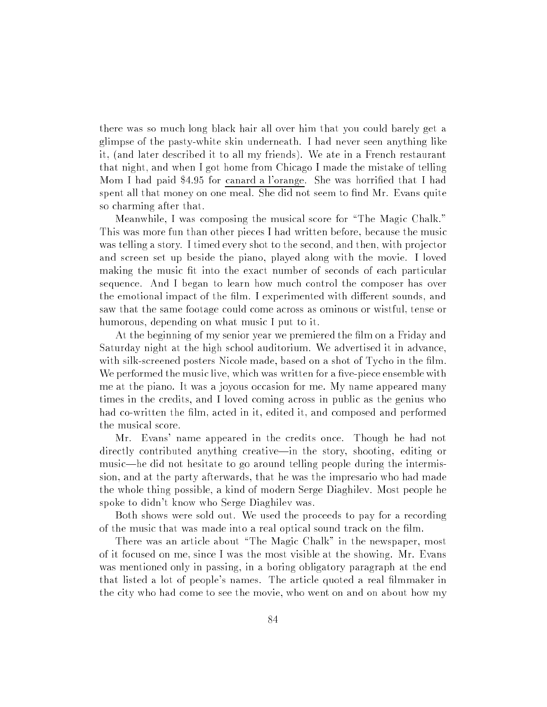there was so much long black hair all over him that you could barely get a glimpse of the pasty-white skin underneath. I had never seen anything like it, (and later described it to all my friends). We ate in a French restaurant that night, and when I got home from Chicago I made the mistake of telling Mom I had paid \$4.95 for canard a l'orange. She was horrified that I had spent all that money on one meal. She did not seem to find Mr. Evans quite so charming after that.

Meanwhile, I was composing the musical score for "The Magic Chalk." This was more fun than other pieces I had written before, because the music was telling a story. I timed every shot to the second, and then, with projector and screen set up beside the piano, played along with the movie. I loved making the music fit into the exact number of seconds of each particular sequence. And I began to learn how much control the composer has over the emotional impact of the film. I experimented with different sounds, and saw that the same footage could come across as ominous or wistful, tense or humorous, depending on what music I put to it.

At the beginning of my senior year we premiered the film on a Friday and Saturday night at the high school auditorium. We advertised it in advance, with silk-screened posters Nicole made, based on a shot of Tycho in the film. We performed the music live, which was written for a five-piece ensemble with me at the piano. It was a joyous occasion for me. My name appeared many times in the credits, and I loved coming across in public as the genius who had co-written the film, acted in it, edited it, and composed and performed the musical score.

Mr. Evans' name appeared in the credits once. Though he had not directly contributed anything creative—in the story, shooting, editing or music—he did not hesitate to go around telling people during the intermission, and at the party afterwards, that he was the impresario who had made the whole thing possible, a kind of modern Serge Diaghilev. Most people he spoke to didn't know who Serge Diaghilev was.

Both shows were sold out. We used the proceeds to pay for a recording of the music that was made into a real optical sound track on the film.

There was an article about "The Magic Chalk" in the newspaper, most of it focused on me, since I was the most visible at the showing. Mr. Evans was mentioned only in passing, in a boring obligatory paragraph at the end that listed a lot of people's names. The article quoted a real lmmaker in the city who had come to see the movie, who went on and on about how my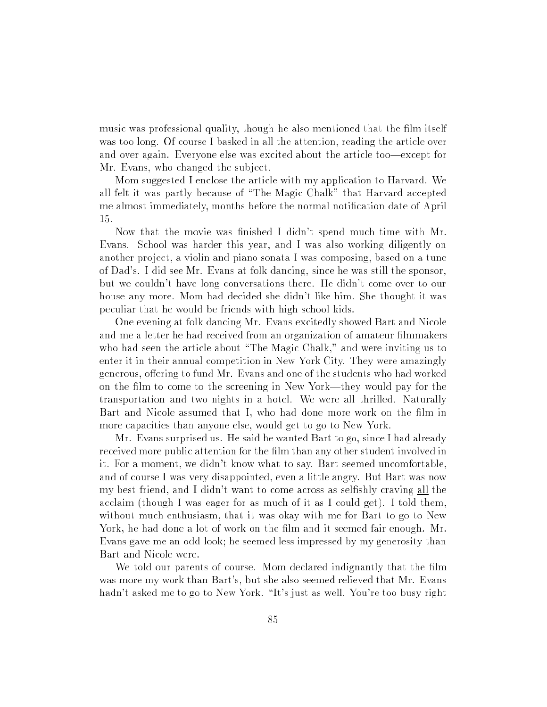music was professional quality, though he also mentioned that the film itself was too long. Of course I basked in all the attention, reading the article over and over again. Everyone else was excited about the article too—except for Mr. Evans, who changed the subject.

Mom suggested I enclose the article with my application to Harvard. We all felt it was partly because of \The Magic Chalk" that Harvard accepted me almost immediately, months before the normal notification date of April 15.

Now that the movie was finished I didn't spend much time with Mr. Evans. School was harder this year, and I was also working diligently on another project, a violin and piano sonata I was composing, based on a tune of Dad's. I did see Mr. Evans at folk dancing, since he was still the sponsor, but we couldn't have long conversations there. He didn't come over to our house any more. Mom had decided she didn't like him. She thought it was peculiar that he would be friends with high school kids.

One evening at folk dancing Mr. Evans excitedly showed Bart and Nicole and me a letter he had received from an organization of amateur lmmakers who had seen the article about "The Magic Chalk," and were inviting us to enter it in their annual competition in New York City. They were amazingly generous, offering to fund Mr. Evans and one of the students who had worked on the film to come to the screening in New York—they would pay for the transportation and two nights in a hotel. We were all thrilled. Naturally Bart and Nicole assumed that I, who had done more work on the film in more capacities than anyone else, would get to go to New York.

Mr. Evans surprised us. He said he wanted Bart to go, since I had already received more public attention for the film than any other student involved in it. For a moment, we didn't know what to say. Bart seemed uncomfortable, and of course I was very disappointed, even a little angry. But Bart was now my best friend, and I didn't want to come across as selfishly craving all the acclaim (though I was eager for as much of it as I could get). I told them, without much enthusiasm, that it was okay with me for Bart to go to New York, he had done a lot of work on the film and it seemed fair enough. Mr. Evans gave me an odd look; he seemed less impressed by my generosity than Bart and Nicole were.

We told our parents of course. Mom declared indignantly that the film was more my work than Bart's, but she also seemed relieved that Mr. Evans hadn't asked me to go to New York. "It's just as well. You're too busy right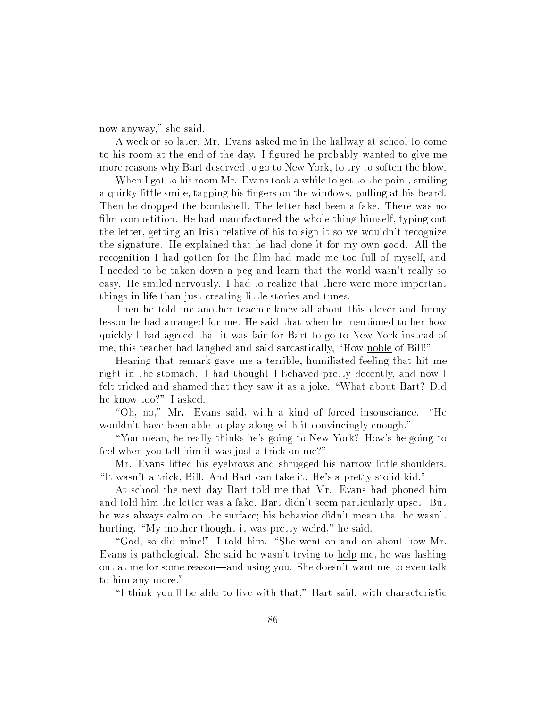now anyway," she said.

A week or so later, Mr. Evans asked me in the hallway at school to come to his room at the end of the day. I figured he probably wanted to give me more reasons why Bart deserved to go to New York, to try to soften the blow.

When I got to his room Mr. Evans took a while to get to the point, smiling a quirky little smile, tapping his fingers on the windows, pulling at his beard. Then he dropped the bombshell. The letter had been a fake. There was no film competition. He had manufactured the whole thing himself, typing out the letter, getting an Irish relative of his to sign it so we wouldn't recognize the signature. He explained that he had done it for my own good. All the recognition I had gotten for the film had made me too full of myself, and I needed to be taken down a peg and learn that the world wasn't really so easy. He smiled nervously. I had to realize that there were more important things in life than just creating little stories and tunes.

Then he told me another teacher knew all about this clever and funny lesson he had arranged for me. He said that when he mentioned to her how quickly I had agreed that it was fair for Bart to go to New York instead of me, this teacher had laughed and said sarcastically, "How noble of Bill!"

Hearing that remark gave me a terrible, humiliated feeling that hit me right in the stomach. <sup>I</sup> had thought I behaved pretty decently, and now I felt tricked and shamed that they saw it as a joke. \What about Bart? Did he know too?" I asked.

"Oh, no," Mr. Evans said, with a kind of forced insousciance. "He wouldn't have been able to play along with it convincingly enough."

"You mean, he really thinks he's going to New York? How's he going to feel when you tell him it was just a trick on me?"

Mr. Evans lifted his eyebrows and shrugged his narrow little shoulders. "It wasn't a trick, Bill. And Bart can take it. He's a pretty stolid kid."

At school the next day Bart told me that Mr. Evans had phoned him and told him the letter was a fake. Bart didn't seem particularly upset. But he was always calm on the surface; his behavior didn't mean that he wasn't hurting. "My mother thought it was pretty weird," he said.

"God, so did mine!" I told him. "She went on and on about how Mr. Evans is pathological. She said he wasn't trying to help me, he was lashing out at me for some reason—and using you. She doesn't want me to even talk to him any more."

\I think you'll be able to live with that," Bart said, with characteristic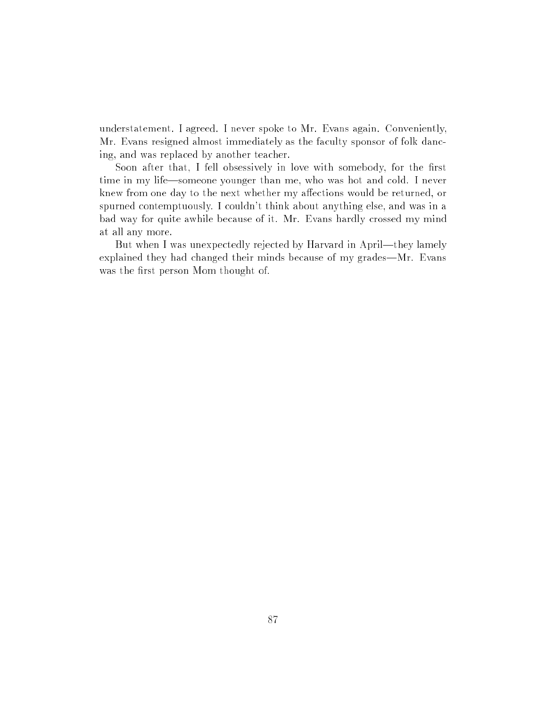understatement. I agreed. I never spoke to Mr. Evans again. Conveniently, Mr. Evans resigned almost immediately as the faculty sponsor of folk dancing, and was replaced by another teacher.

Soon after that, I fell obsessively in love with somebody, for the first time in my life—someone younger than me, who was hot and cold. I never knew from one day to the next whether my affections would be returned, or spurned contemptuously. I couldn't think about anything else, and was in a bad way for quite awhile because of it. Mr. Evans hardly crossed my mind at all any more.

But when I was unexpectedly rejected by Harvard in April—they lamely explained they had changed their minds because of my grades—Mr. Evans was the first person Mom thought of.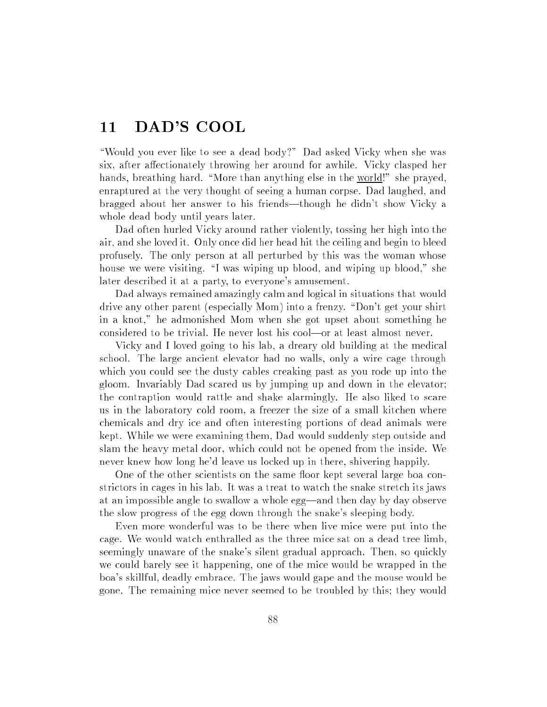## 11 DAD'S COOL

"Would you ever like to see a dead body?" Dad asked Vicky when she was six, after affectionately throwing her around for awhile. Vicky clasped her hands, breathing hard. "More than anything else in the world!" she prayed. enraptured at the very thought of seeing a human corpse. Dad laughed, and bragged about her answer to his friends—though he didn't show Vicky a whole dead body until years later.

Dad often hurled Vicky around rather violently, tossing her high into the air, and she loved it. Only once did her head hit the ceiling and begin to bleed profusely. The only person at all perturbed by this was the woman whose house we were visiting. "I was wiping up blood, and wiping up blood," she later described it at a party, to everyone's amusement.

Dad always remained amazingly calm and logical in situations that would drive any other parent (especially Mom) into a frenzy. "Don't get your shirt in a knot," he admonished Mom when she got upset about something he considered to be trivial. He never lost his cool—or at least almost never.

Vicky and I loved going to his lab, a dreary old building at the medical school. The large ancient elevator had no walls, only a wire cage through which you could see the dusty cables creaking past as you rode up into the gloom. Invariably Dad scared us by jumping up and down in the elevator; the contraption would rattle and shake alarmingly. He also liked to scare us in the laboratory cold room, a freezer the size of a small kitchen where chemicals and dry ice and often interesting portions of dead animals were kept. While we were examining them, Dad would suddenly step outside and slam the heavy metal door, which could not be opened from the inside. We never knew how long he'd leave us locked up in there, shivering happily.

One of the other scientists on the same floor kept several large boa constrictors in cages in his lab. It was a treat to watch the snake stretch its jaws at an impossible angle to swallow a whole egg—and then day by day observe the slow progress of the egg down through the snake's sleeping body.

Even more wonderful was to be there when live mice were put into the cage. We would watch enthralled as the three mice sat on a dead tree limb, seemingly unaware of the snake's silent gradual approach. Then, so quickly we could barely see it happening, one of the mice would be wrapped in the boa's skillful, deadly embrace. The jaws would gape and the mouse would be gone. The remaining mice never seemed to be troubled by this; they would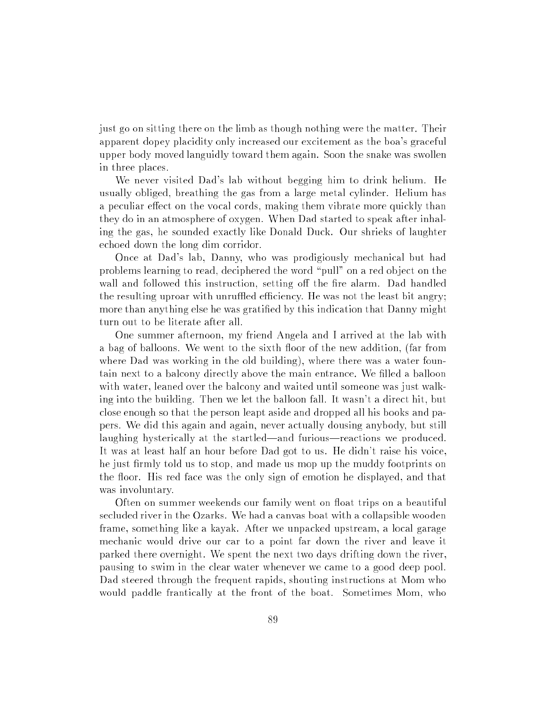just go on sitting there on the limb as though nothing were the matter. Their apparent dopey placidity only increased our excitement as the boa's graceful upper body moved languidly toward them again. Soon the snake was swollen in three places.

We never visited Dad's lab without begging him to drink helium. He usually obliged, breathing the gas from a large metal cylinder. Helium has a peculiar effect on the vocal cords, making them vibrate more quickly than they do in an atmosphere of oxygen. When Dad started to speak after inhaling the gas, he sounded exactly like Donald Duck. Our shrieks of laughter echoed down the long dim corridor.

Once at Dad's lab, Danny, who was prodigiously mechanical but had problems learning to read, deciphered the word \pull" on a red ob ject on the wall and followed this instruction, setting off the fire alarm. Dad handled the resulting uproar with unruffled efficiency. He was not the least bit angry; more than anything else he was gratied by this indication that Danny might turn out to be literate after all.

One summer afternoon, my friend Angela and I arrived at the lab with a bag of balloons. We went to the sixth floor of the new addition, (far from where Dad was working in the old building), where there was a water fountain next to a balcony directly above the main entrance. We filled a balloon with water, leaned over the balcony and waited until someone was just walking into the building. Then we let the balloon fall. It wasn't a direct hit, but close enough so that the person leapt aside and dropped all his books and papers. We did this again and again, never actually dousing anybody, but still laughing hysterically at the startled—and furious—reactions we produced. It was at least half an hour before Dad got to us. He didn't raise his voice, he just firmly told us to stop, and made us mop up the muddy footprints on the floor. His red face was the only sign of emotion he displayed, and that was involuntary.

Often on summer weekends our family went on float trips on a beautiful secluded river in the Ozarks. We had a canvas boat with a collapsible wooden frame, something like a kayak. After we unpacked upstream, a local garage mechanic would drive our car to a point far down the river and leave it parked there overnight. We spent the next two days drifting down the river, pausing to swim in the clear water whenever we came to a good deep pool. Dad steered through the frequent rapids, shouting instructions at Mom who would paddle frantically at the front of the boat. Sometimes Mom, who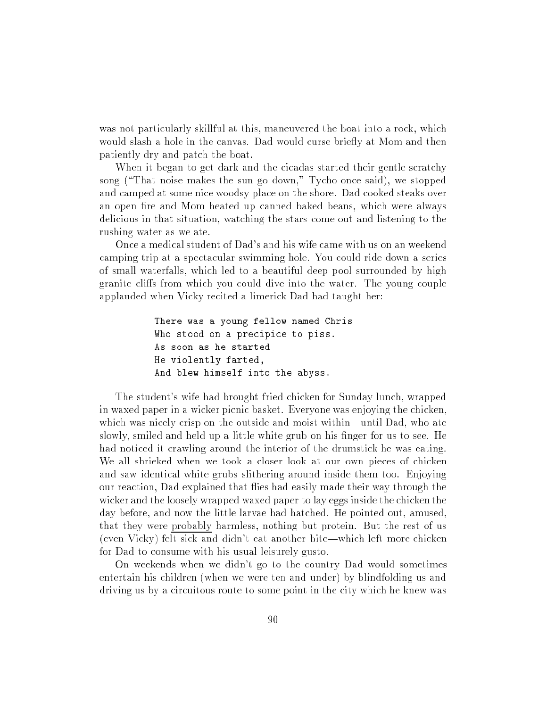was not particularly skillful at this, maneuvered the boat into a rock, which would slash a hole in the canvas. Dad would curse briefly at Mom and then patiently dry and patch the boat.

When it began to get dark and the cicadas started their gentle scratchy song ("That noise makes the sun go down," Tycho once said), we stopped and camped at some nice woodsy place on the shore. Dad cooked steaks over an open fire and Mom heated up canned baked beans, which were always delicious in that situation, watching the stars come out and listening to the rushing water as we ate.

Once a medical student of Dad's and his wife came with us on an weekend camping trip at a spectacular swimming hole. You could ride down a series of small waterfalls, which led to a beautiful deep pool surrounded by high granite cliffs from which you could dive into the water. The young couple applauded when Vicky recited a limerick Dad had taught her:

```
There was a young fellow named Chris
Who stood on a precipice to piss.
As soon as he started
He violently farted,
And blew himself into the abyss.
```
The student's wife had brought fried chicken for Sunday lunch, wrapped in waxed paper in a wicker picnic basket. Everyone was enjoying the chicken, which was nicely crisp on the outside and moist within—until Dad, who ate slowly, smiled and held up a little white grub on his finger for us to see. He had noticed it crawling around the interior of the drumstick he was eating. We all shrieked when we took a closer look at our own pieces of chicken and saw identical white grubs slithering around inside them too. Enjoying our reaction, Dad explained that flies had easily made their way through the wicker and the loosely wrapped waxed paper to lay eggs inside the chicken the day before, and now the little larvae had hatched. He pointed out, amused, that they were probably harmless, nothing but protein. But the rest of us (even Vicky) felt sick and didn't eat another bite—which left more chicken for Dad to consume with his usual leisurely gusto.

On weekends when we didn't go to the country Dad would sometimes entertain his children (when we were ten and under) by blindfolding us and driving us by a circuitous route to some point in the city which he knew was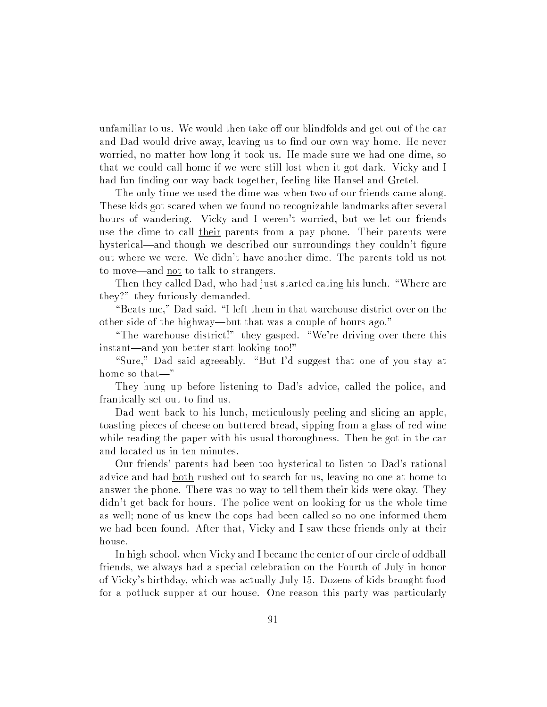unfamiliar to us. We would then take off our blindfolds and get out of the car and Dad would drive away, leaving us to find our own way home. He never worried, no matter how long it took us. He made sure we had one dime, so that we could call home if we were still lost when it got dark. Vicky and I had fun finding our way back together, feeling like Hansel and Gretel.

The only time we used the dime was when two of our friends came along. These kids got scared when we found no recognizable landmarks after several hours of wandering. Vicky and I weren't worried, but we let our friends use the dime to call their parents from a pay phone. Their parents were hysterical—and though we described our surroundings they couldn't figure out where we were. We didn't have another dime. The parents told us not to move—and not to talk to strangers.

Then they called Dad, who had just started eating his lunch. \Where are they?" they furiously demanded.

"Beats me," Dad said. "I left them in that warehouse district over on the other side of the highway—but that was a couple of hours ago."

"The warehouse district!" they gasped. "We're driving over there this instant—and you better start looking too!"

"Sure," Dad said agreeably. "But I'd suggest that one of you stay at home so that $-$ "

They hung up before listening to Dad's advice, called the police, and frantically set out to find us.

Dad went back to his lunch, meticulously peeling and slicing an apple, toasting pieces of cheese on buttered bread, sipping from a glass of red wine while reading the paper with his usual thoroughness. Then he got in the car and located us in ten minutes.

Our friends' parents had been too hysterical to listen to Dad's rational advice and had both rushed out to search for us, leaving no one at home to answer the phone. There was no way to tell them their kids were okay. They didn't get back for hours. The police went on looking for us the whole time as well; none of us knew the cops had been called so no one informed them we had been found. After that, Vicky and I saw these friends only at their house.

In high school, when Vicky and I became the center of our circle of oddball friends, we always had a special celebration on the Fourth of July in honor of Vicky's birthday, which was actually July 15. Dozens of kids brought food for a potluck supper at our house. One reason this party was particularly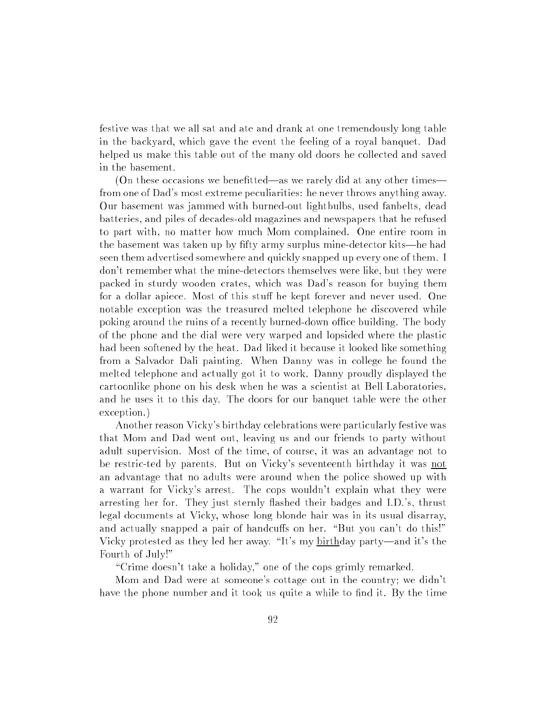festive was that we all sat and ate and drank at one tremendously long table in the backyard, which gave the event the feeling of a royal banquet. Dad helped us make this table out of the many old doors he collected and saved in the basement.

(On these occasions we benefitted—as we rarely did at any other times from one of Dad's most extreme peculiarities: he never throws anything away. Our basement was jammed with burned-out lightbulbs, used fanbelts, dead batteries, and piles of decades-old magazines and newspapers that he refused to part with, no matter how much Mom complained. One entire room in the basement was taken up by fifty army surplus mine-detector kits—he had seen them advertised somewhere and quickly snapped up every one of them. I don't remember what the mine-detectors themselves were like, but they were packed in sturdy wooden crates, which was Dad's reason for buying them for a dollar apiece. Most of this stuff he kept forever and never used. One notable exception was the treasured melted telephone he discovered while poking around the ruins of a recently burned-down office building. The body of the phone and the dial were very warped and lopsided where the plastic had been softened by the heat. Dad liked it because it looked like something from a Salvador Dali painting. When Danny was in college he found the melted telephone and actually got it to work. Danny proudly displayed the cartoonlike phone on his desk when he was a scientist at Bell Laboratories, and he uses it to this day. The doors for our banquet table were the other exception.)

Another reason Vicky's birthday celebrations were particularly festive was that Mom and Dad went out, leaving us and our friends to party without adult supervision. Most of the time, of course, it was an advantage not to be restric-ted by parents. But on Vicky's seventeenth birthday it was not an advantage that no adults were around when the police showed up with a warrant for Vicky's arrest. The cops wouldn't explain what they were arresting her for. They just sternly flashed their badges and I.D.'s, thrust legal documents at Vicky, whose long blonde hair was in its usual disarray, and actually snapped a pair of handcuffs on her. "But you can't do this!" Vicky protested as they led her away. "It's my birthday party—and it's the Fourth of July!"

"Crime doesn't take a holiday," one of the cops grimly remarked.

Mom and Dad were at someone's cottage out in the country; we didn't have the phone number and it took us quite a while to find it. By the time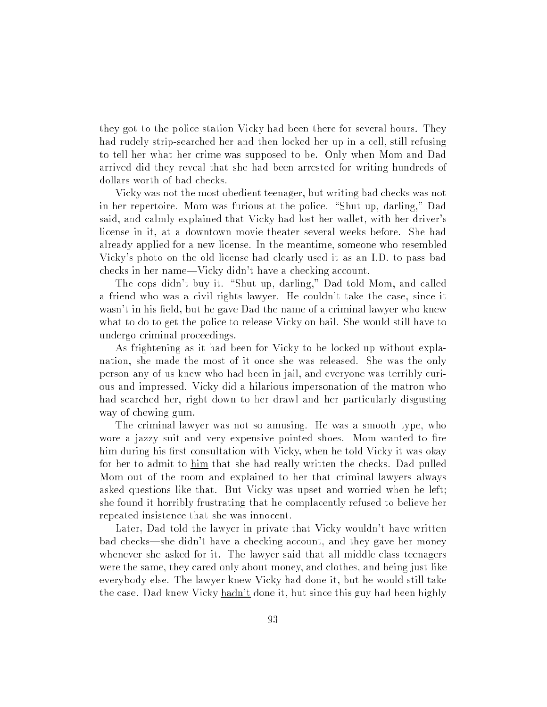they got to the police station Vicky had been there for several hours. They had rudely strip-searched her and then locked her up in a cell, still refusing to tell her what her crime was supposed to be. Only when Mom and Dad arrived did they reveal that she had been arrested for writing hundreds of dollars worth of bad checks.

Vicky was not the most obedient teenager, but writing bad checks was not in her repertoire. Mom was furious at the police. "Shut up, darling," Dad said, and calmly explained that Vicky had lost her wallet, with her driver's license in it, at a downtown movie theater several weeks before. She had already applied for a new license. In the meantime, someone who resembled Vicky's photo on the old license had clearly used it as an I.D. to pass bad checks in her name—Vicky didn't have a checking account.

The cops didn't buy it. "Shut up, darling," Dad told Mom, and called a friend who was a civil rights lawyer. He couldn't take the case, since it wasn't in his field, but he gave Dad the name of a criminal lawyer who knew what to do to get the police to release Vicky on bail. She would still have to undergo criminal proceedings.

As frightening as it had been for Vicky to be locked up without explanation, she made the most of it once she was released. She was the only person any of us knew who had been in jail, and everyone was terribly curious and impressed. Vicky did a hilarious impersonation of the matron who had searched her, right down to her drawl and her particularly disgusting way of chewing gum.

The criminal lawyer was not so amusing. He was a smooth type, who wore a jazzy suit and very expensive pointed shoes. Mom wanted to fire him during his first consultation with Vicky, when he told Vicky it was okay for her to admit to him that she had really written the checks. Dad pulled Mom out of the room and explained to her that criminal lawyers always asked questions like that. But Vicky was upset and worried when he left; she found it horribly frustrating that he complacently refused to believe her repeated insistence that she was innocent.

Later, Dad told the lawyer in private that Vicky wouldn't have written bad checks—she didn't have a checking account, and they gave her money whenever she asked for it. The lawyer said that all middle class teenagers were the same, they cared only about money, and clothes, and being just like everybody else. The lawyer knew Vicky had done it, but he would still take the case. Dad knew Vicky hadn't done it, but since this guy had been highly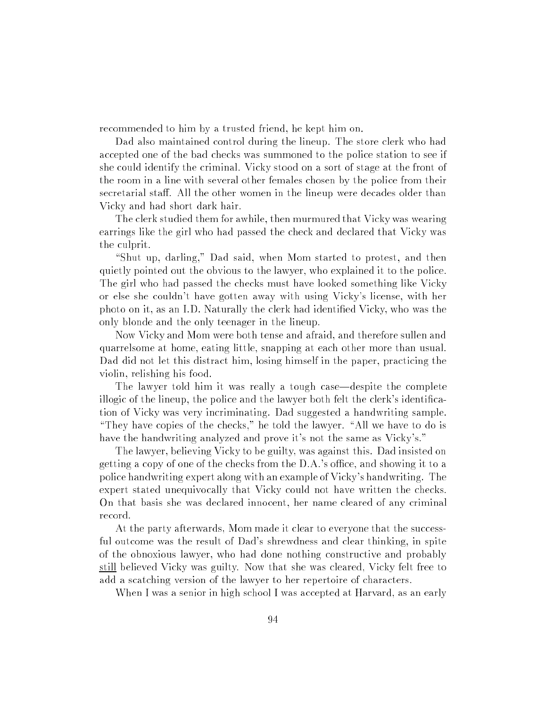recommended to him by a trusted friend, he kept him on.

Dad also maintained control during the lineup. The store clerk who had accepted one of the bad checks was summoned to the police station to see if she could identify the criminal. Vicky stood on a sort of stage at the front of the room in a line with several other females chosen by the police from their secretarial staff. All the other women in the lineup were decades older than Vicky and had short dark hair.

The clerk studied them for awhile, then murmured that Vicky was wearing earrings like the girl who had passed the check and declared that Vicky was the culprit.

"Shut up, darling," Dad said, when Mom started to protest, and then quietly pointed out the obvious to the lawyer, who explained it to the police. The girl who had passed the checks must have looked something like Vicky or else she couldn't have gotten away with using Vicky's license, with her photo on it, as an I.D. Naturally the clerk had identied Vicky, who was the only blonde and the only teenager in the lineup.

Now Vicky and Mom were both tense and afraid, and therefore sullen and quarrelsome at home, eating little, snapping at each other more than usual. Dad did not let this distract him, losing himself in the paper, practicing the violin, relishing his food.

The lawyer told him it was really a tough case—despite the complete illogic of the lineup, the police and the lawyer both felt the clerk's identication of Vicky was very incriminating. Dad suggested a handwriting sample. "They have copies of the checks," he told the lawyer. "All we have to do is have the handwriting analyzed and prove it's not the same as Vicky's."

The lawyer, believing Vicky to be guilty, was against this. Dad insisted on getting a copy of one of the checks from the  $D.A.'s$  office, and showing it to a police handwriting expert along with an example of Vicky's handwriting. The expert stated unequivocally that Vicky could not have written the checks. On that basis she was declared innocent, her name cleared of any criminal record.

At the party afterwards, Mom made it clear to everyone that the successful outcome was the result of Dad's shrewdness and clear thinking, in spite of the obnoxious lawyer, who had done nothing constructive and probably still believed Vicky was guilty. Now that she was cleared, Vicky felt free to add a scatching version of the lawyer to her repertoire of characters.

When I was a senior in high school I was accepted at Harvard, as an early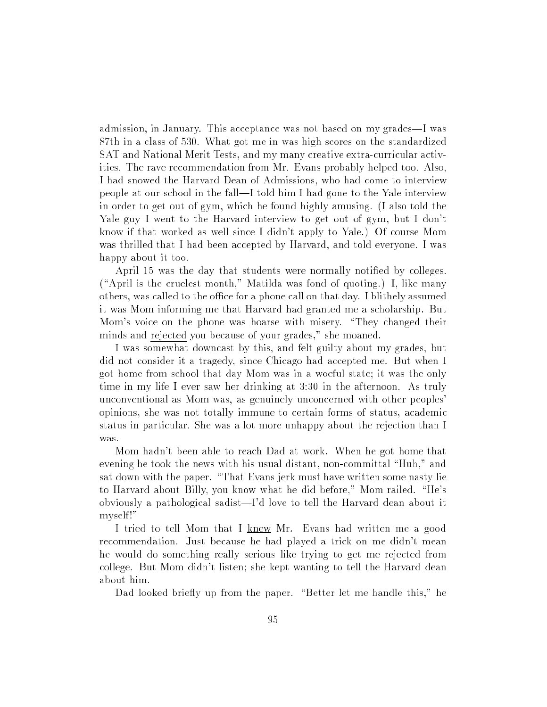admission, in January. This acceptance was not based on my grades|I was 87th in a class of 530. What got me in was high scores on the standardized SAT and National Merit Tests, and my many creative extra-curricular activities. The rave recommendation from Mr. Evans probably helped too. Also, I had snowed the Harvard Dean of Admissions, who had come to interview people at our school in the fall—I told him I had gone to the Yale interview in order to get out of gym, which he found highly amusing. (I also told the Yale guy I went to the Harvard interview to get out of gym, but I don't know if that worked as well since I didn't apply to Yale.) Of course Mom was thrilled that I had been accepted by Harvard, and told everyone. I was happy about it too.

April 15 was the day that students were normally notified by colleges. ("April is the cruelest month," Matilda was fond of quoting.) I, like many others, was called to the office for a phone call on that day. I blithely assumed it was Mom informing me that Harvard had granted me a scholarship. But Mom's voice on the phone was hoarse with misery. "They changed their minds and rejected you because of your grades," she moaned.

I was somewhat downcast by this, and felt guilty about my grades, but did not consider it a tragedy, since Chicago had accepted me. But when I got home from school that day Mom was in a woeful state; it was the only time in my life I ever saw her drinking at 3:30 in the afternoon. As truly unconventional as Mom was, as genuinely unconcerned with other peoples' opinions, she was not totally immune to certain forms of status, academic status in particular. She was a lot more unhappy about the rejection than I was.

Mom hadn't been able to reach Dad at work. When he got home that evening he took the news with his usual distant, non-committal "Huh," and sat down with the paper. "That Evans jerk must have written some nasty lie to Harvard about Billy, you know what he did before," Mom railed. "He's obviously a pathological sadist|I'd love to tell the Harvard dean about it myself !"

I tried to tell Mom that I knew Mr. Evans had written me a good recommendation. Just because he had played a trick on me didn't mean he would do something really serious like trying to get me rejected from college. But Mom didn't listen; she kept wanting to tell the Harvard dean about him.

Dad looked briefly up from the paper. "Better let me handle this," he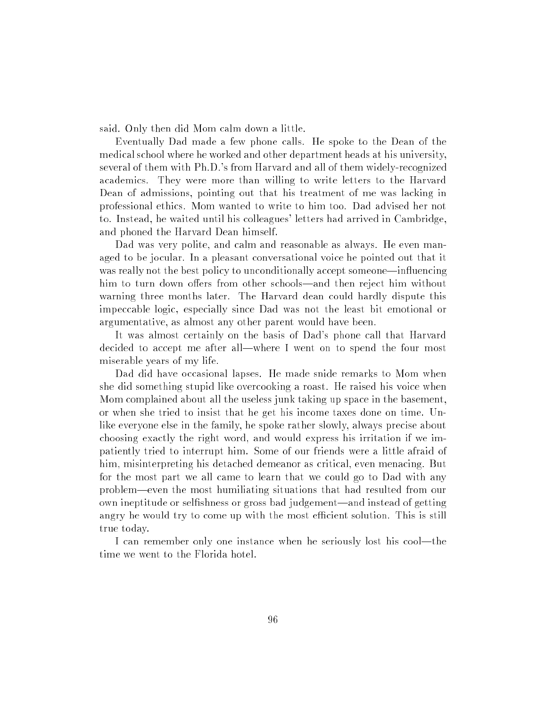said. Only then did Mom calm down a little.

Eventually Dad made a few phone calls. He spoke to the Dean of the medical school where he worked and other department heads at his university, several of them with Ph.D.'s from Harvard and all of them widely-recognized academics. They were more than willing to write letters to the Harvard Dean of admissions, pointing out that his treatment of me was lacking in professional ethics. Mom wanted to write to him too. Dad advised her not to. Instead, he waited until his colleagues' letters had arrived in Cambridge, and phoned the Harvard Dean himself.

Dad was very polite, and calm and reasonable as always. He even managed to be jocular. In a pleasant conversational voice he pointed out that it was really not the best policy to unconditionally accept someone—influencing him to turn down offers from other schools—and then reject him without warning three months later. The Harvard dean could hardly dispute this impeccable logic, especially since Dad was not the least bit emotional or argumentative, as almost any other parent would have been.

It was almost certainly on the basis of Dad's phone call that Harvard decided to accept me after all—where I went on to spend the four most miserable years of my life.

Dad did have occasional lapses. He made snide remarks to Mom when she did something stupid like overcooking a roast. He raised his voice when Mom complained about all the useless junk taking up space in the basement, or when she tried to insist that he get his income taxes done on time. Unlike everyone else in the family, he spoke rather slowly, always precise about choosing exactly the right word, and would express his irritation if we impatiently tried to interrupt him. Some of our friends were a little afraid of him, misinterpreting his detached demeanor as critical, even menacing. But for the most part we all came to learn that we could go to Dad with any problem—even the most humiliating situations that had resulted from our own ineptitude or selfishness or gross bad judgement—and instead of getting angry he would try to come up with the most efficient solution. This is still true today.

I can remember only one instance when he seriously lost his cool—the time we went to the Florida hotel.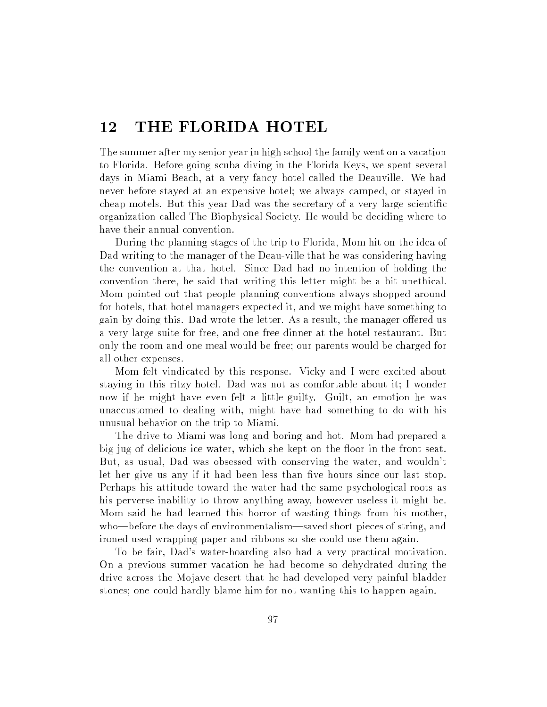## 12 THE FLORIDA HOTEL

The summer after my senior year in high school the family went on a vacation to Florida. Before going scuba diving in the Florida Keys, we spent several days in Miami Beach, at a very fancy hotel called the Deauville. We had never before stayed at an expensive hotel; we always camped, or stayed in cheap motels. But this year Dad was the secretary of a very large scientific organization called The Biophysical Society. He would be deciding where to have their annual convention.

During the planning stages of the trip to Florida, Mom hit on the idea of Dad writing to the manager of the Deau-ville that he was considering having the convention at that hotel. Since Dad had no intention of holding the convention there, he said that writing this letter might be a bit unethical. Mom pointed out that people planning conventions always shopped around for hotels, that hotel managers expected it, and we might have something to gain by doing this. Dad wrote the letter. As a result, the manager offered us a very large suite for free, and one free dinner at the hotel restaurant. But only the room and one meal would be free; our parents would be charged for all other expenses.

Mom felt vindicated by this response. Vicky and I were excited about staying in this ritzy hotel. Dad was not as comfortable about it; I wonder now if he might have even felt a little guilty. Guilt, an emotion he was unaccustomed to dealing with, might have had something to do with his unusual behavior on the trip to Miami.

The drive to Miami was long and boring and hot. Mom had prepared a big jug of delicious ice water, which she kept on the floor in the front seat. But, as usual, Dad was obsessed with conserving the water, and wouldn't let her give us any if it had been less than five hours since our last stop. Perhaps his attitude toward the water had the same psychological roots as his perverse inability to throw anything away, however useless it might be. Mom said he had learned this horror of wasting things from his mother, who—before the days of environmentalism—saved short pieces of string, and ironed used wrapping paper and ribbons so she could use them again.

To be fair, Dad's water-hoarding also had a very practical motivation. On a previous summer vacation he had become so dehydrated during the drive across the Mojave desert that he had developed very painful bladder stones; one could hardly blame him for not wanting this to happen again.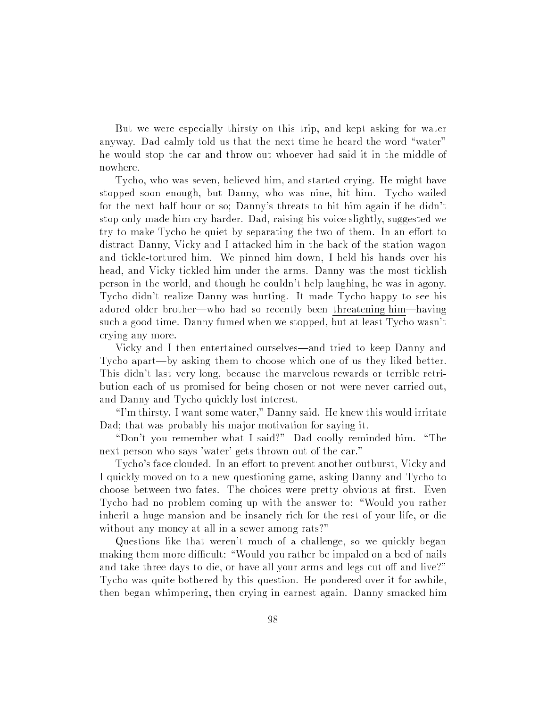But we were especially thirsty on this trip, and kept asking for water anyway. Dad calmly told us that the next time he heard the word "water" he would stop the car and throw out whoever had said it in the middle of nowhere.

Tycho, who was seven, believed him, and started crying. He might have stopped soon enough, but Danny, who was nine, hit him. Tycho wailed for the next half hour or so; Danny's threats to hit him again if he didn't stop only made him cry harder. Dad, raising his voice slightly, suggested we try to make Tycho be quiet by separating the two of them. In an effort to distract Danny, Vicky and I attacked him in the back of the station wagon and tickle-tortured him. We pinned him down, I held his hands over his head, and Vicky tickled him under the arms. Danny was the most ticklish person in the world, and though he couldn't help laughing, he was in agony. Tycho didn't realize Danny was hurting. It made Tycho happy to see his adored older brother—who had so recently been threatening him—having such a good time. Danny fumed when we stopped, but at least Tycho wasn't crying any more.

Vicky and I then entertained ourselves—and tried to keep Danny and Tycho apart—by asking them to choose which one of us they liked better. This didn't last very long, because the marvelous rewards or terrible retribution each of us promised for being chosen or not were never carried out, and Danny and Tycho quickly lost interest.

"I'm thirsty. I want some water," Danny said. He knew this would irritate Dad; that was probably his major motivation for saying it.

"Don't you remember what I said?" Dad coolly reminded him. "The next person who says 'water' gets thrown out of the car."

Tycho's face clouded. In an effort to prevent another outburst, Vicky and I quickly moved on to a new questioning game, asking Danny and Tycho to choose between two fates. The choices were pretty obvious at first. Even Tycho had no problem coming up with the answer to: "Would you rather inherit a huge mansion and be insanely rich for the rest of your life, or die without any money at all in a sewer among rats?"

Questions like that weren't much of a challenge, so we quickly began making them more difficult: "Would you rather be impaled on a bed of nails and take three days to die, or have all your arms and legs cut off and live?" Tycho was quite bothered by this question. He pondered over it for awhile, then began whimpering, then crying in earnest again. Danny smacked him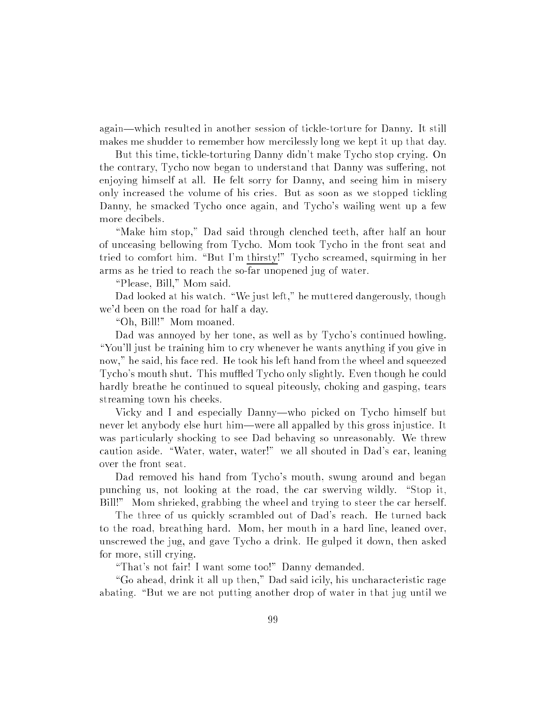again—which resulted in another session of tickle-torture for Danny. It still makes me shudder to remember how mercilessly long we kept it up that day.

But this time, tickle-torturing Danny didn't make Tycho stop crying. On the contrary, Tycho now began to understand that Danny was suffering, not enjoying himself at all. He felt sorry for Danny, and seeing him in misery only increased the volume of his cries. But as soon as we stopped tickling Danny, he smacked Tycho once again, and Tycho's wailing went up a few more decibels.

"Make him stop," Dad said through clenched teeth, after half an hour of unceasing bellowing from Tycho. Mom took Tycho in the front seat and tried to comfort him. "But I'm thirsty!" Tycho screamed, squirming in her arms as he tried to reach the so-far unopened jug of water.

"Please, Bill," Mom said.

Dad looked at his watch. "We just left," he muttered dangerously, though we'd been on the road for half a day.

"Oh, Bill!" Mom moaned.

Dad was annoyed by her tone, as well as by Tycho's continued howling. \You'll just be training him to cry whenever he wants anything if you give in now," he said, his face red. He took his left hand from the wheel and squeezed Tycho's mouth shut. This muffled Tycho only slightly. Even though he could hardly breathe he continued to squeal piteously, choking and gasping, tears streaming town his cheeks.

Vicky and I and especially Danny—who picked on Tycho himself but never let anybody else hurt him—were all appalled by this gross injustice. It was particularly shocking to see Dad behaving so unreasonably. We threw caution aside. \Water, water, water!" we all shouted in Dad's ear, leaning over the front seat.

Dad removed his hand from Tycho's mouth, swung around and began punching us, not looking at the road, the car swerving wildly. "Stop it Bill!" Mom shrieked, grabbing the wheel and trying to steer the car herself.

The three of us quickly scrambled out of Dad's reach. He turned back to the road, breathing hard. Mom, her mouth in a hard line, leaned over, unscrewed the jug, and gave Tycho a drink. He gulped it down, then asked for more, still crying.

"That's not fair! I want some too!" Danny demanded.

"Go ahead, drink it all up then," Dad said icily, his uncharacteristic rage abating. "But we are not putting another drop of water in that jug until we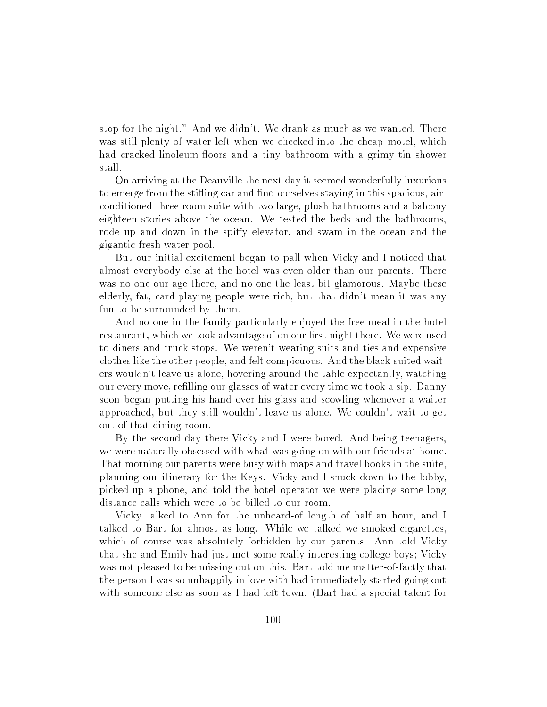stop for the night." And we didn't. We drank as much as we wanted. There was still plenty of water left when we checked into the cheap motel, which had cracked linoleum floors and a tiny bathroom with a grimy tin shower stall.

On arriving at the Deauville the next day it seemed wonderfully luxurious to emerge from the stifling car and find ourselves staying in this spacious, airconditioned three-room suite with two large, plush bathrooms and a balcony eighteen stories above the ocean. We tested the beds and the bathrooms, rode up and down in the spiffy elevator, and swam in the ocean and the gigantic fresh water pool.

But our initial excitement began to pall when Vicky and I noticed that almost everybody else at the hotel was even older than our parents. There was no one our age there, and no one the least bit glamorous. Maybe these elderly, fat, card-playing people were rich, but that didn't mean it was any fun to be surrounded by them.

And no one in the family particularly enjoyed the free meal in the hotel restaurant, which we took advantage of on our first night there. We were used to diners and truck stops. We weren't wearing suits and ties and expensive clothes like the other people, and felt conspicuous. And the black-suited waiters wouldn't leave us alone, hovering around the table expectantly, watching our every move, relling our glasses of water every time we took a sip. Danny soon began putting his hand over his glass and scowling whenever a waiter approached, but they still wouldn't leave us alone. We couldn't wait to get out of that dining room.

By the second day there Vicky and I were bored. And being teenagers, we were naturally obsessed with what was going on with our friends at home. That morning our parents were busy with maps and travel books in the suite, planning our itinerary for the Keys. Vicky and I snuck down to the lobby, picked up a phone, and told the hotel operator we were placing some long distance calls which were to be billed to our room.

Vicky talked to Ann for the unheard-of length of half an hour, and I talked to Bart for almost as long. While we talked we smoked cigarettes, which of course was absolutely forbidden by our parents. Ann told Vicky that she and Emily had just met some really interesting college boys; Vicky was not pleased to be missing out on this. Bart told me matter-of-factly that the person I was so unhappily in love with had immediately started going out with someone else as soon as I had left town. (Bart had a special talent for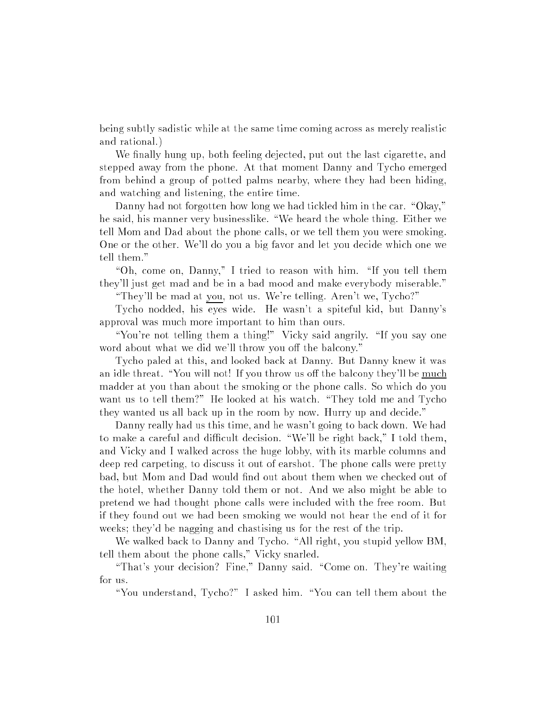being subtly sadistic while at the same time coming across as merely realistic and rational.)

We finally hung up, both feeling dejected, put out the last cigarette, and stepped away from the phone. At that moment Danny and Tycho emerged from behind a group of potted palms nearby, where they had been hiding, and watching and listening, the entire time.

Danny had not forgotten how long we had tickled him in the car. "Okay," he said, his manner very businesslike. \We heard the whole thing. Either we tell Mom and Dad about the phone calls, or we tell them you were smoking. One or the other. We'll do you a big favor and let you decide which one we tell them."

"Oh, come on, Danny," I tried to reason with him. "If you tell them they'll just get mad and be in a bad mood and make everybody miserable."

"They'll be mad at you, not us. We're telling. Aren't we,  $Tycho?"$ 

Tycho nodded, his eyes wide. He wasn't a spiteful kid, but Danny's approval was much more important to him than ours.

"You're not telling them a thing!" Vicky said angrily. "If you say one word about what we did we'll throw you off the balcony."

Tycho paled at this, and looked back at Danny. But Danny knew it was an idle threat. "You will not! If you throw us off the balcony they'll be much madder at you than about the smoking or the phone calls. So which do you want us to tell them?" He looked at his watch. "They told me and Tycho they wanted us all back up in the room by now. Hurry up and decide."

Danny really had us this time, and he wasn't going to back down. We had to make a careful and difficult decision. "We'll be right back," I told them, and Vicky and I walked across the huge lobby, with its marble columns and deep red carpeting, to discuss it out of earshot. The phone calls were pretty bad, but Mom and Dad would find out about them when we checked out of the hotel, whether Danny told them or not. And we also might be able to pretend we had thought phone calls were included with the free room. But if they found out we had been smoking we would not hear the end of it for weeks; they'd be nagging and chastising us for the rest of the trip.

We walked back to Danny and Tycho. "All right, you stupid yellow BM. tell them about the phone calls," Vicky snarled.

"That's your decision? Fine," Danny said. "Come on. They're waiting for us.

"You understand, Tycho?" I asked him. "You can tell them about the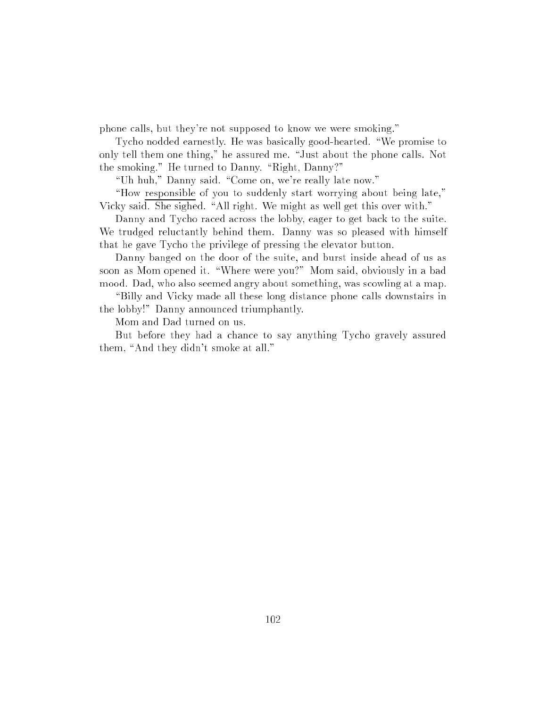phone calls, but they're not supposed to know we were smoking."

Tycho nodded earnestly. He was basically good-hearted. \We promise to only tell them one thing," he assured me. "Just about the phone calls. Not the smoking." He turned to Danny. "Right, Danny?"

"Uh huh," Danny said. "Come on, we're really late now."

"How responsible of you to suddenly start worrying about being late," Vicky said. She sighed. "All right. We might as well get this over with."

Danny and Tycho raced across the lobby, eager to get back to the suite. We trudged reluctantly behind them. Danny was so pleased with himself that he gave Tycho the privilege of pressing the elevator button.

Danny banged on the door of the suite, and burst inside ahead of us as soon as Mom opened it. \Where were you?" Mom said, obviously in a bad mood. Dad, who also seemed angry about something, was scowling at a map.

"Billy and Vicky made all these long distance phone calls downstairs in the lobby!" Danny announced triumphantly.

Mom and Dad turned on us.

But before they had a chance to say anything Tycho gravely assured them, "And they didn't smoke at all."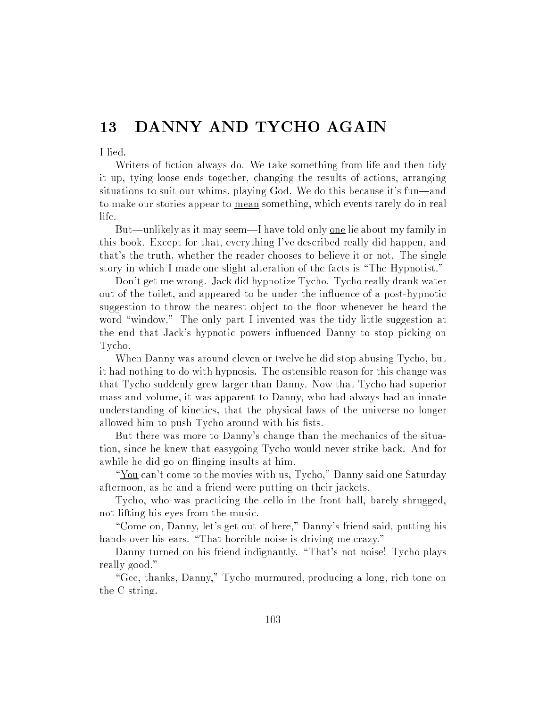## 13 DANNY AND TYCHO AGAIN

I lied.

Writers of fiction always do. We take something from life and then tidy it up, tying loose ends together, changing the results of actions, arranging situations to suit our whims, playing God. We do this because it's fun—and to make our stories appear to mean something, which events rarely do in real life.

But—unlikely as it may seem—I have told only <u>one</u> lie about my family in this book. Except for that, everything I've described really did happen, and that's the truth, whether the reader chooses to believe it or not. The single story in which I made one slight alteration of the facts is \The Hypnotist."

Don't get me wrong. Jack did hypnotize Tycho. Tycho really drank water out of the toilet, and appeared to be under the in
uence of a post-hypnotic suggestion to throw the nearest object to the floor whenever he heard the word "window." The only part I invented was the tidy little suggestion at the end that Jack's hypnotic powers in
uenced Danny to stop picking on Tycho.

When Danny was around eleven or twelve he did stop abusing Tycho, but it had nothing to do with hypnosis. The ostensible reason for this change was that Tycho suddenly grew larger than Danny. Now that Tycho had superior mass and volume, it was apparent to Danny, who had always had an innate understanding of kinetics, that the physical laws of the universe no longer allowed him to push Tycho around with his fists.

But there was more to Danny's change than the mechanics of the situation, since he knew that easygoing Tycho would never strike back. And for awhile he did go on flinging insults at him.

"<u>You</u> can't come to the movies with us, Tycho," Danny said one Saturday afternoon, as he and a friend were putting on their jackets.

Tycho, who was practicing the cello in the front hall, barely shrugged, not lifting his eyes from the music.

"Come on, Danny, let's get out of here," Danny's friend said, putting his hands over his ears. "That horrible noise is driving me crazy."

Danny turned on his friend indignantly. "That's not noise! Tycho plays really good."

"Gee, thanks, Danny," Tycho murmured, producing a long, rich tone on the C string.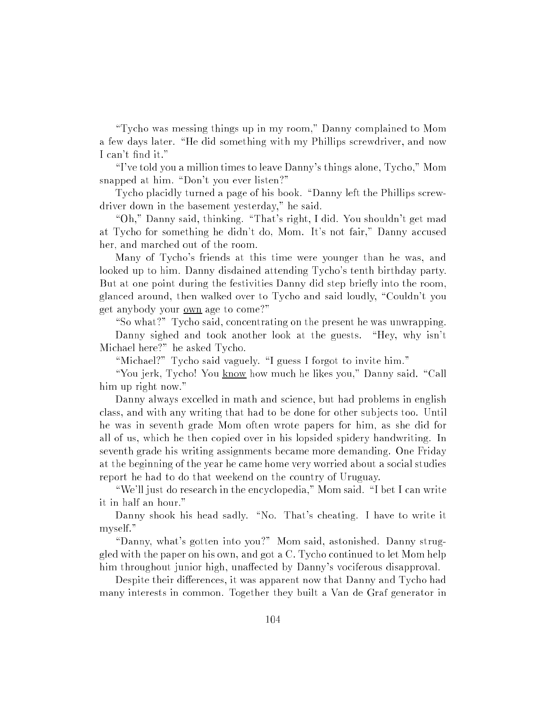\Tycho was messing things up in my room," Danny complained to Mom a few days later. "He did something with my Phillips screwdriver, and now I can't find it."

\I've told you a million times to leave Danny's things alone, Tycho," Mom snapped at him. "Don't you ever listen?"

Tycho placidly turned a page of his book. "Danny left the Phillips screwdriver down in the basement yesterday," he said.

"Oh," Danny said, thinking. "That's right, I did. You shouldn't get mad at Tycho for something he didn't do, Mom. It's not fair," Danny accused her, and marched out of the room.

Many of Tycho's friends at this time were younger than he was, and looked up to him. Danny disdained attending Tycho's tenth birthday party. But at one point during the festivities Danny did step briefly into the room. glanced around, then walked over to Tycho and said loudly, \Couldn't you get anybody your own age to come?"

"So what?" Tycho said, concentrating on the present he was unwrapping. Danny sighed and took another look at the guests. "Hey, why isn't Michael here?" he asked Tycho.

"Michael?" Tycho said vaguely. "I guess I forgot to invite him."

"You jerk, Tycho! You know how much he likes you," Danny said. "Call him up right now."

Danny always excelled in math and science, but had problems in english class, and with any writing that had to be done for other sub jects too. Until he was in seventh grade Mom often wrote papers for him, as she did for all of us, which he then copied over in his lopsided spidery handwriting. In seventh grade his writing assignments became more demanding. One Friday at the beginning of the year he came home very worried about a social studies report he had to do that weekend on the country of Uruguay.

"We'll just do research in the encyclopedia," Mom said. "I bet I can write it in half an hour."

Danny shook his head sadly. "No. That's cheating. I have to write it myself."

"Danny, what's gotten into you?" Mom said, astonished. Danny struggled with the paper on his own, and got a C. Tycho continued to let Mom help him throughout junior high, unaffected by Danny's vociferous disapproval.

Despite their differences, it was apparent now that Danny and Tycho had many interests in common. Together they built a Van de Graf generator in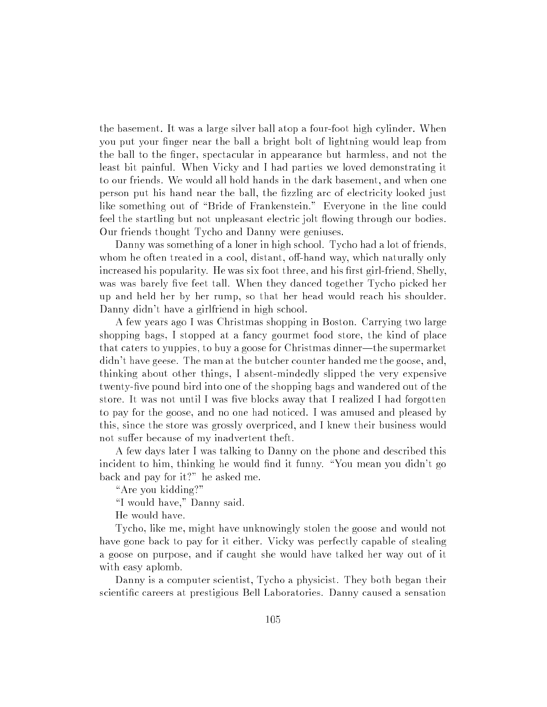the basement. It was a large silver ball atop a four-foot high cylinder. When you put your finger near the ball a bright bolt of lightning would leap from the ball to the finger, spectacular in appearance but harmless, and not the least bit painful. When Vicky and I had parties we loved demonstrating it to our friends. We would all hold hands in the dark basement, and when one person put his hand near the ball, the fizzling arc of electricity looked just like something out of "Bride of Frankenstein." Everyone in the line could feel the startling but not unpleasant electric jolt flowing through our bodies. Our friends thought Tycho and Danny were geniuses.

Danny was something of a loner in high school. Tycho had a lot of friends, whom he often treated in a cool, distant, off-hand way, which naturally only increased his popularity. He was six foot three, and his first girl-friend, Shelly, was was barely five feet tall. When they danced together Tycho picked her up and held her by her rump, so that her head would reach his shoulder. Danny didn't have a girlfriend in high school.

A few years ago I was Christmas shopping in Boston. Carrying two large shopping bags, I stopped at a fancy gourmet food store, the kind of place that caters to yuppies, to buy a goose for Christmas dinner—the supermarket didn't have geese. The man at the butcher counter handed me the goose, and, thinking about other things, I absent-mindedly slipped the very expensive twenty-five pound bird into one of the shopping bags and wandered out of the store. It was not until I was five blocks away that I realized I had forgotten to pay for the goose, and no one had noticed. I was amused and pleased by this, since the store was grossly overpriced, and I knew their business would not suffer because of my inadvertent theft.

A few days later I was talking to Danny on the phone and described this incident to him, thinking he would find it funny. "You mean you didn't go back and pay for it?" he asked me.

"Are you kidding?"

"I would have," Danny said.

He would have.

Tycho, like me, might have unknowingly stolen the goose and would not have gone back to pay for it either. Vicky was perfectly capable of stealing a goose on purpose, and if caught she would have talked her way out of it with easy aplomb.

Danny is a computer scientist, Tycho a physicist. They both began their scientic careers at prestigious Bell Laboratories. Danny caused a sensation